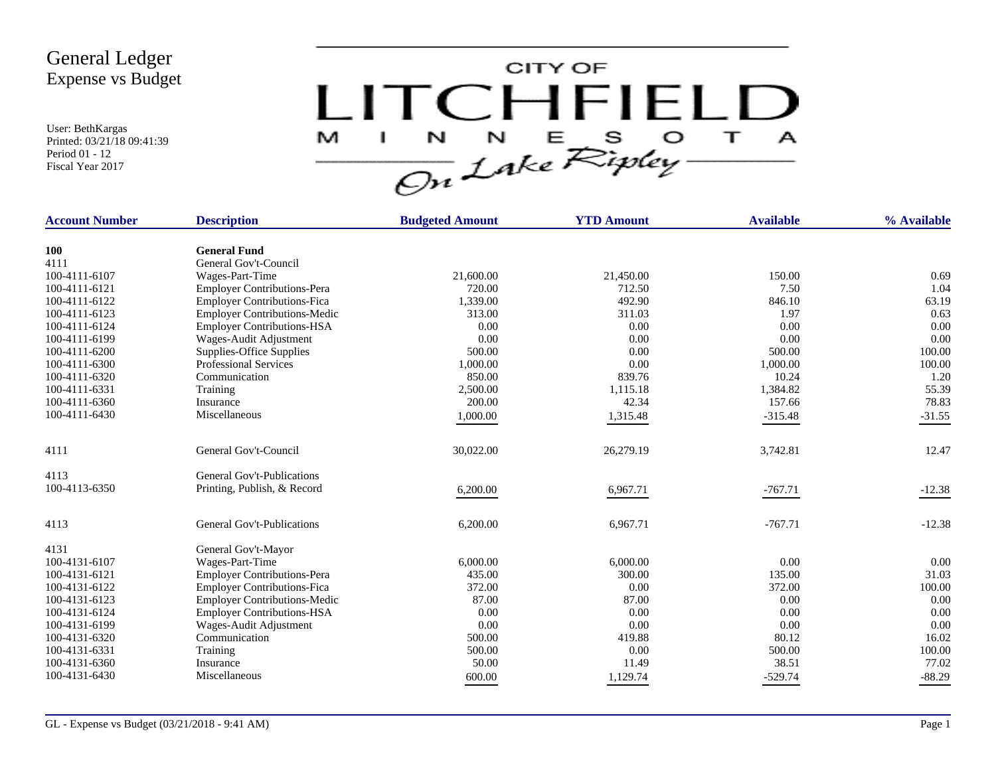User: BethKargas Printed: 03/21/18 09:41:39 Period 01 - 12 Fiscal Year 2017



| <b>Account Number</b> | <b>Description</b>                  | <b>Budgeted Amount</b> | <b>YTD Amount</b> | <b>Available</b> | % Available |
|-----------------------|-------------------------------------|------------------------|-------------------|------------------|-------------|
| <b>100</b>            | <b>General Fund</b>                 |                        |                   |                  |             |
| 4111                  | General Gov't-Council               |                        |                   |                  |             |
| 100-4111-6107         | Wages-Part-Time                     | 21,600.00              | 21,450.00         | 150.00           | 0.69        |
| 100-4111-6121         | <b>Employer Contributions-Pera</b>  | 720.00                 | 712.50            | 7.50             | 1.04        |
| 100-4111-6122         | <b>Employer Contributions-Fica</b>  | 1,339.00               | 492.90            | 846.10           | 63.19       |
| 100-4111-6123         | <b>Employer Contributions-Medic</b> | 313.00                 | 311.03            | 1.97             | 0.63        |
| 100-4111-6124         | <b>Employer Contributions-HSA</b>   | 0.00                   | 0.00              | 0.00             | 0.00        |
| 100-4111-6199         | Wages-Audit Adjustment              | 0.00                   | 0.00              | 0.00             | 0.00        |
| 100-4111-6200         | Supplies-Office Supplies            | 500.00                 | 0.00              | 500.00           | 100.00      |
| 100-4111-6300         | <b>Professional Services</b>        | 1,000.00               | 0.00              | 1,000.00         | 100.00      |
| 100-4111-6320         | Communication                       | 850.00                 | 839.76            | 10.24            | 1.20        |
| 100-4111-6331         | Training                            | 2,500.00               | 1,115.18          | 1,384.82         | 55.39       |
| 100-4111-6360         | Insurance                           | 200.00                 | 42.34             | 157.66           | 78.83       |
| 100-4111-6430         | Miscellaneous                       | 1,000.00               | 1,315.48          | $-315.48$        | $-31.55$    |
|                       |                                     |                        |                   |                  |             |
| 4111                  | General Gov't-Council               | 30,022.00              | 26,279.19         | 3,742.81         | 12.47       |
| 4113                  | <b>General Gov't-Publications</b>   |                        |                   |                  |             |
| 100-4113-6350         | Printing, Publish, & Record         | 6,200.00               | 6,967.71          | $-767.71$        | $-12.38$    |
|                       |                                     |                        |                   |                  |             |
| 4113                  | <b>General Gov't-Publications</b>   | 6,200.00               | 6,967.71          | $-767.71$        | $-12.38$    |
| 4131                  | General Gov't-Mayor                 |                        |                   |                  |             |
| 100-4131-6107         | Wages-Part-Time                     | 6,000.00               | 6,000.00          | 0.00             | 0.00        |
| 100-4131-6121         | <b>Employer Contributions-Pera</b>  | 435.00                 | 300.00            | 135.00           | 31.03       |
| 100-4131-6122         | <b>Employer Contributions-Fica</b>  | 372.00                 | 0.00              | 372.00           | 100.00      |
| 100-4131-6123         | <b>Employer Contributions-Medic</b> | 87.00                  | 87.00             | 0.00             | 0.00        |
| 100-4131-6124         | <b>Employer Contributions-HSA</b>   | 0.00                   | 0.00              | 0.00             | 0.00        |
| 100-4131-6199         | Wages-Audit Adjustment              | 0.00                   | 0.00              | 0.00             | 0.00        |
| 100-4131-6320         | Communication                       | 500.00                 | 419.88            | 80.12            | 16.02       |
| 100-4131-6331         | Training                            | 500.00                 | 0.00              | 500.00           | 100.00      |
| 100-4131-6360         | Insurance                           | 50.00                  | 11.49             | 38.51            | 77.02       |
| 100-4131-6430         | Miscellaneous                       | 600.00                 | 1.129.74          | $-529.74$        | $-88.29$    |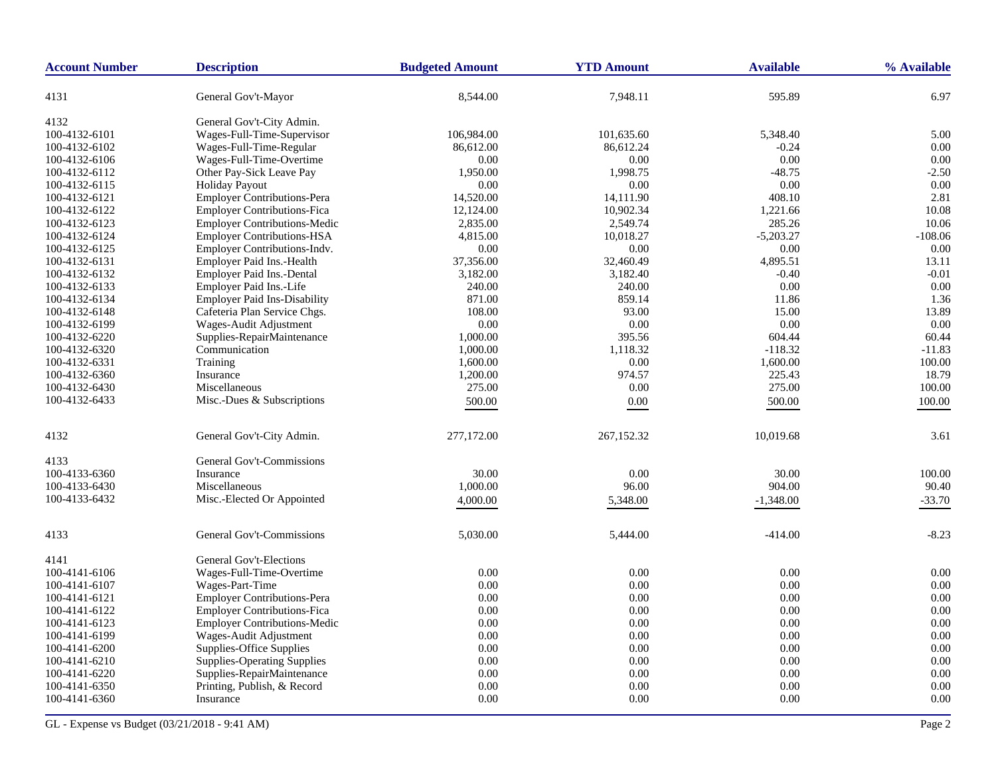| <b>Account Number</b> | <b>Description</b>                  | <b>Budgeted Amount</b> | <b>YTD Amount</b> | <b>Available</b> | % Available |
|-----------------------|-------------------------------------|------------------------|-------------------|------------------|-------------|
| 4131                  | General Gov't-Mayor                 | 8,544.00               | 7,948.11          | 595.89           | 6.97        |
| 4132                  | General Gov't-City Admin.           |                        |                   |                  |             |
| 100-4132-6101         | Wages-Full-Time-Supervisor          | 106,984.00             | 101,635.60        | 5,348.40         | 5.00        |
| 100-4132-6102         | Wages-Full-Time-Regular             | 86,612.00              | 86,612.24         | $-0.24$          | 0.00        |
| 100-4132-6106         | Wages-Full-Time-Overtime            | 0.00                   | 0.00              | 0.00             | 0.00        |
| 100-4132-6112         | Other Pay-Sick Leave Pay            | 1,950.00               | 1,998.75          | $-48.75$         | $-2.50$     |
| 100-4132-6115         | <b>Holiday Payout</b>               | 0.00                   | 0.00              | 0.00             | 0.00        |
| 100-4132-6121         | <b>Employer Contributions-Pera</b>  | 14,520.00              | 14,111.90         | 408.10           | 2.81        |
| 100-4132-6122         | <b>Employer Contributions-Fica</b>  | 12,124.00              | 10,902.34         | 1,221.66         | 10.08       |
| 100-4132-6123         | <b>Employer Contributions-Medic</b> | 2,835.00               | 2,549.74          | 285.26           | 10.06       |
| 100-4132-6124         | <b>Employer Contributions-HSA</b>   | 4,815.00               | 10,018.27         | $-5,203.27$      | $-108.06$   |
| 100-4132-6125         | Employer Contributions-Indv.        | 0.00                   | 0.00              | 0.00             | 0.00        |
| 100-4132-6131         | Employer Paid Ins.-Health           | 37,356.00              | 32,460.49         | 4,895.51         | 13.11       |
| 100-4132-6132         | Employer Paid Ins.-Dental           | 3,182.00               | 3,182.40          | $-0.40$          | $-0.01$     |
| 100-4132-6133         | Employer Paid Ins.-Life             | 240.00                 | 240.00            | 0.00             | 0.00        |
| 100-4132-6134         | <b>Employer Paid Ins-Disability</b> | 871.00                 | 859.14            | 11.86            | 1.36        |
| 100-4132-6148         | Cafeteria Plan Service Chgs.        | 108.00                 | 93.00             | 15.00            | 13.89       |
| 100-4132-6199         | Wages-Audit Adjustment              | 0.00                   | 0.00              | 0.00             | 0.00        |
| 100-4132-6220         | Supplies-RepairMaintenance          | 1,000.00               | 395.56            | 604.44           | 60.44       |
| 100-4132-6320         | Communication                       | 1,000.00               | 1,118.32          | $-118.32$        | $-11.83$    |
| 100-4132-6331         | Training                            | 1,600.00               | $0.00\,$          | 1,600.00         | 100.00      |
| 100-4132-6360         | Insurance                           | 1,200.00               | 974.57            | 225.43           | 18.79       |
| 100-4132-6430         | Miscellaneous                       | 275.00                 | 0.00              | 275.00           | 100.00      |
| 100-4132-6433         | Misc.-Dues & Subscriptions          | 500.00                 | $0.00\,$          | 500.00           | 100.00      |
|                       |                                     |                        |                   |                  |             |
| 4132                  | General Gov't-City Admin.           | 277,172.00             | 267,152.32        | 10,019.68        | 3.61        |
| 4133                  | General Gov't-Commissions           |                        |                   |                  |             |
| 100-4133-6360         | Insurance                           | 30.00                  | 0.00              | 30.00            | 100.00      |
| 100-4133-6430         | Miscellaneous                       | 1,000.00               | 96.00             | 904.00           | 90.40       |
| 100-4133-6432         | Misc.-Elected Or Appointed          | 4,000.00               | 5,348.00          | $-1,348.00$      | $-33.70$    |
| 4133                  | General Gov't-Commissions           | 5,030.00               | 5,444.00          | $-414.00$        | $-8.23$     |
| 4141                  | General Gov't-Elections             |                        |                   |                  |             |
| 100-4141-6106         | Wages-Full-Time-Overtime            | 0.00                   | 0.00              | 0.00             | 0.00        |
| 100-4141-6107         | Wages-Part-Time                     | 0.00                   | 0.00              | 0.00             | 0.00        |
| 100-4141-6121         | <b>Employer Contributions-Pera</b>  | 0.00                   | 0.00              | 0.00             | 0.00        |
| 100-4141-6122         | <b>Employer Contributions-Fica</b>  | 0.00                   | 0.00              | $0.00\,$         | 0.00        |
| 100-4141-6123         | <b>Employer Contributions-Medic</b> | 0.00                   | 0.00              | 0.00             | 0.00        |
| 100-4141-6199         | Wages-Audit Adjustment              | 0.00                   | 0.00              | 0.00             | 0.00        |
| 100-4141-6200         | Supplies-Office Supplies            | 0.00                   | 0.00              | 0.00             | 0.00        |
| 100-4141-6210         | <b>Supplies-Operating Supplies</b>  | 0.00                   | 0.00              | 0.00             | 0.00        |
| 100-4141-6220         | Supplies-RepairMaintenance          | 0.00                   | 0.00              | 0.00             | 0.00        |
| 100-4141-6350         | Printing, Publish, & Record         | 0.00                   | 0.00              | 0.00             | 0.00        |
| 100-4141-6360         | Insurance                           | 0.00                   | 0.00              | 0.00             | 0.00        |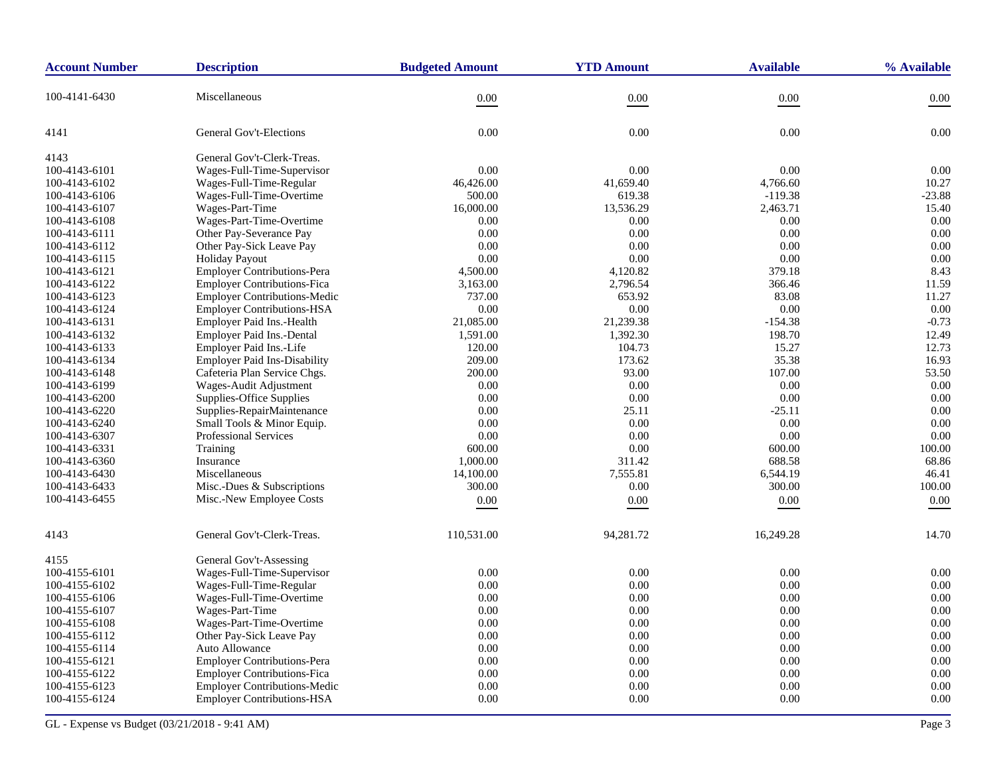| <b>Account Number</b> | <b>Description</b>                  | <b>Budgeted Amount</b> | <b>YTD Amount</b> | <b>Available</b> | % Available |
|-----------------------|-------------------------------------|------------------------|-------------------|------------------|-------------|
| 100-4141-6430         | Miscellaneous                       | 0.00                   | 0.00              | 0.00             | 0.00        |
| 4141                  | <b>General Gov't-Elections</b>      | 0.00                   | 0.00              | 0.00             | 0.00        |
| 4143                  | General Gov't-Clerk-Treas.          |                        |                   |                  |             |
| 100-4143-6101         | Wages-Full-Time-Supervisor          | 0.00                   | 0.00              | 0.00             | 0.00        |
| 100-4143-6102         | Wages-Full-Time-Regular             | 46,426.00              | 41,659.40         | 4,766.60         | 10.27       |
| 100-4143-6106         | Wages-Full-Time-Overtime            | 500.00                 | 619.38            | $-119.38$        | $-23.88$    |
| 100-4143-6107         | Wages-Part-Time                     | 16,000.00              | 13,536.29         | 2,463.71         | 15.40       |
| 100-4143-6108         | Wages-Part-Time-Overtime            | 0.00                   | 0.00              | 0.00             | 0.00        |
| 100-4143-6111         | Other Pay-Severance Pay             | 0.00                   | 0.00              | 0.00             | 0.00        |
| 100-4143-6112         | Other Pay-Sick Leave Pay            | 0.00                   | 0.00              | 0.00             | 0.00        |
| 100-4143-6115         | <b>Holiday Payout</b>               | 0.00                   | 0.00              | 0.00             | 0.00        |
| 100-4143-6121         | <b>Employer Contributions-Pera</b>  | 4,500.00               | 4,120.82          | 379.18           | 8.43        |
| 100-4143-6122         | <b>Employer Contributions-Fica</b>  | 3,163.00               | 2,796.54          | 366.46           | 11.59       |
| 100-4143-6123         | Employer Contributions-Medic        | 737.00                 | 653.92            | 83.08            | 11.27       |
| 100-4143-6124         | <b>Employer Contributions-HSA</b>   | 0.00                   | $0.00\,$          | 0.00             | 0.00        |
| 100-4143-6131         | Employer Paid Ins.-Health           | 21,085.00              | 21,239.38         | $-154.38$        | $-0.73$     |
| 100-4143-6132         | Employer Paid Ins.-Dental           | 1,591.00               | 1,392.30          | 198.70           | 12.49       |
| 100-4143-6133         | Employer Paid Ins.-Life             | 120.00                 | 104.73            | 15.27            | 12.73       |
| 100-4143-6134         | <b>Employer Paid Ins-Disability</b> | 209.00                 | 173.62            | 35.38            | 16.93       |
| 100-4143-6148         | Cafeteria Plan Service Chgs.        | 200.00                 | 93.00             | 107.00           | 53.50       |
| 100-4143-6199         | Wages-Audit Adjustment              | 0.00                   | 0.00              | 0.00             | 0.00        |
| 100-4143-6200         | Supplies-Office Supplies            | 0.00                   | 0.00              | 0.00             | 0.00        |
| 100-4143-6220         | Supplies-RepairMaintenance          | 0.00                   | 25.11             | $-25.11$         | 0.00        |
| 100-4143-6240         | Small Tools & Minor Equip.          | 0.00                   | 0.00              | 0.00             | 0.00        |
| 100-4143-6307         | <b>Professional Services</b>        | 0.00                   | 0.00              | 0.00             | 0.00        |
| 100-4143-6331         | Training                            | 600.00                 | 0.00              | 600.00           | 100.00      |
| 100-4143-6360         | Insurance                           | 1,000.00               | 311.42            | 688.58           | 68.86       |
| 100-4143-6430         | Miscellaneous                       | 14,100.00              | 7,555.81          | 6,544.19         | 46.41       |
| 100-4143-6433         | Misc.-Dues & Subscriptions          | 300.00                 | 0.00              | 300.00           | 100.00      |
| 100-4143-6455         | Misc.-New Employee Costs            | 0.00                   | 0.00              | 0.00             | 0.00        |
| 4143                  | General Gov't-Clerk-Treas.          | 110,531.00             | 94,281.72         | 16,249.28        | 14.70       |
| 4155                  | General Gov't-Assessing             |                        |                   |                  |             |
| 100-4155-6101         | Wages-Full-Time-Supervisor          | 0.00                   | 0.00              | 0.00             | 0.00        |
| 100-4155-6102         | Wages-Full-Time-Regular             | 0.00                   | 0.00              | 0.00             | 0.00        |
| 100-4155-6106         | Wages-Full-Time-Overtime            | 0.00                   | 0.00              | 0.00             | 0.00        |
| 100-4155-6107         | Wages-Part-Time                     | 0.00                   | 0.00              | 0.00             | 0.00        |
| 100-4155-6108         | Wages-Part-Time-Overtime            | 0.00                   | 0.00              | 0.00             | 0.00        |
| 100-4155-6112         | Other Pay-Sick Leave Pay            | 0.00                   | 0.00              | 0.00             | 0.00        |
| 100-4155-6114         | Auto Allowance                      | 0.00                   | 0.00              | 0.00             | 0.00        |
| 100-4155-6121         | <b>Employer Contributions-Pera</b>  | 0.00                   | 0.00              | 0.00             | 0.00        |
| 100-4155-6122         | <b>Employer Contributions-Fica</b>  | 0.00                   | 0.00              | 0.00             | 0.00        |
| 100-4155-6123         | <b>Employer Contributions-Medic</b> | 0.00                   | 0.00              | 0.00             | 0.00        |
| 100-4155-6124         | <b>Employer Contributions-HSA</b>   | 0.00                   | 0.00              | 0.00             | 0.00        |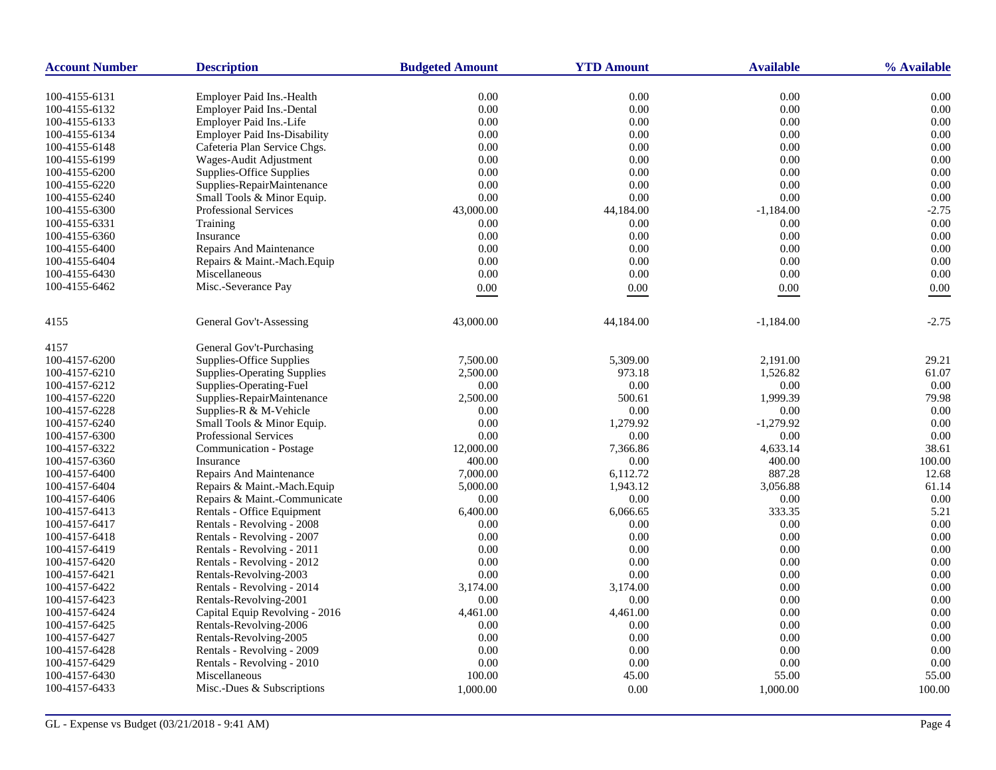| <b>Account Number</b>          | <b>Description</b>                                                   | <b>Budgeted Amount</b> | <b>YTD Amount</b> | <b>Available</b> | % Available  |
|--------------------------------|----------------------------------------------------------------------|------------------------|-------------------|------------------|--------------|
|                                |                                                                      |                        |                   |                  |              |
| 100-4155-6131<br>100-4155-6132 | <b>Employer Paid Ins.-Health</b><br><b>Employer Paid Ins.-Dental</b> | 0.00<br>0.00           | 0.00<br>0.00      | 0.00<br>0.00     | 0.00<br>0.00 |
| 100-4155-6133                  | Employer Paid Ins.-Life                                              | 0.00                   | 0.00              | 0.00             | 0.00         |
| 100-4155-6134                  | <b>Employer Paid Ins-Disability</b>                                  | 0.00                   | 0.00              | 0.00             | 0.00         |
|                                |                                                                      |                        | 0.00              |                  | 0.00         |
| 100-4155-6148                  | Cafeteria Plan Service Chgs.                                         | 0.00                   |                   | 0.00             |              |
| 100-4155-6199                  | Wages-Audit Adjustment                                               | 0.00                   | 0.00<br>0.00      | 0.00<br>0.00     | 0.00<br>0.00 |
| 100-4155-6200                  | Supplies-Office Supplies                                             | 0.00                   |                   |                  | 0.00         |
| 100-4155-6220                  | Supplies-RepairMaintenance                                           | 0.00<br>0.00           | 0.00<br>0.00      | 0.00             | 0.00         |
| 100-4155-6240                  | Small Tools & Minor Equip.                                           |                        |                   | 0.00             |              |
| 100-4155-6300                  | Professional Services                                                | 43,000.00              | 44,184.00         | $-1,184.00$      | $-2.75$      |
| 100-4155-6331                  | Training                                                             | 0.00                   | 0.00              | 0.00             | 0.00         |
| 100-4155-6360                  | Insurance                                                            | 0.00                   | 0.00              | 0.00             | 0.00         |
| 100-4155-6400                  | Repairs And Maintenance                                              | 0.00                   | 0.00              | 0.00             | 0.00         |
| 100-4155-6404                  | Repairs & Maint.-Mach.Equip                                          | 0.00                   | 0.00              | 0.00             | 0.00         |
| 100-4155-6430                  | Miscellaneous                                                        | 0.00                   | 0.00              | 0.00             | 0.00         |
| 100-4155-6462                  | Misc.-Severance Pay                                                  | $0.00\,$               | 0.00              | 0.00             | 0.00         |
| 4155                           | General Gov't-Assessing                                              | 43,000.00              | 44,184.00         | $-1,184.00$      | $-2.75$      |
| 4157                           | General Gov't-Purchasing                                             |                        |                   |                  |              |
| 100-4157-6200                  | Supplies-Office Supplies                                             | 7,500.00               | 5,309.00          | 2.191.00         | 29.21        |
| 100-4157-6210                  | <b>Supplies-Operating Supplies</b>                                   | 2,500.00               | 973.18            | 1,526.82         | 61.07        |
| 100-4157-6212                  | Supplies-Operating-Fuel                                              | 0.00                   | 0.00              | 0.00             | 0.00         |
| 100-4157-6220                  | Supplies-RepairMaintenance                                           | 2,500.00               | 500.61            | 1,999.39         | 79.98        |
| 100-4157-6228                  | Supplies-R & M-Vehicle                                               | 0.00                   | 0.00              | 0.00             | 0.00         |
| 100-4157-6240                  | Small Tools & Minor Equip.                                           | 0.00                   | 1,279.92          | $-1,279.92$      | 0.00         |
| 100-4157-6300                  | <b>Professional Services</b>                                         | 0.00                   | 0.00              | 0.00             | 0.00         |
| 100-4157-6322                  | Communication - Postage                                              | 12,000.00              | 7,366.86          | 4,633.14         | 38.61        |
| 100-4157-6360                  | Insurance                                                            | 400.00                 | 0.00              | 400.00           | 100.00       |
| 100-4157-6400                  | Repairs And Maintenance                                              | 7,000.00               | 6,112.72          | 887.28           | 12.68        |
| 100-4157-6404                  | Repairs & Maint.-Mach.Equip                                          | 5,000.00               | 1,943.12          | 3,056.88         | 61.14        |
| 100-4157-6406                  | Repairs & Maint.-Communicate                                         | 0.00                   | 0.00              | 0.00             | 0.00         |
| 100-4157-6413                  | Rentals - Office Equipment                                           | 6,400.00               | 6,066.65          | 333.35           | 5.21         |
| 100-4157-6417                  | Rentals - Revolving - 2008                                           | 0.00                   | 0.00              | 0.00             | 0.00         |
| 100-4157-6418                  | Rentals - Revolving - 2007                                           | 0.00                   | 0.00              | 0.00             | 0.00         |
| 100-4157-6419                  | Rentals - Revolving - 2011                                           | 0.00                   | 0.00              | 0.00             | 0.00         |
| 100-4157-6420                  | Rentals - Revolving - 2012                                           | 0.00                   | 0.00              | 0.00             | 0.00         |
| 100-4157-6421                  | Rentals-Revolving-2003                                               | 0.00                   | 0.00              | 0.00             | 0.00         |
| 100-4157-6422                  | Rentals - Revolving - 2014                                           | 3,174.00               | 3,174.00          | 0.00             | 0.00         |
| 100-4157-6423                  | Rentals-Revolving-2001                                               | 0.00                   | 0.00              | 0.00             | 0.00         |
| 100-4157-6424                  | Capital Equip Revolving - 2016                                       | 4,461.00               | 4,461.00          | 0.00             | 0.00         |
| 100-4157-6425                  | Rentals-Revolving-2006                                               | 0.00                   | 0.00              | 0.00             | 0.00         |
| 100-4157-6427                  | Rentals-Revolving-2005                                               | 0.00                   | 0.00              | 0.00             | 0.00         |
| 100-4157-6428                  | Rentals - Revolving - 2009                                           | 0.00                   | 0.00              | 0.00             | 0.00         |
| 100-4157-6429                  | Rentals - Revolving - 2010                                           | 0.00                   | 0.00              | 0.00             | 0.00         |
| 100-4157-6430                  | Miscellaneous                                                        | 100.00                 | 45.00             | 55.00            | 55.00        |
| 100-4157-6433                  | Misc.-Dues & Subscriptions                                           |                        |                   |                  |              |
|                                |                                                                      | 1,000.00               | 0.00              | 1,000.00         | 100.00       |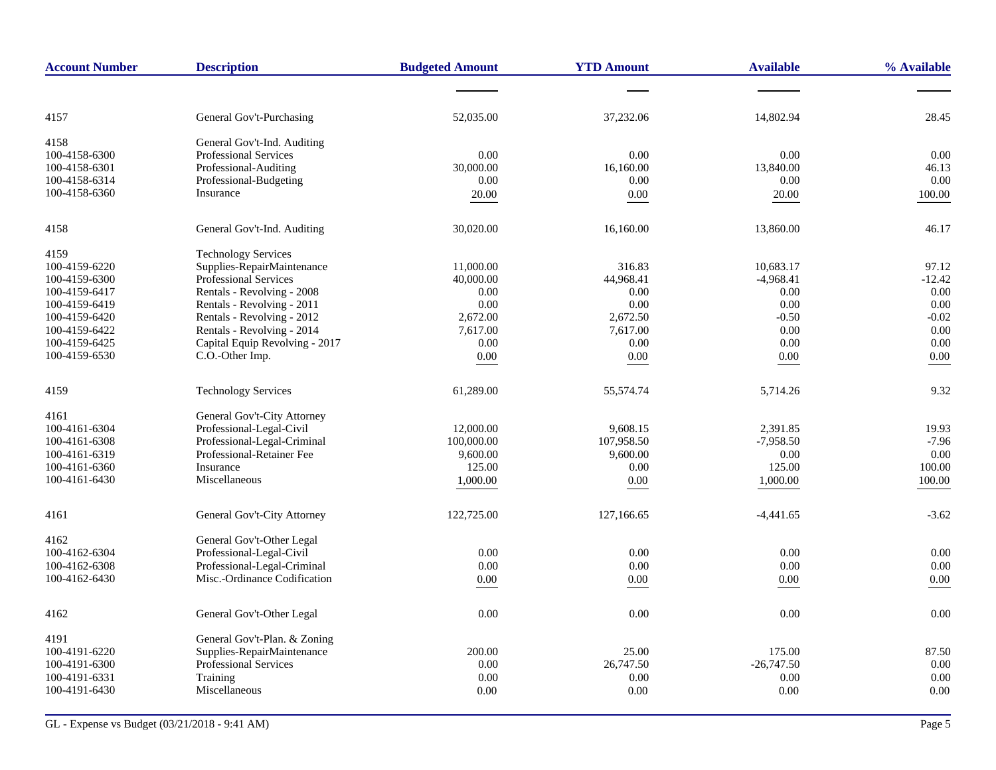| 14,802.94<br>28.45<br>4157<br>General Gov't-Purchasing<br>52,035.00<br>37,232.06<br>4158<br>General Gov't-Ind. Auditing<br>Professional Services<br>0.00<br>0.00<br>0.00<br>0.00<br>100-4158-6300<br>30,000.00<br>16,160.00<br>13,840.00<br>100-4158-6301<br>Professional-Auditing<br>46.13<br>0.00<br>100-4158-6314<br>Professional-Budgeting<br>0.00<br>0.00<br>0.00<br>100-4158-6360<br>Insurance<br>$0.00\,$<br>20.00<br>20.00<br>100.00<br>30,020.00<br>16,160.00<br>13,860.00<br>46.17<br>4158<br>General Gov't-Ind. Auditing<br>4159<br><b>Technology Services</b><br>10,683.17<br>100-4159-6220<br>Supplies-RepairMaintenance<br>11,000.00<br>316.83<br>97.12<br><b>Professional Services</b><br>40,000.00<br>44,968.41<br>$-4,968.41$<br>$-12.42$<br>100-4159-6300<br>0.00<br>Rentals - Revolving - 2008<br>0.00<br>0.00<br>0.00<br>100-4159-6417<br>0.00<br>0.00<br>0.00<br>100-4159-6419<br>Rentals - Revolving - 2011<br>0.00<br>Rentals - Revolving - 2012<br>2,672.00<br>2,672.50<br>$-0.50$<br>$-0.02$<br>100-4159-6420<br>7,617.00<br>0.00<br>100-4159-6422<br>Rentals - Revolving - 2014<br>7,617.00<br>0.00<br>$0.00\,$<br>Capital Equip Revolving - 2017<br>0.00<br>0.00<br>0.00<br>100-4159-6425<br>100-4159-6530<br>C.O.-Other Imp.<br>0.00<br>0.00<br>0.00<br>0.00<br>9.32<br>4159<br><b>Technology Services</b><br>61,289.00<br>55,574.74<br>5,714.26<br>General Gov't-City Attorney<br>4161<br>Professional-Legal-Civil<br>9,608.15<br>2,391.85<br>100-4161-6304<br>12,000.00<br>19.93<br>Professional-Legal-Criminal<br>100,000.00<br>107,958.50<br>$-7,958.50$<br>$-7.96$<br>100-4161-6308<br>Professional-Retainer Fee<br>9,600.00<br>0.00<br>100-4161-6319<br>9,600.00<br>0.00<br>100.00<br>100-4161-6360<br>Insurance<br>125.00<br>0.00<br>125.00<br>Miscellaneous<br>100-4161-6430<br>1,000.00<br>0.00<br>1,000.00<br>100.00<br>4161<br>General Gov't-City Attorney<br>122,725.00<br>127,166.65<br>$-4,441.65$<br>$-3.62$<br>4162<br>General Gov't-Other Legal<br>100-4162-6304<br>Professional-Legal-Civil<br>0.00<br>0.00<br>0.00<br>0.00<br>Professional-Legal-Criminal<br>0.00<br>0.00<br>0.00<br>0.00<br>100-4162-6308<br>Misc.-Ordinance Codification<br>100-4162-6430<br>0.00<br>0.00<br>0.00<br>0.00<br>General Gov't-Other Legal<br>0.00<br>0.00<br>0.00<br>4162<br>0.00<br>4191<br>General Gov't-Plan. & Zoning<br>100-4191-6220<br>Supplies-RepairMaintenance<br>200.00<br>25.00<br>175.00<br>87.50<br>Professional Services<br>0.00<br>100-4191-6300<br>0.00<br>26,747.50<br>$-26,747.50$<br>Training<br>0.00<br>100-4191-6331<br>0.00<br>0.00<br>0.00<br>100-4191-6430<br>Miscellaneous<br>0.00<br>0.00<br>0.00<br>0.00 | <b>Account Number</b> | <b>Description</b> | <b>Budgeted Amount</b> | <b>YTD Amount</b> | <b>Available</b> | % Available |
|--------------------------------------------------------------------------------------------------------------------------------------------------------------------------------------------------------------------------------------------------------------------------------------------------------------------------------------------------------------------------------------------------------------------------------------------------------------------------------------------------------------------------------------------------------------------------------------------------------------------------------------------------------------------------------------------------------------------------------------------------------------------------------------------------------------------------------------------------------------------------------------------------------------------------------------------------------------------------------------------------------------------------------------------------------------------------------------------------------------------------------------------------------------------------------------------------------------------------------------------------------------------------------------------------------------------------------------------------------------------------------------------------------------------------------------------------------------------------------------------------------------------------------------------------------------------------------------------------------------------------------------------------------------------------------------------------------------------------------------------------------------------------------------------------------------------------------------------------------------------------------------------------------------------------------------------------------------------------------------------------------------------------------------------------------------------------------------------------------------------------------------------------------------------------------------------------------------------------------------------------------------------------------------------------------------------------------------------------------------------------------------------------------------------------------------------------------------------------------------------------------------------------------------------------------------------------------------------------------------------------------------------------------------------|-----------------------|--------------------|------------------------|-------------------|------------------|-------------|
|                                                                                                                                                                                                                                                                                                                                                                                                                                                                                                                                                                                                                                                                                                                                                                                                                                                                                                                                                                                                                                                                                                                                                                                                                                                                                                                                                                                                                                                                                                                                                                                                                                                                                                                                                                                                                                                                                                                                                                                                                                                                                                                                                                                                                                                                                                                                                                                                                                                                                                                                                                                                                                                                    |                       |                    |                        |                   |                  |             |
|                                                                                                                                                                                                                                                                                                                                                                                                                                                                                                                                                                                                                                                                                                                                                                                                                                                                                                                                                                                                                                                                                                                                                                                                                                                                                                                                                                                                                                                                                                                                                                                                                                                                                                                                                                                                                                                                                                                                                                                                                                                                                                                                                                                                                                                                                                                                                                                                                                                                                                                                                                                                                                                                    |                       |                    |                        |                   |                  |             |
|                                                                                                                                                                                                                                                                                                                                                                                                                                                                                                                                                                                                                                                                                                                                                                                                                                                                                                                                                                                                                                                                                                                                                                                                                                                                                                                                                                                                                                                                                                                                                                                                                                                                                                                                                                                                                                                                                                                                                                                                                                                                                                                                                                                                                                                                                                                                                                                                                                                                                                                                                                                                                                                                    |                       |                    |                        |                   |                  |             |
|                                                                                                                                                                                                                                                                                                                                                                                                                                                                                                                                                                                                                                                                                                                                                                                                                                                                                                                                                                                                                                                                                                                                                                                                                                                                                                                                                                                                                                                                                                                                                                                                                                                                                                                                                                                                                                                                                                                                                                                                                                                                                                                                                                                                                                                                                                                                                                                                                                                                                                                                                                                                                                                                    |                       |                    |                        |                   |                  |             |
|                                                                                                                                                                                                                                                                                                                                                                                                                                                                                                                                                                                                                                                                                                                                                                                                                                                                                                                                                                                                                                                                                                                                                                                                                                                                                                                                                                                                                                                                                                                                                                                                                                                                                                                                                                                                                                                                                                                                                                                                                                                                                                                                                                                                                                                                                                                                                                                                                                                                                                                                                                                                                                                                    |                       |                    |                        |                   |                  |             |
|                                                                                                                                                                                                                                                                                                                                                                                                                                                                                                                                                                                                                                                                                                                                                                                                                                                                                                                                                                                                                                                                                                                                                                                                                                                                                                                                                                                                                                                                                                                                                                                                                                                                                                                                                                                                                                                                                                                                                                                                                                                                                                                                                                                                                                                                                                                                                                                                                                                                                                                                                                                                                                                                    |                       |                    |                        |                   |                  |             |
|                                                                                                                                                                                                                                                                                                                                                                                                                                                                                                                                                                                                                                                                                                                                                                                                                                                                                                                                                                                                                                                                                                                                                                                                                                                                                                                                                                                                                                                                                                                                                                                                                                                                                                                                                                                                                                                                                                                                                                                                                                                                                                                                                                                                                                                                                                                                                                                                                                                                                                                                                                                                                                                                    |                       |                    |                        |                   |                  |             |
|                                                                                                                                                                                                                                                                                                                                                                                                                                                                                                                                                                                                                                                                                                                                                                                                                                                                                                                                                                                                                                                                                                                                                                                                                                                                                                                                                                                                                                                                                                                                                                                                                                                                                                                                                                                                                                                                                                                                                                                                                                                                                                                                                                                                                                                                                                                                                                                                                                                                                                                                                                                                                                                                    |                       |                    |                        |                   |                  |             |
|                                                                                                                                                                                                                                                                                                                                                                                                                                                                                                                                                                                                                                                                                                                                                                                                                                                                                                                                                                                                                                                                                                                                                                                                                                                                                                                                                                                                                                                                                                                                                                                                                                                                                                                                                                                                                                                                                                                                                                                                                                                                                                                                                                                                                                                                                                                                                                                                                                                                                                                                                                                                                                                                    |                       |                    |                        |                   |                  |             |
|                                                                                                                                                                                                                                                                                                                                                                                                                                                                                                                                                                                                                                                                                                                                                                                                                                                                                                                                                                                                                                                                                                                                                                                                                                                                                                                                                                                                                                                                                                                                                                                                                                                                                                                                                                                                                                                                                                                                                                                                                                                                                                                                                                                                                                                                                                                                                                                                                                                                                                                                                                                                                                                                    |                       |                    |                        |                   |                  |             |
|                                                                                                                                                                                                                                                                                                                                                                                                                                                                                                                                                                                                                                                                                                                                                                                                                                                                                                                                                                                                                                                                                                                                                                                                                                                                                                                                                                                                                                                                                                                                                                                                                                                                                                                                                                                                                                                                                                                                                                                                                                                                                                                                                                                                                                                                                                                                                                                                                                                                                                                                                                                                                                                                    |                       |                    |                        |                   |                  |             |
|                                                                                                                                                                                                                                                                                                                                                                                                                                                                                                                                                                                                                                                                                                                                                                                                                                                                                                                                                                                                                                                                                                                                                                                                                                                                                                                                                                                                                                                                                                                                                                                                                                                                                                                                                                                                                                                                                                                                                                                                                                                                                                                                                                                                                                                                                                                                                                                                                                                                                                                                                                                                                                                                    |                       |                    |                        |                   |                  |             |
|                                                                                                                                                                                                                                                                                                                                                                                                                                                                                                                                                                                                                                                                                                                                                                                                                                                                                                                                                                                                                                                                                                                                                                                                                                                                                                                                                                                                                                                                                                                                                                                                                                                                                                                                                                                                                                                                                                                                                                                                                                                                                                                                                                                                                                                                                                                                                                                                                                                                                                                                                                                                                                                                    |                       |                    |                        |                   |                  |             |
|                                                                                                                                                                                                                                                                                                                                                                                                                                                                                                                                                                                                                                                                                                                                                                                                                                                                                                                                                                                                                                                                                                                                                                                                                                                                                                                                                                                                                                                                                                                                                                                                                                                                                                                                                                                                                                                                                                                                                                                                                                                                                                                                                                                                                                                                                                                                                                                                                                                                                                                                                                                                                                                                    |                       |                    |                        |                   |                  |             |
|                                                                                                                                                                                                                                                                                                                                                                                                                                                                                                                                                                                                                                                                                                                                                                                                                                                                                                                                                                                                                                                                                                                                                                                                                                                                                                                                                                                                                                                                                                                                                                                                                                                                                                                                                                                                                                                                                                                                                                                                                                                                                                                                                                                                                                                                                                                                                                                                                                                                                                                                                                                                                                                                    |                       |                    |                        |                   |                  |             |
|                                                                                                                                                                                                                                                                                                                                                                                                                                                                                                                                                                                                                                                                                                                                                                                                                                                                                                                                                                                                                                                                                                                                                                                                                                                                                                                                                                                                                                                                                                                                                                                                                                                                                                                                                                                                                                                                                                                                                                                                                                                                                                                                                                                                                                                                                                                                                                                                                                                                                                                                                                                                                                                                    |                       |                    |                        |                   |                  |             |
|                                                                                                                                                                                                                                                                                                                                                                                                                                                                                                                                                                                                                                                                                                                                                                                                                                                                                                                                                                                                                                                                                                                                                                                                                                                                                                                                                                                                                                                                                                                                                                                                                                                                                                                                                                                                                                                                                                                                                                                                                                                                                                                                                                                                                                                                                                                                                                                                                                                                                                                                                                                                                                                                    |                       |                    |                        |                   |                  |             |
|                                                                                                                                                                                                                                                                                                                                                                                                                                                                                                                                                                                                                                                                                                                                                                                                                                                                                                                                                                                                                                                                                                                                                                                                                                                                                                                                                                                                                                                                                                                                                                                                                                                                                                                                                                                                                                                                                                                                                                                                                                                                                                                                                                                                                                                                                                                                                                                                                                                                                                                                                                                                                                                                    |                       |                    |                        |                   |                  |             |
|                                                                                                                                                                                                                                                                                                                                                                                                                                                                                                                                                                                                                                                                                                                                                                                                                                                                                                                                                                                                                                                                                                                                                                                                                                                                                                                                                                                                                                                                                                                                                                                                                                                                                                                                                                                                                                                                                                                                                                                                                                                                                                                                                                                                                                                                                                                                                                                                                                                                                                                                                                                                                                                                    |                       |                    |                        |                   |                  |             |
|                                                                                                                                                                                                                                                                                                                                                                                                                                                                                                                                                                                                                                                                                                                                                                                                                                                                                                                                                                                                                                                                                                                                                                                                                                                                                                                                                                                                                                                                                                                                                                                                                                                                                                                                                                                                                                                                                                                                                                                                                                                                                                                                                                                                                                                                                                                                                                                                                                                                                                                                                                                                                                                                    |                       |                    |                        |                   |                  |             |
|                                                                                                                                                                                                                                                                                                                                                                                                                                                                                                                                                                                                                                                                                                                                                                                                                                                                                                                                                                                                                                                                                                                                                                                                                                                                                                                                                                                                                                                                                                                                                                                                                                                                                                                                                                                                                                                                                                                                                                                                                                                                                                                                                                                                                                                                                                                                                                                                                                                                                                                                                                                                                                                                    |                       |                    |                        |                   |                  |             |
|                                                                                                                                                                                                                                                                                                                                                                                                                                                                                                                                                                                                                                                                                                                                                                                                                                                                                                                                                                                                                                                                                                                                                                                                                                                                                                                                                                                                                                                                                                                                                                                                                                                                                                                                                                                                                                                                                                                                                                                                                                                                                                                                                                                                                                                                                                                                                                                                                                                                                                                                                                                                                                                                    |                       |                    |                        |                   |                  |             |
|                                                                                                                                                                                                                                                                                                                                                                                                                                                                                                                                                                                                                                                                                                                                                                                                                                                                                                                                                                                                                                                                                                                                                                                                                                                                                                                                                                                                                                                                                                                                                                                                                                                                                                                                                                                                                                                                                                                                                                                                                                                                                                                                                                                                                                                                                                                                                                                                                                                                                                                                                                                                                                                                    |                       |                    |                        |                   |                  |             |
|                                                                                                                                                                                                                                                                                                                                                                                                                                                                                                                                                                                                                                                                                                                                                                                                                                                                                                                                                                                                                                                                                                                                                                                                                                                                                                                                                                                                                                                                                                                                                                                                                                                                                                                                                                                                                                                                                                                                                                                                                                                                                                                                                                                                                                                                                                                                                                                                                                                                                                                                                                                                                                                                    |                       |                    |                        |                   |                  |             |
|                                                                                                                                                                                                                                                                                                                                                                                                                                                                                                                                                                                                                                                                                                                                                                                                                                                                                                                                                                                                                                                                                                                                                                                                                                                                                                                                                                                                                                                                                                                                                                                                                                                                                                                                                                                                                                                                                                                                                                                                                                                                                                                                                                                                                                                                                                                                                                                                                                                                                                                                                                                                                                                                    |                       |                    |                        |                   |                  |             |
|                                                                                                                                                                                                                                                                                                                                                                                                                                                                                                                                                                                                                                                                                                                                                                                                                                                                                                                                                                                                                                                                                                                                                                                                                                                                                                                                                                                                                                                                                                                                                                                                                                                                                                                                                                                                                                                                                                                                                                                                                                                                                                                                                                                                                                                                                                                                                                                                                                                                                                                                                                                                                                                                    |                       |                    |                        |                   |                  |             |
|                                                                                                                                                                                                                                                                                                                                                                                                                                                                                                                                                                                                                                                                                                                                                                                                                                                                                                                                                                                                                                                                                                                                                                                                                                                                                                                                                                                                                                                                                                                                                                                                                                                                                                                                                                                                                                                                                                                                                                                                                                                                                                                                                                                                                                                                                                                                                                                                                                                                                                                                                                                                                                                                    |                       |                    |                        |                   |                  |             |
|                                                                                                                                                                                                                                                                                                                                                                                                                                                                                                                                                                                                                                                                                                                                                                                                                                                                                                                                                                                                                                                                                                                                                                                                                                                                                                                                                                                                                                                                                                                                                                                                                                                                                                                                                                                                                                                                                                                                                                                                                                                                                                                                                                                                                                                                                                                                                                                                                                                                                                                                                                                                                                                                    |                       |                    |                        |                   |                  |             |
|                                                                                                                                                                                                                                                                                                                                                                                                                                                                                                                                                                                                                                                                                                                                                                                                                                                                                                                                                                                                                                                                                                                                                                                                                                                                                                                                                                                                                                                                                                                                                                                                                                                                                                                                                                                                                                                                                                                                                                                                                                                                                                                                                                                                                                                                                                                                                                                                                                                                                                                                                                                                                                                                    |                       |                    |                        |                   |                  |             |
|                                                                                                                                                                                                                                                                                                                                                                                                                                                                                                                                                                                                                                                                                                                                                                                                                                                                                                                                                                                                                                                                                                                                                                                                                                                                                                                                                                                                                                                                                                                                                                                                                                                                                                                                                                                                                                                                                                                                                                                                                                                                                                                                                                                                                                                                                                                                                                                                                                                                                                                                                                                                                                                                    |                       |                    |                        |                   |                  |             |
|                                                                                                                                                                                                                                                                                                                                                                                                                                                                                                                                                                                                                                                                                                                                                                                                                                                                                                                                                                                                                                                                                                                                                                                                                                                                                                                                                                                                                                                                                                                                                                                                                                                                                                                                                                                                                                                                                                                                                                                                                                                                                                                                                                                                                                                                                                                                                                                                                                                                                                                                                                                                                                                                    |                       |                    |                        |                   |                  |             |
|                                                                                                                                                                                                                                                                                                                                                                                                                                                                                                                                                                                                                                                                                                                                                                                                                                                                                                                                                                                                                                                                                                                                                                                                                                                                                                                                                                                                                                                                                                                                                                                                                                                                                                                                                                                                                                                                                                                                                                                                                                                                                                                                                                                                                                                                                                                                                                                                                                                                                                                                                                                                                                                                    |                       |                    |                        |                   |                  |             |
|                                                                                                                                                                                                                                                                                                                                                                                                                                                                                                                                                                                                                                                                                                                                                                                                                                                                                                                                                                                                                                                                                                                                                                                                                                                                                                                                                                                                                                                                                                                                                                                                                                                                                                                                                                                                                                                                                                                                                                                                                                                                                                                                                                                                                                                                                                                                                                                                                                                                                                                                                                                                                                                                    |                       |                    |                        |                   |                  |             |
|                                                                                                                                                                                                                                                                                                                                                                                                                                                                                                                                                                                                                                                                                                                                                                                                                                                                                                                                                                                                                                                                                                                                                                                                                                                                                                                                                                                                                                                                                                                                                                                                                                                                                                                                                                                                                                                                                                                                                                                                                                                                                                                                                                                                                                                                                                                                                                                                                                                                                                                                                                                                                                                                    |                       |                    |                        |                   |                  |             |
|                                                                                                                                                                                                                                                                                                                                                                                                                                                                                                                                                                                                                                                                                                                                                                                                                                                                                                                                                                                                                                                                                                                                                                                                                                                                                                                                                                                                                                                                                                                                                                                                                                                                                                                                                                                                                                                                                                                                                                                                                                                                                                                                                                                                                                                                                                                                                                                                                                                                                                                                                                                                                                                                    |                       |                    |                        |                   |                  |             |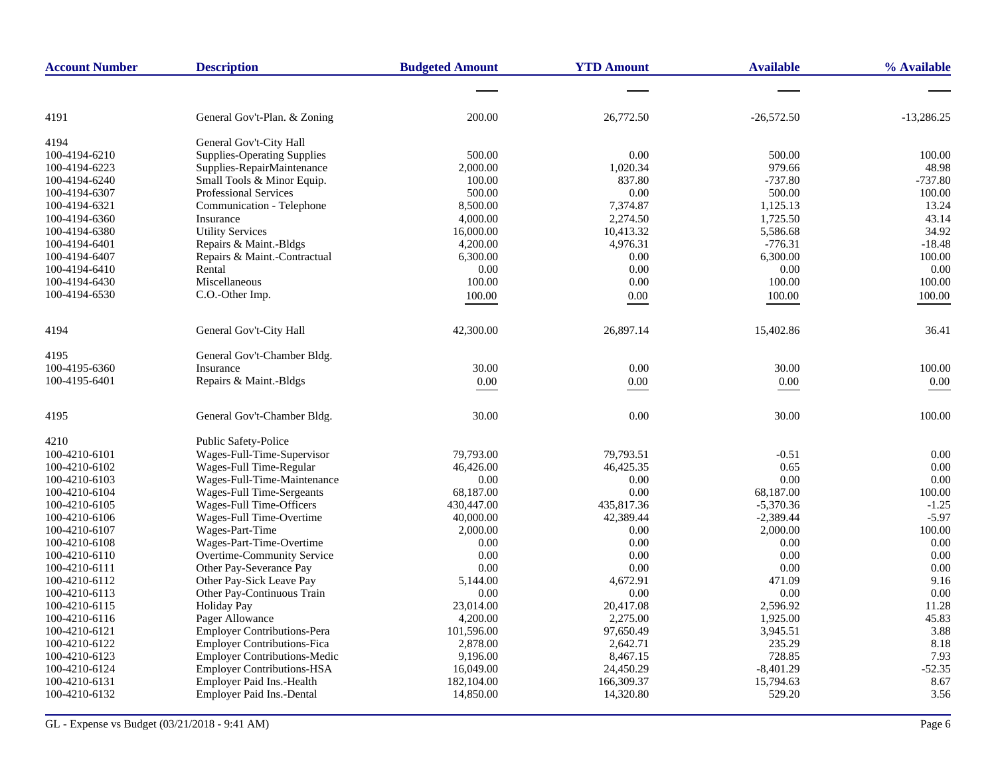| <b>Account Number</b> | <b>Description</b>                  | <b>Budgeted Amount</b> | <b>YTD Amount</b> | <b>Available</b> | % Available  |
|-----------------------|-------------------------------------|------------------------|-------------------|------------------|--------------|
|                       |                                     |                        |                   |                  |              |
| 4191                  | General Gov't-Plan. & Zoning        | 200.00                 | 26,772.50         | $-26,572.50$     | $-13,286.25$ |
| 4194                  | General Gov't-City Hall             |                        |                   |                  |              |
| 100-4194-6210         | <b>Supplies-Operating Supplies</b>  | 500.00                 | 0.00              | 500.00           | 100.00       |
| 100-4194-6223         | Supplies-RepairMaintenance          | 2,000.00               | 1,020.34          | 979.66           | 48.98        |
| 100-4194-6240         | Small Tools & Minor Equip.          | 100.00                 | 837.80            | $-737.80$        | $-737.80$    |
| 100-4194-6307         | <b>Professional Services</b>        | 500.00                 | 0.00              | 500.00           | 100.00       |
| 100-4194-6321         | Communication - Telephone           | 8,500.00               | 7,374.87          | 1,125.13         | 13.24        |
| 100-4194-6360         | Insurance                           | 4,000.00               | 2,274.50          | 1,725.50         | 43.14        |
| 100-4194-6380         | <b>Utility Services</b>             | 16,000.00              | 10,413.32         | 5,586.68         | 34.92        |
| 100-4194-6401         | Repairs & Maint.-Bldgs              | 4,200.00               | 4,976.31          | $-776.31$        | $-18.48$     |
| 100-4194-6407         | Repairs & Maint.-Contractual        | 6,300.00               | 0.00              | 6,300.00         | 100.00       |
| 100-4194-6410         | Rental                              | 0.00                   | 0.00              | 0.00             | 0.00         |
| 100-4194-6430         | Miscellaneous                       | 100.00                 | 0.00              | 100.00           | 100.00       |
| 100-4194-6530         | C.O.-Other Imp.                     | 100.00                 | 0.00              | 100.00           | 100.00       |
| 4194                  | General Gov't-City Hall             | 42,300.00              | 26,897.14         | 15,402.86        | 36.41        |
| 4195                  | General Gov't-Chamber Bldg.         |                        |                   |                  |              |
| 100-4195-6360         | Insurance                           | 30.00                  | 0.00              | 30.00            | 100.00       |
| 100-4195-6401         | Repairs & Maint.-Bldgs              | 0.00                   | 0.00              | $0.00\,$         | 0.00         |
| 4195                  | General Gov't-Chamber Bldg.         | 30.00                  | 0.00              | 30.00            | 100.00       |
| 4210                  | Public Safety-Police                |                        |                   |                  |              |
| 100-4210-6101         | Wages-Full-Time-Supervisor          | 79,793.00              | 79,793.51         | $-0.51$          | 0.00         |
| 100-4210-6102         | Wages-Full Time-Regular             | 46,426.00              | 46,425.35         | 0.65             | 0.00         |
| 100-4210-6103         | Wages-Full-Time-Maintenance         | 0.00                   | 0.00              | 0.00             | 0.00         |
| 100-4210-6104         | Wages-Full Time-Sergeants           | 68,187.00              | 0.00              | 68,187.00        | 100.00       |
| 100-4210-6105         | Wages-Full Time-Officers            | 430,447.00             | 435,817.36        | $-5,370.36$      | $-1.25$      |
| 100-4210-6106         | Wages-Full Time-Overtime            | 40,000.00              | 42,389.44         | $-2,389.44$      | $-5.97$      |
| 100-4210-6107         | Wages-Part-Time                     | 2,000.00               | 0.00              | 2,000.00         | 100.00       |
| 100-4210-6108         | Wages-Part-Time-Overtime            | 0.00                   | 0.00              | 0.00             | 0.00         |
| 100-4210-6110         | Overtime-Community Service          | 0.00                   | 0.00              | 0.00             | 0.00         |
| 100-4210-6111         | Other Pay-Severance Pay             | 0.00                   | 0.00              | 0.00             | 0.00         |
| 100-4210-6112         | Other Pay-Sick Leave Pay            | 5,144.00               | 4,672.91          | 471.09           | 9.16         |
| 100-4210-6113         | Other Pay-Continuous Train          | 0.00                   | 0.00              | 0.00             | 0.00         |
| 100-4210-6115         | <b>Holiday Pay</b>                  | 23,014.00              | 20,417.08         | 2,596.92         | 11.28        |
| 100-4210-6116         | Pager Allowance                     | 4,200.00               | 2,275.00          | 1,925.00         | 45.83        |
| 100-4210-6121         | <b>Employer Contributions-Pera</b>  | 101,596.00             | 97,650.49         | 3,945.51         | 3.88         |
| 100-4210-6122         | <b>Employer Contributions-Fica</b>  | 2,878.00               | 2,642.71          | 235.29           | 8.18         |
| 100-4210-6123         | <b>Employer Contributions-Medic</b> | 9,196.00               | 8,467.15          | 728.85           | 7.93         |
| 100-4210-6124         | <b>Employer Contributions-HSA</b>   | 16,049.00              | 24,450.29         | $-8,401.29$      | $-52.35$     |
| 100-4210-6131         | Employer Paid Ins.-Health           | 182,104.00             | 166,309.37        | 15,794.63        | 8.67         |
| 100-4210-6132         | <b>Employer Paid Ins.-Dental</b>    | 14,850.00              | 14,320.80         | 529.20           | 3.56         |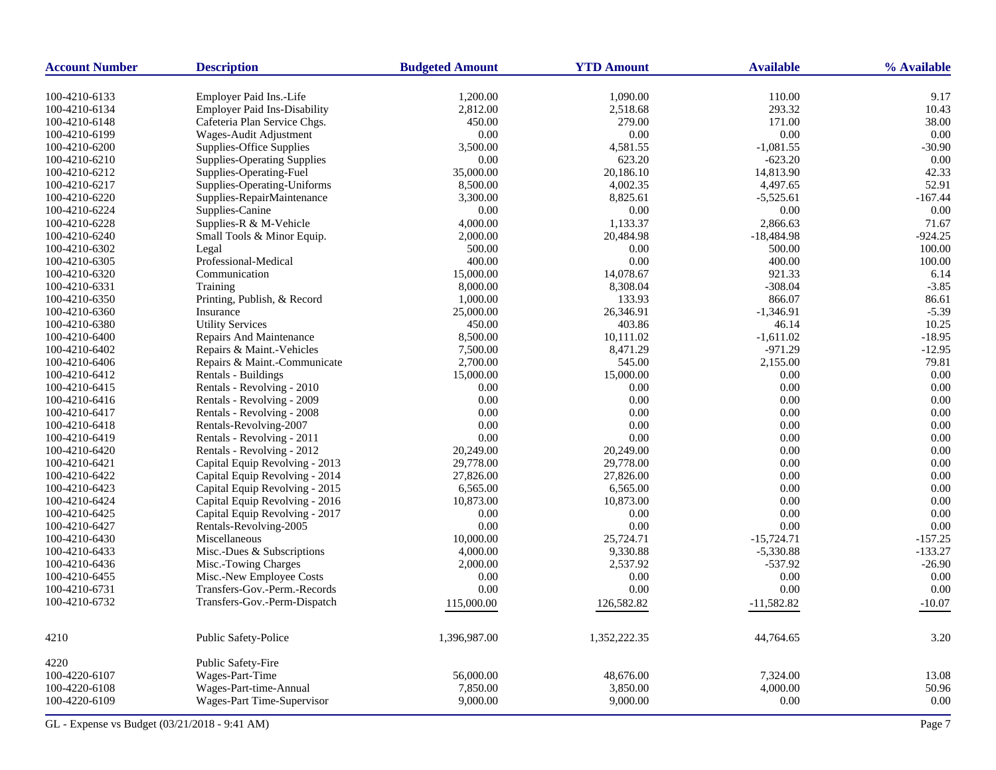| <b>Account Number</b> | <b>Description</b>                                   | <b>Budgeted Amount</b> | <b>YTD Amount</b>  | <b>Available</b> | % Available  |
|-----------------------|------------------------------------------------------|------------------------|--------------------|------------------|--------------|
| 100-4210-6133         | Employer Paid Ins.-Life                              | 1,200.00               | 1,090.00           | 110.00           | 9.17         |
| 100-4210-6134         | <b>Employer Paid Ins-Disability</b>                  | 2,812.00               | 2,518.68           | 293.32           | 10.43        |
| 100-4210-6148         | Cafeteria Plan Service Chgs.                         | 450.00                 | 279.00             | 171.00           | 38.00        |
| 100-4210-6199         | Wages-Audit Adjustment                               | 0.00                   | 0.00               | 0.00             | 0.00         |
| 100-4210-6200         | <b>Supplies-Office Supplies</b>                      | 3,500.00               | 4,581.55           | $-1,081.55$      | $-30.90$     |
| 100-4210-6210         | <b>Supplies-Operating Supplies</b>                   | 0.00                   | 623.20             | $-623.20$        | 0.00         |
| 100-4210-6212         | Supplies-Operating-Fuel                              | 35,000.00              | 20,186.10          | 14,813.90        | 42.33        |
| 100-4210-6217         | Supplies-Operating-Uniforms                          | 8,500.00               | 4,002.35           | 4,497.65         | 52.91        |
| 100-4210-6220         | Supplies-RepairMaintenance                           | 3,300.00               | 8,825.61           | $-5,525.61$      | $-167.44$    |
| 100-4210-6224         | Supplies-Canine                                      | 0.00                   | 0.00               | 0.00             | 0.00         |
| 100-4210-6228         | Supplies-R & M-Vehicle                               | 4,000.00               | 1,133.37           | 2,866.63         | 71.67        |
| 100-4210-6240         | Small Tools & Minor Equip.                           | 2,000.00               | 20,484.98          | $-18,484.98$     | $-924.25$    |
| 100-4210-6302         | Legal                                                | 500.00                 | 0.00               | 500.00           | 100.00       |
| 100-4210-6305         | Professional-Medical                                 | 400.00                 | 0.00               | 400.00           | 100.00       |
| 100-4210-6320         | Communication                                        | 15,000.00              | 14,078.67          | 921.33           | 6.14         |
| 100-4210-6331         | Training                                             | 8,000.00               | 8,308.04           | $-308.04$        | $-3.85$      |
| 100-4210-6350         | Printing, Publish, & Record                          | 1,000.00               | 133.93             | 866.07           | 86.61        |
| 100-4210-6360         | Insurance                                            | 25,000.00              | 26,346.91          | $-1,346.91$      | $-5.39$      |
| 100-4210-6380         | <b>Utility Services</b>                              | 450.00                 | 403.86             | 46.14            | 10.25        |
| 100-4210-6400         | Repairs And Maintenance                              |                        | 10,111.02          | $-1,611.02$      | $-18.95$     |
| 100-4210-6402         |                                                      | 8,500.00<br>7,500.00   |                    | $-971.29$        | $-12.95$     |
|                       | Repairs & Maint.-Vehicles                            | 2,700.00               | 8,471.29<br>545.00 | 2,155.00         | 79.81        |
| 100-4210-6406         | Repairs & Maint.-Communicate<br>Rentals - Buildings  |                        | 15,000.00          | 0.00             | 0.00         |
| 100-4210-6412         | Rentals - Revolving - 2010                           | 15,000.00              |                    |                  |              |
| 100-4210-6415         |                                                      | 0.00                   | 0.00               | 0.00             | 0.00         |
| 100-4210-6416         | Rentals - Revolving - 2009                           | 0.00                   | 0.00               | 0.00<br>0.00     | 0.00<br>0.00 |
| 100-4210-6417         | Rentals - Revolving - 2008<br>Rentals-Revolving-2007 | 0.00                   | 0.00               |                  |              |
| 100-4210-6418         |                                                      | 0.00                   | 0.00               | 0.00             | 0.00         |
| 100-4210-6419         | Rentals - Revolving - 2011                           | 0.00                   | 0.00               | 0.00             | 0.00         |
| 100-4210-6420         | Rentals - Revolving - 2012                           | 20,249.00              | 20,249.00          | 0.00             | 0.00         |
| 100-4210-6421         | Capital Equip Revolving - 2013                       | 29,778.00              | 29,778.00          | 0.00             | 0.00         |
| 100-4210-6422         | Capital Equip Revolving - 2014                       | 27,826.00              | 27,826.00          | 0.00             | 0.00         |
| 100-4210-6423         | Capital Equip Revolving - 2015                       | 6,565.00               | 6,565.00           | 0.00             | 0.00         |
| 100-4210-6424         | Capital Equip Revolving - 2016                       | 10,873.00              | 10,873.00          | 0.00             | 0.00         |
| 100-4210-6425         | Capital Equip Revolving - 2017                       | 0.00                   | 0.00               | 0.00             | 0.00         |
| 100-4210-6427         | Rentals-Revolving-2005                               | 0.00                   | 0.00               | 0.00             | 0.00         |
| 100-4210-6430         | Miscellaneous                                        | 10,000.00              | 25,724.71          | $-15,724.71$     | $-157.25$    |
| 100-4210-6433         | Misc.-Dues & Subscriptions                           | 4,000.00               | 9,330.88           | $-5,330.88$      | $-133.27$    |
| 100-4210-6436         | Misc.-Towing Charges                                 | 2,000.00               | 2,537.92           | $-537.92$        | $-26.90$     |
| 100-4210-6455         | Misc.-New Employee Costs                             | 0.00                   | 0.00               | 0.00             | 0.00         |
| 100-4210-6731         | Transfers-Gov.-Perm.-Records                         | 0.00                   | 0.00               | 0.00             | 0.00         |
| 100-4210-6732         | Transfers-Gov.-Perm-Dispatch                         | 115,000.00             | 126,582.82         | $-11,582.82$     | $-10.07$     |
| 4210                  | Public Safety-Police                                 | 1,396,987.00           | 1,352,222.35       | 44,764.65        | 3.20         |
| 4220                  | Public Safety-Fire                                   |                        |                    |                  |              |
| 100-4220-6107         | Wages-Part-Time                                      | 56,000.00              | 48,676.00          | 7,324.00         | 13.08        |
| 100-4220-6108         | Wages-Part-time-Annual                               | 7,850.00               | 3,850.00           | 4,000.00         | 50.96        |
| 100-4220-6109         | Wages-Part Time-Supervisor                           | 9,000.00               | 9,000.00           | 0.00             | 0.00         |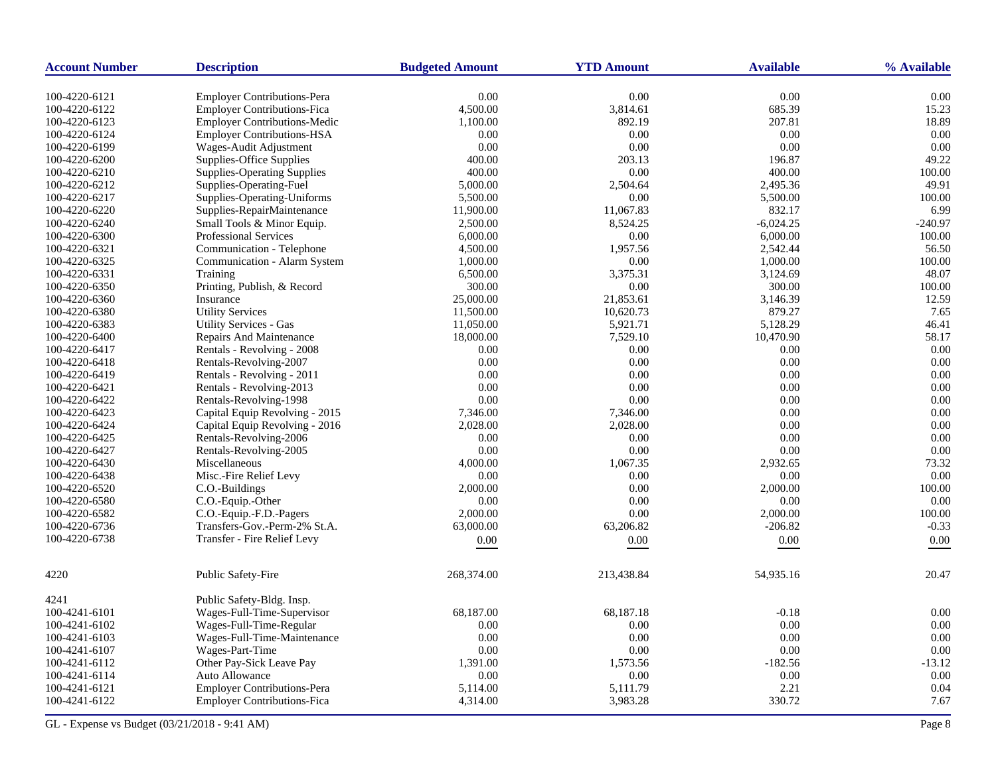| <b>Account Number</b> | <b>Description</b>                  | <b>Budgeted Amount</b> | <b>YTD Amount</b> | <b>Available</b> | % Available |
|-----------------------|-------------------------------------|------------------------|-------------------|------------------|-------------|
| 100-4220-6121         | <b>Employer Contributions-Pera</b>  | 0.00                   | 0.00              | 0.00             | 0.00        |
| 100-4220-6122         | <b>Employer Contributions-Fica</b>  | 4,500.00               | 3,814.61          | 685.39           | 15.23       |
| 100-4220-6123         | <b>Employer Contributions-Medic</b> | 1,100.00               | 892.19            | 207.81           | 18.89       |
| 100-4220-6124         | <b>Employer Contributions-HSA</b>   | 0.00                   | 0.00              | 0.00             | 0.00        |
| 100-4220-6199         | Wages-Audit Adjustment              | 0.00                   | 0.00              | 0.00             | 0.00        |
| 100-4220-6200         | Supplies-Office Supplies            | 400.00                 | 203.13            | 196.87           | 49.22       |
| 100-4220-6210         | <b>Supplies-Operating Supplies</b>  | 400.00                 | 0.00              | 400.00           | 100.00      |
| 100-4220-6212         | Supplies-Operating-Fuel             | 5,000.00               | 2,504.64          | 2,495.36         | 49.91       |
| 100-4220-6217         | Supplies-Operating-Uniforms         | 5,500.00               | 0.00              | 5,500.00         | 100.00      |
| 100-4220-6220         | Supplies-RepairMaintenance          | 11,900.00              | 11,067.83         | 832.17           | 6.99        |
| 100-4220-6240         | Small Tools & Minor Equip.          | 2,500.00               | 8,524.25          | $-6,024.25$      | -240.97     |
| 100-4220-6300         | Professional Services               | 6,000.00               | 0.00              | 6,000.00         | 100.00      |
| 100-4220-6321         | Communication - Telephone           | 4,500.00               | 1,957.56          | 2,542.44         | 56.50       |
| 100-4220-6325         | Communication - Alarm System        | 1,000.00               | 0.00              | 1,000.00         | 100.00      |
| 100-4220-6331         | Training                            | 6,500.00               | 3,375.31          | 3,124.69         | 48.07       |
| 100-4220-6350         | Printing, Publish, & Record         | 300.00                 | 0.00              | 300.00           | 100.00      |
| 100-4220-6360         | Insurance                           | 25,000.00              | 21,853.61         | 3,146.39         | 12.59       |
| 100-4220-6380         | <b>Utility Services</b>             | 11,500.00              | 10,620.73         | 879.27           | 7.65        |
| 100-4220-6383         | <b>Utility Services - Gas</b>       | 11,050.00              | 5,921.71          | 5,128.29         | 46.41       |
| 100-4220-6400         | Repairs And Maintenance             | 18,000.00              | 7,529.10          | 10,470.90        | 58.17       |
| 100-4220-6417         | Rentals - Revolving - 2008          | 0.00                   | 0.00              | 0.00             | 0.00        |
| 100-4220-6418         | Rentals-Revolving-2007              | 0.00                   | 0.00              | 0.00             | 0.00        |
| 100-4220-6419         | Rentals - Revolving - 2011          | 0.00                   | 0.00              | 0.00             | 0.00        |
| 100-4220-6421         | Rentals - Revolving-2013            | 0.00                   | 0.00              | 0.00             | 0.00        |
| 100-4220-6422         | Rentals-Revolving-1998              | 0.00                   | 0.00              | 0.00             | 0.00        |
| 100-4220-6423         | Capital Equip Revolving - 2015      | 7,346.00               | 7,346.00          | 0.00             | 0.00        |
| 100-4220-6424         | Capital Equip Revolving - 2016      | 2,028.00               | 2,028.00          | 0.00             | 0.00        |
| 100-4220-6425         | Rentals-Revolving-2006              | 0.00                   | 0.00              | 0.00             | 0.00        |
| 100-4220-6427         | Rentals-Revolving-2005              | 0.00                   | 0.00              | 0.00             | 0.00        |
| 100-4220-6430         | Miscellaneous                       | 4,000.00               | 1,067.35          | 2,932.65         | 73.32       |
| 100-4220-6438         | Misc.-Fire Relief Levy              | 0.00                   | 0.00              | 0.00             | 0.00        |
| 100-4220-6520         | C.O.-Buildings                      | 2,000.00               | 0.00              | 2,000.00         | 100.00      |
| 100-4220-6580         | C.O.-Equip.-Other                   | 0.00                   | 0.00              | 0.00             | 0.00        |
| 100-4220-6582         | C.O.-Equip.-F.D.-Pagers             | 2,000.00               | 0.00              | 2,000.00         | 100.00      |
| 100-4220-6736         | Transfers-Gov.-Perm-2% St.A.        | 63,000.00              | 63,206.82         | $-206.82$        | $-0.33$     |
| 100-4220-6738         | Transfer - Fire Relief Levy         | 0.00                   | 0.00              | $0.00\,$         | $0.00\,$    |
|                       |                                     |                        |                   |                  |             |
| 4220                  | Public Safety-Fire                  | 268,374.00             | 213,438.84        | 54,935.16        | 20.47       |
| 4241                  | Public Safety-Bldg. Insp.           |                        |                   |                  |             |
| 100-4241-6101         | Wages-Full-Time-Supervisor          | 68,187.00              | 68,187.18         | $-0.18$          | 0.00        |
| 100-4241-6102         | Wages-Full-Time-Regular             | 0.00                   | 0.00              | 0.00             | 0.00        |
| 100-4241-6103         | Wages-Full-Time-Maintenance         | 0.00                   | 0.00              | 0.00             | 0.00        |
| 100-4241-6107         | Wages-Part-Time                     | 0.00                   | 0.00              | 0.00             | 0.00        |
| 100-4241-6112         | Other Pay-Sick Leave Pay            | 1,391.00               | 1,573.56          | $-182.56$        | $-13.12$    |
| 100-4241-6114         | Auto Allowance                      | 0.00                   | 0.00              | 0.00             | 0.00        |
| 100-4241-6121         | Employer Contributions-Pera         | 5,114.00               | 5,111.79          | 2.21             | 0.04        |
| 100-4241-6122         | <b>Employer Contributions-Fica</b>  | 4,314.00               | 3,983.28          | 330.72           | 7.67        |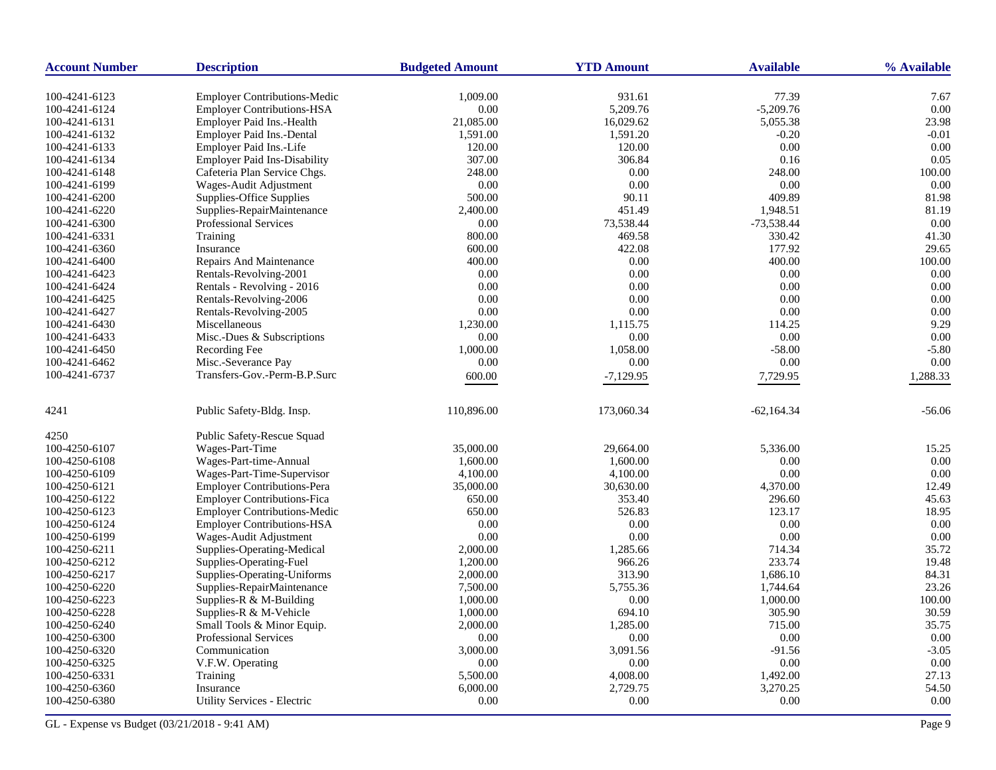| <b>Account Number</b>          | <b>Description</b>                                                       | <b>Budgeted Amount</b> | <b>YTD Amount</b>  | <b>Available</b>     | % Available  |
|--------------------------------|--------------------------------------------------------------------------|------------------------|--------------------|----------------------|--------------|
|                                |                                                                          |                        |                    |                      |              |
| 100-4241-6123<br>100-4241-6124 | <b>Employer Contributions-Medic</b><br><b>Employer Contributions-HSA</b> | 1,009.00<br>$0.00\,$   | 931.61<br>5,209.76 | 77.39<br>$-5,209.76$ | 7.67<br>0.00 |
| 100-4241-6131                  | Employer Paid Ins.-Health                                                | 21,085.00              | 16,029.62          | 5,055.38             | 23.98        |
| 100-4241-6132                  | Employer Paid Ins.-Dental                                                | 1,591.00               | 1,591.20           | $-0.20$              | $-0.01$      |
| 100-4241-6133                  | Employer Paid Ins.-Life                                                  | 120.00                 | 120.00             | 0.00                 | 0.00         |
| 100-4241-6134                  | <b>Employer Paid Ins-Disability</b>                                      | 307.00                 | 306.84             | 0.16                 | 0.05         |
| 100-4241-6148                  | Cafeteria Plan Service Chgs.                                             | 248.00                 | 0.00               | 248.00               | 100.00       |
| 100-4241-6199                  | Wages-Audit Adjustment                                                   | 0.00                   | 0.00               | 0.00                 | 0.00         |
| 100-4241-6200                  | Supplies-Office Supplies                                                 | 500.00                 | 90.11              | 409.89               | 81.98        |
| 100-4241-6220                  | Supplies-RepairMaintenance                                               | 2,400.00               | 451.49             | 1,948.51             | 81.19        |
|                                |                                                                          | $0.00\,$               | 73,538.44          | $-73,538.44$         | 0.00         |
| 100-4241-6300                  | Professional Services<br>Training                                        | 800.00                 |                    | 330.42               | 41.30        |
| 100-4241-6331                  |                                                                          |                        | 469.58             | 177.92               |              |
| 100-4241-6360                  | Insurance<br>Repairs And Maintenance                                     | 600.00                 | 422.08             |                      | 29.65        |
| 100-4241-6400                  |                                                                          | 400.00                 | 0.00               | 400.00               | 100.00       |
| 100-4241-6423                  | Rentals-Revolving-2001                                                   | 0.00                   | 0.00               | 0.00                 | 0.00         |
| 100-4241-6424                  | Rentals - Revolving - 2016                                               | 0.00                   | 0.00               | 0.00                 | 0.00         |
| 100-4241-6425                  | Rentals-Revolving-2006                                                   | 0.00                   | 0.00               | 0.00                 | 0.00         |
| 100-4241-6427                  | Rentals-Revolving-2005                                                   | 0.00                   | 0.00               | 0.00                 | 0.00         |
| 100-4241-6430                  | Miscellaneous                                                            | 1,230.00               | 1,115.75           | 114.25               | 9.29         |
| 100-4241-6433                  | Misc.-Dues & Subscriptions                                               | 0.00                   | 0.00               | 0.00                 | 0.00         |
| 100-4241-6450                  | Recording Fee                                                            | 1,000.00               | 1,058.00           | $-58.00$             | $-5.80$      |
| 100-4241-6462                  | Misc.-Severance Pay                                                      | 0.00                   | 0.00               | 0.00                 | 0.00         |
| 100-4241-6737                  | Transfers-Gov.-Perm-B.P.Surc                                             | 600.00                 | $-7,129.95$        | 7,729.95             | 1,288.33     |
| 4241                           | Public Safety-Bldg. Insp.                                                | 110,896.00             | 173,060.34         | $-62,164.34$         | $-56.06$     |
| 4250                           | Public Safety-Rescue Squad                                               |                        |                    |                      |              |
| 100-4250-6107                  | Wages-Part-Time                                                          | 35,000.00              | 29,664.00          | 5,336.00             | 15.25        |
| 100-4250-6108                  | Wages-Part-time-Annual                                                   | 1,600.00               | 1,600.00           | 0.00                 | 0.00         |
| 100-4250-6109                  | Wages-Part-Time-Supervisor                                               | 4,100.00               | 4,100.00           | 0.00                 | 0.00         |
| 100-4250-6121                  | <b>Employer Contributions-Pera</b>                                       | 35,000.00              | 30,630.00          | 4,370.00             | 12.49        |
| 100-4250-6122                  | <b>Employer Contributions-Fica</b>                                       | 650.00                 | 353.40             | 296.60               | 45.63        |
| 100-4250-6123                  | Employer Contributions-Medic                                             | 650.00                 | 526.83             | 123.17               | 18.95        |
| 100-4250-6124                  | <b>Employer Contributions-HSA</b>                                        | 0.00                   | 0.00               | 0.00                 | 0.00         |
| 100-4250-6199                  | Wages-Audit Adjustment                                                   | 0.00                   | 0.00               | 0.00                 | 0.00         |
| 100-4250-6211                  | Supplies-Operating-Medical                                               | 2,000.00               | 1,285.66           | 714.34               | 35.72        |
| 100-4250-6212                  | Supplies-Operating-Fuel                                                  | 1,200.00               | 966.26             | 233.74               | 19.48        |
| 100-4250-6217                  | Supplies-Operating-Uniforms                                              | 2,000.00               | 313.90             | 1,686.10             | 84.31        |
| 100-4250-6220                  | Supplies-RepairMaintenance                                               | 7,500.00               | 5,755.36           | 1,744.64             | 23.26        |
| 100-4250-6223                  | Supplies-R & M-Building                                                  | 1,000.00               | 0.00               | 1,000.00             | 100.00       |
| 100-4250-6228                  | Supplies-R & M-Vehicle                                                   | 1,000.00               | 694.10             | 305.90               | 30.59        |
| 100-4250-6240                  | Small Tools & Minor Equip.                                               | 2,000.00               | 1,285.00           | 715.00               | 35.75        |
| 100-4250-6300                  | <b>Professional Services</b>                                             | 0.00                   | 0.00               | 0.00                 | 0.00         |
| 100-4250-6320                  | Communication                                                            | 3,000.00               | 3,091.56           | $-91.56$             | $-3.05$      |
| 100-4250-6325                  | V.F.W. Operating                                                         | 0.00                   | 0.00               | 0.00                 | 0.00         |
| 100-4250-6331                  | Training                                                                 | 5,500.00               | 4,008.00           | 1,492.00             | 27.13        |
| 100-4250-6360                  | Insurance                                                                | 6,000.00               | 2,729.75           | 3,270.25             | 54.50        |
| 100-4250-6380                  | Utility Services - Electric                                              | 0.00                   | 0.00               | 0.00                 | 0.00         |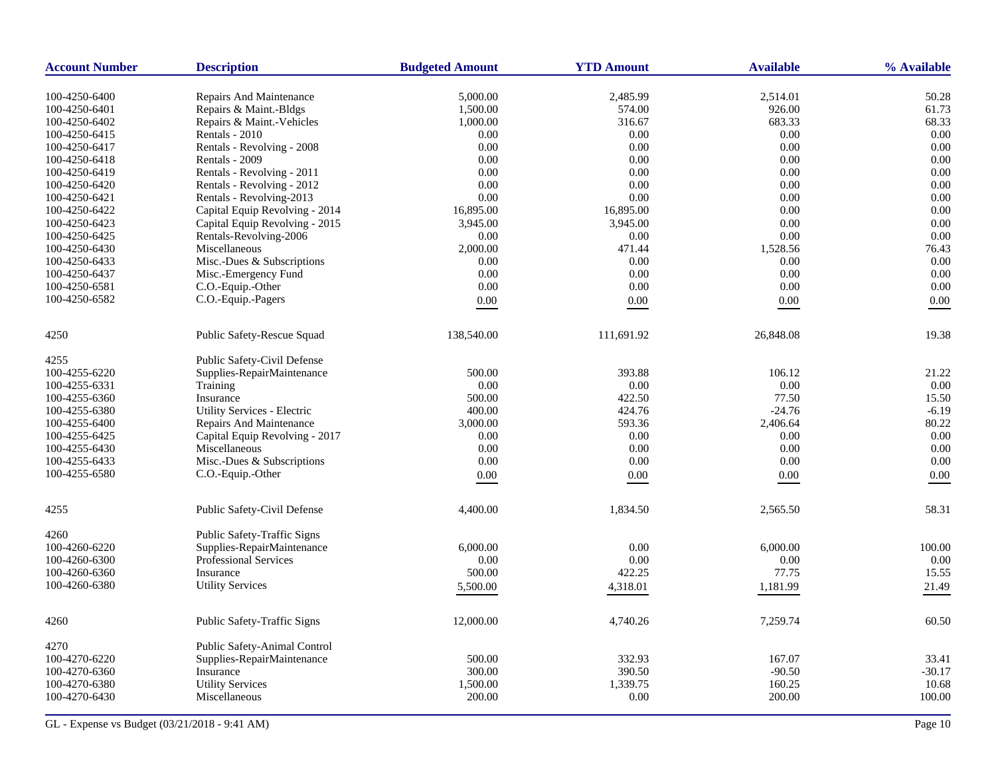| <b>Account Number</b> | <b>Description</b>             | <b>Budgeted Amount</b> | <b>YTD Amount</b> | <b>Available</b> | % Available |
|-----------------------|--------------------------------|------------------------|-------------------|------------------|-------------|
| 100-4250-6400         | Repairs And Maintenance        | 5,000.00               | 2,485.99          | 2,514.01         | 50.28       |
| 100-4250-6401         | Repairs & Maint.-Bldgs         | 1,500.00               | 574.00            | 926.00           | 61.73       |
| 100-4250-6402         | Repairs & Maint.-Vehicles      | 1,000.00               | 316.67            | 683.33           | 68.33       |
| 100-4250-6415         | Rentals - 2010                 | 0.00                   | 0.00              | 0.00             | 0.00        |
| 100-4250-6417         | Rentals - Revolving - 2008     | 0.00                   | 0.00              | 0.00             | 0.00        |
| 100-4250-6418         | Rentals - 2009                 | 0.00                   | 0.00              | 0.00             | 0.00        |
| 100-4250-6419         | Rentals - Revolving - 2011     | 0.00                   | 0.00              | 0.00             | 0.00        |
| 100-4250-6420         | Rentals - Revolving - 2012     | 0.00                   | 0.00              | 0.00             | 0.00        |
| 100-4250-6421         | Rentals - Revolving-2013       | 0.00                   | 0.00              | 0.00             | 0.00        |
| 100-4250-6422         | Capital Equip Revolving - 2014 | 16,895.00              | 16,895.00         | 0.00             | 0.00        |
| 100-4250-6423         | Capital Equip Revolving - 2015 | 3,945.00               | 3,945.00          | 0.00             | 0.00        |
| 100-4250-6425         | Rentals-Revolving-2006         | 0.00                   | 0.00              | 0.00             | 0.00        |
| 100-4250-6430         | Miscellaneous                  | 2,000.00               | 471.44            | 1,528.56         | 76.43       |
| 100-4250-6433         | Misc.-Dues & Subscriptions     | 0.00                   | 0.00              | 0.00             | 0.00        |
| 100-4250-6437         | Misc.-Emergency Fund           | 0.00                   | 0.00              | 0.00             | 0.00        |
| 100-4250-6581         | C.O.-Equip.-Other              | 0.00                   | 0.00              | $0.00\,$         | 0.00        |
| 100-4250-6582         | C.O.-Equip.-Pagers             | 0.00                   | 0.00              | 0.00             | 0.00        |
|                       |                                |                        |                   |                  |             |
| 4250                  | Public Safety-Rescue Squad     | 138,540.00             | 111,691.92        | 26,848.08        | 19.38       |
| 4255                  | Public Safety-Civil Defense    |                        |                   |                  |             |
| 100-4255-6220         | Supplies-RepairMaintenance     | 500.00                 | 393.88            | 106.12           | 21.22       |
| 100-4255-6331         | Training                       | 0.00                   | 0.00              | 0.00             | 0.00        |
| 100-4255-6360         | Insurance                      | 500.00                 | 422.50            | 77.50            | 15.50       |
| 100-4255-6380         | Utility Services - Electric    | 400.00                 | 424.76            | $-24.76$         | $-6.19$     |
| 100-4255-6400         | Repairs And Maintenance        | 3,000.00               | 593.36            | 2,406.64         | 80.22       |
| 100-4255-6425         | Capital Equip Revolving - 2017 | 0.00                   | 0.00              | 0.00             | 0.00        |
| 100-4255-6430         | Miscellaneous                  | 0.00                   | 0.00              | 0.00             | 0.00        |
| 100-4255-6433         | Misc.-Dues & Subscriptions     | 0.00                   | 0.00              | 0.00             | 0.00        |
| 100-4255-6580         | C.O.-Equip.-Other              | 0.00                   | 0.00              | 0.00             | 0.00        |
| 4255                  | Public Safety-Civil Defense    | 4,400.00               | 1,834.50          | 2,565.50         | 58.31       |
|                       |                                |                        |                   |                  |             |
| 4260                  | Public Safety-Traffic Signs    |                        |                   |                  |             |
| 100-4260-6220         | Supplies-RepairMaintenance     | 6,000.00               | 0.00              | 6,000.00         | 100.00      |
| 100-4260-6300         | <b>Professional Services</b>   | 0.00                   | 0.00              | 0.00             | 0.00        |
| 100-4260-6360         | Insurance                      | 500.00                 | 422.25            | 77.75            | 15.55       |
| 100-4260-6380         | <b>Utility Services</b>        | 5,500.00               | 4,318.01          | 1,181.99         | 21.49       |
| 4260                  | Public Safety-Traffic Signs    | 12,000.00              | 4,740.26          | 7,259.74         | 60.50       |
| 4270                  | Public Safety-Animal Control   |                        |                   |                  |             |
| 100-4270-6220         | Supplies-RepairMaintenance     | 500.00                 | 332.93            | 167.07           | 33.41       |
| 100-4270-6360         | Insurance                      | 300.00                 | 390.50            | $-90.50$         | $-30.17$    |
| 100-4270-6380         | <b>Utility Services</b>        | 1,500.00               | 1,339.75          | 160.25           | 10.68       |
| 100-4270-6430         | Miscellaneous                  | 200.00                 | 0.00              | 200.00           | 100.00      |
|                       |                                |                        |                   |                  |             |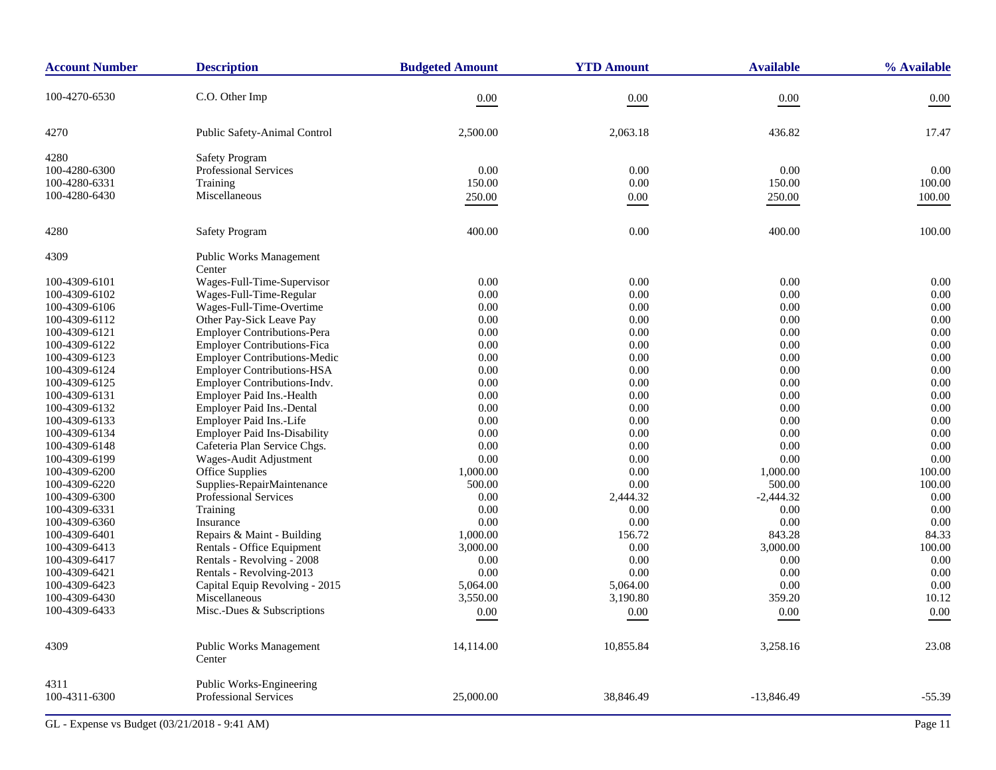| <b>Account Number</b>          | <b>Description</b>                                                        | <b>Budgeted Amount</b> | <b>YTD Amount</b> | <b>Available</b> | % Available  |
|--------------------------------|---------------------------------------------------------------------------|------------------------|-------------------|------------------|--------------|
| 100-4270-6530                  | C.O. Other Imp                                                            | $0.00\,$               | $0.00\,$          | 0.00             | 0.00         |
| 4270                           | Public Safety-Animal Control                                              | 2,500.00               | 2,063.18          | 436.82           | 17.47        |
| 4280                           | <b>Safety Program</b>                                                     |                        |                   |                  |              |
| 100-4280-6300                  | Professional Services                                                     | 0.00                   | $0.00\,$          | 0.00             | 0.00         |
| 100-4280-6331                  | Training                                                                  | 150.00                 | 0.00              | 150.00           | 100.00       |
| 100-4280-6430                  | Miscellaneous                                                             | 250.00                 | $0.00\,$          | 250.00           | 100.00       |
| 4280                           | <b>Safety Program</b>                                                     | 400.00                 | 0.00              | 400.00           | 100.00       |
| 4309                           | Public Works Management                                                   |                        |                   |                  |              |
|                                | Center                                                                    |                        |                   |                  |              |
| 100-4309-6101                  | Wages-Full-Time-Supervisor                                                | 0.00                   | 0.00              | 0.00             | 0.00         |
| 100-4309-6102                  | Wages-Full-Time-Regular                                                   | 0.00                   | 0.00              | 0.00             | 0.00         |
| 100-4309-6106                  | Wages-Full-Time-Overtime                                                  | 0.00                   | 0.00              | 0.00             | 0.00         |
| 100-4309-6112                  | Other Pay-Sick Leave Pay                                                  | 0.00                   | 0.00              | 0.00             | 0.00         |
| 100-4309-6121                  | <b>Employer Contributions-Pera</b>                                        | 0.00<br>0.00           | 0.00<br>0.00      | 0.00             | 0.00<br>0.00 |
| 100-4309-6122                  | <b>Employer Contributions-Fica</b><br><b>Employer Contributions-Medic</b> | 0.00                   | 0.00              | 0.00<br>0.00     | 0.00         |
| 100-4309-6123<br>100-4309-6124 | <b>Employer Contributions-HSA</b>                                         | 0.00                   | 0.00              | 0.00             | 0.00         |
| 100-4309-6125                  | Employer Contributions-Indv.                                              | 0.00                   | 0.00              | 0.00             | 0.00         |
| 100-4309-6131                  | Employer Paid Ins.-Health                                                 | 0.00                   | 0.00              | 0.00             | 0.00         |
| 100-4309-6132                  | Employer Paid Ins.-Dental                                                 | 0.00                   | 0.00              | 0.00             | 0.00         |
| 100-4309-6133                  | Employer Paid Ins.-Life                                                   | 0.00                   | 0.00              | 0.00             | 0.00         |
| 100-4309-6134                  | <b>Employer Paid Ins-Disability</b>                                       | 0.00                   | 0.00              | 0.00             | 0.00         |
| 100-4309-6148                  | Cafeteria Plan Service Chgs.                                              | 0.00                   | 0.00              | 0.00             | 0.00         |
| 100-4309-6199                  | Wages-Audit Adjustment                                                    | 0.00                   | 0.00              | 0.00             | 0.00         |
| 100-4309-6200                  | <b>Office Supplies</b>                                                    | 1,000.00               | 0.00              | 1,000.00         | 100.00       |
| 100-4309-6220                  | Supplies-RepairMaintenance                                                | 500.00                 | 0.00              | 500.00           | 100.00       |
| 100-4309-6300                  | Professional Services                                                     | 0.00                   | 2,444.32          | $-2,444.32$      | 0.00         |
| 100-4309-6331                  | Training                                                                  | 0.00                   | 0.00              | 0.00             | 0.00         |
| 100-4309-6360                  | Insurance                                                                 | 0.00                   | $0.00\,$          | 0.00             | 0.00         |
| 100-4309-6401                  | Repairs & Maint - Building                                                | 1,000.00               | 156.72            | 843.28           | 84.33        |
| 100-4309-6413                  | Rentals - Office Equipment                                                | 3,000.00               | $0.00\,$          | 3,000.00         | 100.00       |
| 100-4309-6417                  | Rentals - Revolving - 2008                                                | 0.00                   | 0.00              | 0.00             | 0.00         |
| 100-4309-6421                  | Rentals - Revolving-2013                                                  | 0.00                   | 0.00              | 0.00             | 0.00         |
| 100-4309-6423                  | Capital Equip Revolving - 2015                                            | 5,064.00               | 5,064.00          | 0.00             | $0.00\,$     |
| 100-4309-6430                  | Miscellaneous                                                             | 3,550.00               | 3,190.80          | 359.20           | 10.12        |
| 100-4309-6433                  | Misc.-Dues & Subscriptions                                                | 0.00                   | 0.00              | $0.00\,$         | 0.00         |
| 4309                           | Public Works Management<br>Center                                         | 14,114.00              | 10,855.84         | 3,258.16         | 23.08        |
| 4311<br>100-4311-6300          | Public Works-Engineering<br>Professional Services                         | 25,000.00              | 38,846.49         | $-13,846.49$     | $-55.39$     |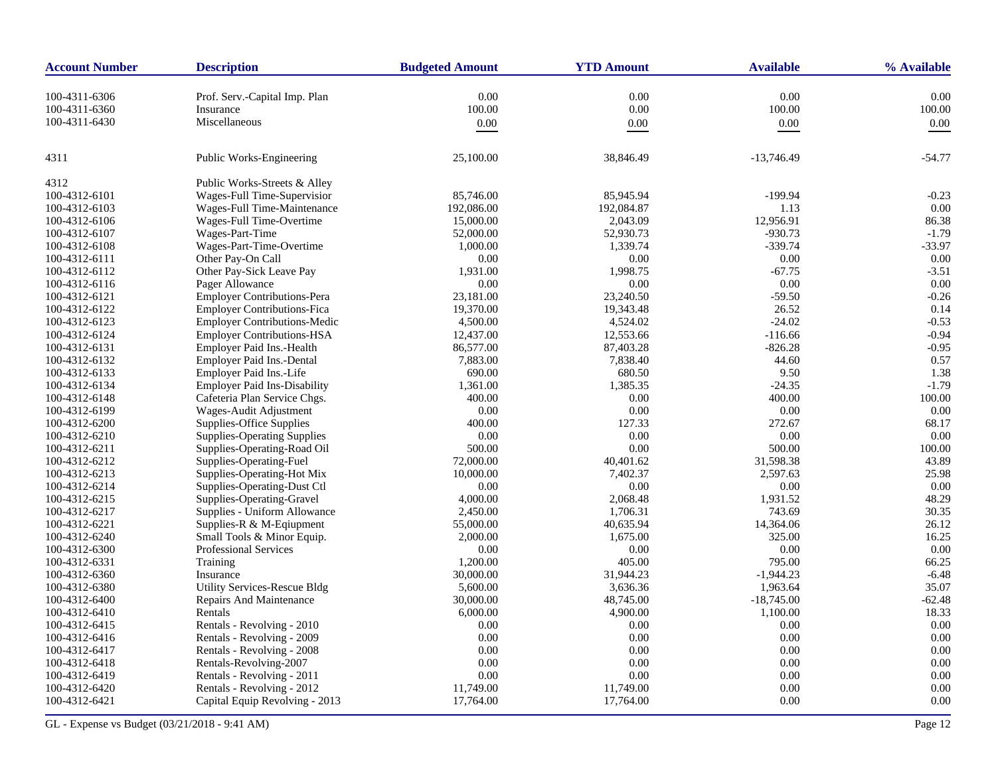| <b>Account Number</b> | <b>Description</b>                  | <b>Budgeted Amount</b> | <b>YTD Amount</b> | <b>Available</b> | % Available |
|-----------------------|-------------------------------------|------------------------|-------------------|------------------|-------------|
| 100-4311-6306         | Prof. Serv.-Capital Imp. Plan       | 0.00                   | 0.00              | 0.00             | 0.00        |
| 100-4311-6360         | Insurance                           | 100.00                 | 0.00              | 100.00           | 100.00      |
| 100-4311-6430         | Miscellaneous                       | 0.00                   | 0.00              | $0.00\,$         | 0.00        |
|                       |                                     |                        |                   |                  |             |
| 4311                  | Public Works-Engineering            | 25,100.00              | 38,846.49         | $-13,746.49$     | $-54.77$    |
| 4312                  | Public Works-Streets & Alley        |                        |                   |                  |             |
| 100-4312-6101         | Wages-Full Time-Supervision         | 85,746.00              | 85,945.94         | $-199.94$        | $-0.23$     |
| 100-4312-6103         | Wages-Full Time-Maintenance         | 192,086.00             | 192,084.87        | 1.13             | 0.00        |
| 100-4312-6106         | Wages-Full Time-Overtime            | 15,000.00              | 2,043.09          | 12,956.91        | 86.38       |
| 100-4312-6107         | Wages-Part-Time                     | 52,000.00              | 52,930.73         | $-930.73$        | $-1.79$     |
| 100-4312-6108         | Wages-Part-Time-Overtime            | 1,000.00               | 1,339.74          | $-339.74$        | $-33.97$    |
| 100-4312-6111         | Other Pay-On Call                   | 0.00                   | 0.00              | 0.00             | 0.00        |
| 100-4312-6112         | Other Pay-Sick Leave Pay            | 1,931.00               | 1,998.75          | $-67.75$         | $-3.51$     |
| 100-4312-6116         | Pager Allowance                     | 0.00                   | 0.00              | 0.00             | 0.00        |
| 100-4312-6121         | Employer Contributions-Pera         | 23,181.00              | 23,240.50         | $-59.50$         | $-0.26$     |
| 100-4312-6122         | Employer Contributions-Fica         | 19,370.00              | 19,343.48         | 26.52            | 0.14        |
| 100-4312-6123         | <b>Employer Contributions-Medic</b> | 4,500.00               | 4,524.02          | $-24.02$         | $-0.53$     |
| 100-4312-6124         | <b>Employer Contributions-HSA</b>   | 12,437.00              | 12,553.66         | $-116.66$        | $-0.94$     |
| 100-4312-6131         | Employer Paid Ins.-Health           | 86,577.00              | 87,403.28         | $-826.28$        | $-0.95$     |
| 100-4312-6132         | <b>Employer Paid Ins.-Dental</b>    | 7,883.00               | 7,838.40          | 44.60            | 0.57        |
| 100-4312-6133         | Employer Paid Ins.-Life             | 690.00                 | 680.50            | 9.50             | 1.38        |
| 100-4312-6134         | <b>Employer Paid Ins-Disability</b> | 1,361.00               | 1,385.35          | $-24.35$         | $-1.79$     |
| 100-4312-6148         | Cafeteria Plan Service Chgs.        | 400.00                 | 0.00              | 400.00           | 100.00      |
| 100-4312-6199         | Wages-Audit Adjustment              | 0.00                   | 0.00              | 0.00             | 0.00        |
| 100-4312-6200         | Supplies-Office Supplies            | 400.00                 | 127.33            | 272.67           | 68.17       |
| 100-4312-6210         | <b>Supplies-Operating Supplies</b>  | 0.00                   | 0.00              | 0.00             | 0.00        |
| 100-4312-6211         | Supplies-Operating-Road Oil         | 500.00                 | 0.00              | 500.00           | 100.00      |
| 100-4312-6212         | Supplies-Operating-Fuel             | 72,000.00              | 40,401.62         | 31,598.38        | 43.89       |
| 100-4312-6213         | Supplies-Operating-Hot Mix          | 10,000.00              | 7,402.37          | 2,597.63         | 25.98       |
| 100-4312-6214         | Supplies-Operating-Dust Ctl         | 0.00                   | $0.00\,$          | 0.00             | 0.00        |
| 100-4312-6215         | Supplies-Operating-Gravel           | 4,000.00               | 2,068.48          | 1,931.52         | 48.29       |
| 100-4312-6217         | Supplies - Uniform Allowance        | 2,450.00               | 1,706.31          | 743.69           | 30.35       |
| 100-4312-6221         | Supplies-R & M-Eqiupment            | 55,000.00              | 40,635.94         | 14,364.06        | 26.12       |
| 100-4312-6240         | Small Tools & Minor Equip.          | 2,000.00               | 1,675.00          | 325.00           | 16.25       |
| 100-4312-6300         | <b>Professional Services</b>        | 0.00                   | 0.00              | 0.00             | 0.00        |
| 100-4312-6331         | Training                            | 1,200.00               | 405.00            | 795.00           | 66.25       |
| 100-4312-6360         | Insurance                           | 30,000.00              | 31,944.23         | $-1,944.23$      | $-6.48$     |
| 100-4312-6380         | <b>Utility Services-Rescue Bldg</b> | 5,600.00               | 3,636.36          | 1,963.64         | 35.07       |
| 100-4312-6400         | Repairs And Maintenance             | 30,000.00              | 48,745.00         | $-18,745.00$     | $-62.48$    |
| 100-4312-6410         | Rentals                             | 6,000.00               | 4,900.00          | 1,100.00         | 18.33       |
| 100-4312-6415         | Rentals - Revolving - 2010          | 0.00                   | 0.00              | 0.00             | 0.00        |
| 100-4312-6416         | Rentals - Revolving - 2009          | 0.00                   | 0.00              | 0.00             | 0.00        |
| 100-4312-6417         | Rentals - Revolving - 2008          | 0.00                   | 0.00              | 0.00             | 0.00        |
| 100-4312-6418         | Rentals-Revolving-2007              | 0.00                   | 0.00              | 0.00             | 0.00        |
| 100-4312-6419         | Rentals - Revolving - 2011          | 0.00                   | 0.00              | 0.00             | 0.00        |
| 100-4312-6420         | Rentals - Revolving - 2012          | 11,749.00              | 11,749.00         | 0.00             | 0.00        |
| 100-4312-6421         | Capital Equip Revolving - 2013      | 17,764.00              | 17,764.00         | 0.00             | 0.00        |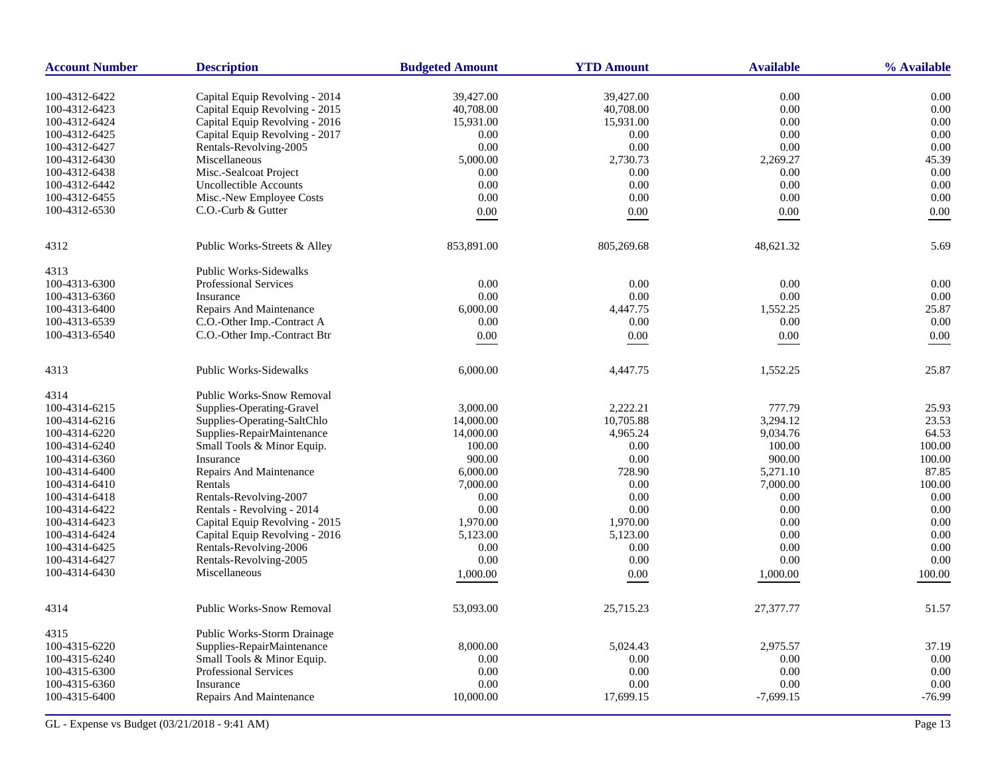| <b>Account Number</b> | <b>Description</b>               | <b>Budgeted Amount</b> | <b>YTD Amount</b> | <b>Available</b> | % Available |
|-----------------------|----------------------------------|------------------------|-------------------|------------------|-------------|
| 100-4312-6422         | Capital Equip Revolving - 2014   | 39,427.00              | 39.427.00         | 0.00             | 0.00        |
| 100-4312-6423         | Capital Equip Revolving - 2015   | 40,708.00              | 40,708.00         | 0.00             | 0.00        |
| 100-4312-6424         | Capital Equip Revolving - 2016   | 15,931.00              | 15,931.00         | 0.00             | 0.00        |
| 100-4312-6425         | Capital Equip Revolving - 2017   | 0.00                   | 0.00              | 0.00             | 0.00        |
| 100-4312-6427         | Rentals-Revolving-2005           | 0.00                   | 0.00              | 0.00             | 0.00        |
| 100-4312-6430         | Miscellaneous                    | 5,000.00               | 2,730.73          | 2,269.27         | 45.39       |
|                       |                                  |                        |                   |                  |             |
| 100-4312-6438         | Misc.-Sealcoat Project           | 0.00                   | 0.00              | 0.00             | 0.00        |
| 100-4312-6442         | Uncollectible Accounts           | 0.00                   | 0.00              | 0.00             | 0.00        |
| 100-4312-6455         | Misc.-New Employee Costs         | 0.00                   | 0.00              | 0.00             | 0.00        |
| 100-4312-6530         | C.O.-Curb & Gutter               | 0.00                   | 0.00              | 0.00             | 0.00        |
| 4312                  | Public Works-Streets & Alley     | 853,891.00             | 805,269.68        | 48,621.32        | 5.69        |
| 4313                  | <b>Public Works-Sidewalks</b>    |                        |                   |                  |             |
| 100-4313-6300         | <b>Professional Services</b>     | 0.00                   | 0.00              | 0.00             | 0.00        |
| 100-4313-6360         | Insurance                        | 0.00                   | 0.00              | 0.00             | 0.00        |
| 100-4313-6400         | Repairs And Maintenance          | 6,000.00               | 4,447.75          | 1,552.25         | 25.87       |
| 100-4313-6539         | C.O.-Other Imp.-Contract A       | 0.00                   | 0.00              | 0.00             | 0.00        |
| 100-4313-6540         | C.O.-Other Imp.-Contract Btr     | 0.00                   | $0.00\,$          | 0.00             | 0.00        |
|                       |                                  |                        |                   |                  |             |
| 4313                  | <b>Public Works-Sidewalks</b>    | 6,000.00               | 4,447.75          | 1,552.25         | 25.87       |
| 4314                  | Public Works-Snow Removal        |                        |                   |                  |             |
| 100-4314-6215         | Supplies-Operating-Gravel        | 3,000.00               | 2.222.21          | 777.79           | 25.93       |
| 100-4314-6216         | Supplies-Operating-SaltChlo      | 14,000.00              | 10,705.88         | 3.294.12         | 23.53       |
| 100-4314-6220         | Supplies-RepairMaintenance       | 14,000.00              | 4,965.24          | 9,034.76         | 64.53       |
| 100-4314-6240         | Small Tools & Minor Equip.       | 100.00                 | 0.00              | 100.00           | 100.00      |
| 100-4314-6360         | Insurance                        | 900.00                 | 0.00              | 900.00           | 100.00      |
| 100-4314-6400         | Repairs And Maintenance          | 6,000.00               | 728.90            | 5,271.10         | 87.85       |
| 100-4314-6410         | Rentals                          | 7,000.00               | 0.00              | 7,000.00         | 100.00      |
| 100-4314-6418         | Rentals-Revolving-2007           | 0.00                   | 0.00              | 0.00             | 0.00        |
| 100-4314-6422         | Rentals - Revolving - 2014       | 0.00                   | 0.00              | 0.00             | 0.00        |
| 100-4314-6423         | Capital Equip Revolving - 2015   | 1,970.00               | 1,970.00          | 0.00             | 0.00        |
| 100-4314-6424         | Capital Equip Revolving - 2016   | 5,123.00               | 5,123.00          | 0.00             | 0.00        |
| 100-4314-6425         | Rentals-Revolving-2006           | 0.00                   | 0.00              | 0.00             | 0.00        |
| 100-4314-6427         | Rentals-Revolving-2005           | 0.00                   | 0.00              | 0.00             | 0.00        |
| 100-4314-6430         | Miscellaneous                    | 1,000.00               | 0.00              | 1,000.00         | 100.00      |
|                       |                                  |                        |                   |                  |             |
| 4314                  | <b>Public Works-Snow Removal</b> | 53,093.00              | 25,715.23         | 27,377.77        | 51.57       |
| 4315                  | Public Works-Storm Drainage      |                        |                   |                  |             |
| 100-4315-6220         | Supplies-RepairMaintenance       | 8,000.00               | 5,024.43          | 2,975.57         | 37.19       |
| 100-4315-6240         | Small Tools & Minor Equip.       | 0.00                   | 0.00              | 0.00             | 0.00        |
| 100-4315-6300         | <b>Professional Services</b>     | 0.00                   | 0.00              | 0.00             | 0.00        |
| 100-4315-6360         | Insurance                        | 0.00                   | 0.00              | 0.00             | 0.00        |
| 100-4315-6400         | <b>Repairs And Maintenance</b>   | 10,000.00              | 17,699.15         | $-7,699.15$      | $-76.99$    |
|                       |                                  |                        |                   |                  |             |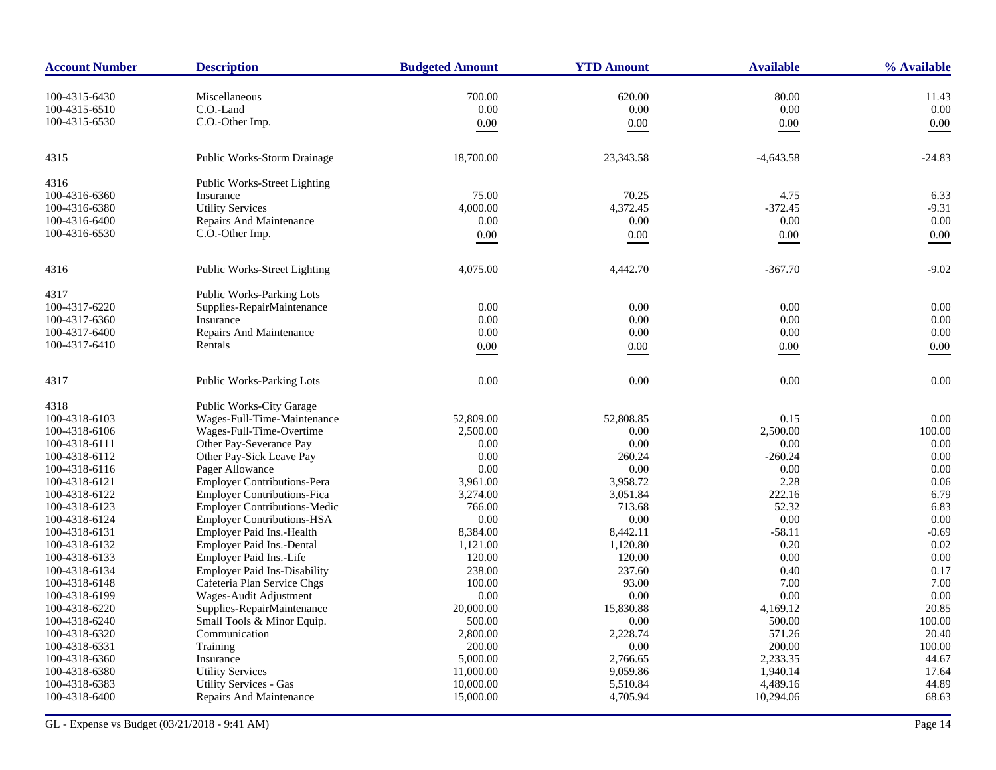| <b>Account Number</b> | <b>Description</b>                  | <b>Budgeted Amount</b> | <b>YTD Amount</b> | <b>Available</b> | % Available |
|-----------------------|-------------------------------------|------------------------|-------------------|------------------|-------------|
| 100-4315-6430         | Miscellaneous                       | 700.00                 | 620.00            | 80.00            | 11.43       |
| 100-4315-6510         | C.O.-Land                           | 0.00                   | 0.00              | 0.00             | 0.00        |
| 100-4315-6530         | C.O.-Other Imp.                     | 0.00                   | 0.00              | 0.00             | 0.00        |
|                       |                                     |                        |                   |                  |             |
| 4315                  | Public Works-Storm Drainage         | 18,700.00              | 23,343.58         | $-4,643.58$      | $-24.83$    |
| 4316                  | Public Works-Street Lighting        |                        |                   |                  |             |
| 100-4316-6360         | Insurance                           | 75.00                  | 70.25             | 4.75             | 6.33        |
| 100-4316-6380         | <b>Utility Services</b>             | 4,000.00               | 4,372.45          | $-372.45$        | $-9.31$     |
| 100-4316-6400         | Repairs And Maintenance             | 0.00                   | 0.00              | 0.00             | 0.00        |
| 100-4316-6530         | C.O.-Other Imp.                     | 0.00                   | 0.00              | 0.00             | 0.00        |
| 4316                  | Public Works-Street Lighting        | 4,075.00               | 4,442.70          | $-367.70$        | $-9.02$     |
| 4317                  | Public Works-Parking Lots           |                        |                   |                  |             |
| 100-4317-6220         | Supplies-RepairMaintenance          | 0.00                   | 0.00              | 0.00             | 0.00        |
| 100-4317-6360         | Insurance                           | 0.00                   | 0.00              | 0.00             | 0.00        |
| 100-4317-6400         | <b>Repairs And Maintenance</b>      | 0.00                   | 0.00              | 0.00             | 0.00        |
| 100-4317-6410         | Rentals                             | $0.00\,$               | 0.00              | $0.00\,$         | 0.00        |
| 4317                  | Public Works-Parking Lots           | 0.00                   | 0.00              | 0.00             | 0.00        |
| 4318                  | <b>Public Works-City Garage</b>     |                        |                   |                  |             |
| 100-4318-6103         | Wages-Full-Time-Maintenance         | 52,809.00              | 52,808.85         | 0.15             | 0.00        |
| 100-4318-6106         | Wages-Full-Time-Overtime            | 2,500.00               | 0.00              | 2,500.00         | 100.00      |
| 100-4318-6111         | Other Pay-Severance Pay             | 0.00                   | 0.00              | 0.00             | 0.00        |
| 100-4318-6112         | Other Pay-Sick Leave Pay            | 0.00                   | 260.24            | $-260.24$        | 0.00        |
| 100-4318-6116         | Pager Allowance                     | 0.00                   | 0.00              | 0.00             | 0.00        |
| 100-4318-6121         | Employer Contributions-Pera         | 3,961.00               | 3,958.72          | 2.28             | 0.06        |
| 100-4318-6122         | <b>Employer Contributions-Fica</b>  | 3,274.00               | 3,051.84          | 222.16           | 6.79        |
| 100-4318-6123         | <b>Employer Contributions-Medic</b> | 766.00                 | 713.68            | 52.32            | 6.83        |
| 100-4318-6124         | <b>Employer Contributions-HSA</b>   | 0.00                   | 0.00              | $0.00\,$         | 0.00        |
| 100-4318-6131         | Employer Paid Ins.-Health           | 8,384.00               | 8,442.11          | $-58.11$         | $-0.69$     |
| 100-4318-6132         | Employer Paid Ins.-Dental           | 1,121.00               | 1,120.80          | 0.20             | 0.02        |
| 100-4318-6133         | Employer Paid Ins.-Life             | 120.00                 | 120.00            | 0.00             | 0.00        |
| 100-4318-6134         | <b>Employer Paid Ins-Disability</b> | 238.00                 | 237.60            | 0.40             | 0.17        |
| 100-4318-6148         | Cafeteria Plan Service Chgs         | 100.00                 | 93.00             | 7.00             | 7.00        |
| 100-4318-6199         | Wages-Audit Adjustment              | 0.00                   | 0.00              | 0.00             | 0.00        |
| 100-4318-6220         | Supplies-RepairMaintenance          | 20,000.00              | 15,830.88         | 4,169.12         | 20.85       |
| 100-4318-6240         | Small Tools & Minor Equip.          | 500.00                 | $0.00\,$          | 500.00           | 100.00      |
| 100-4318-6320         | Communication                       | 2,800.00               | 2,228.74          | 571.26           | 20.40       |
| 100-4318-6331         | Training                            | 200.00                 | 0.00              | 200.00           | 100.00      |
| 100-4318-6360         | Insurance                           | 5,000.00               | 2,766.65          | 2,233.35         | 44.67       |
| 100-4318-6380         | <b>Utility Services</b>             | 11,000.00              | 9,059.86          | 1,940.14         | 17.64       |
| 100-4318-6383         | <b>Utility Services - Gas</b>       | 10,000.00              | 5,510.84          | 4,489.16         | 44.89       |
| 100-4318-6400         | Repairs And Maintenance             | 15,000.00              | 4,705.94          | 10,294.06        | 68.63       |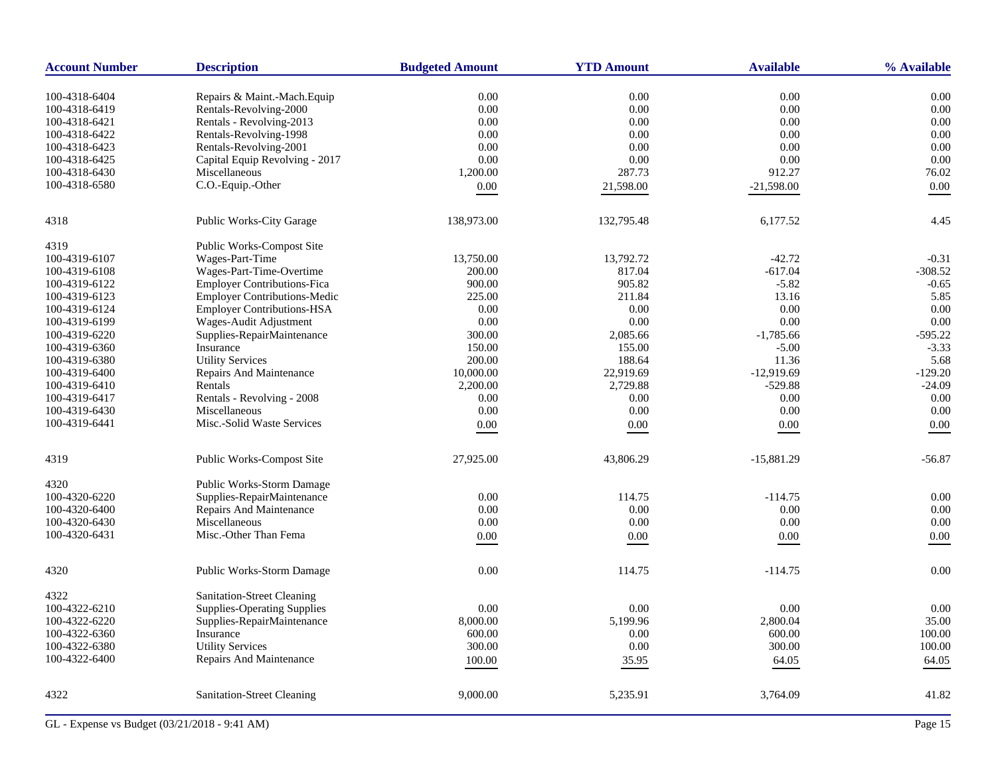| <b>Account Number</b> | <b>Description</b>                  | <b>Budgeted Amount</b> | <b>YTD Amount</b> | <b>Available</b> | % Available |
|-----------------------|-------------------------------------|------------------------|-------------------|------------------|-------------|
| 100-4318-6404         | Repairs & Maint.-Mach.Equip         | 0.00                   | 0.00              | 0.00             | 0.00        |
| 100-4318-6419         | Rentals-Revolving-2000              | 0.00                   | 0.00              | $0.00\,$         | 0.00        |
| 100-4318-6421         | Rentals - Revolving-2013            | 0.00                   | 0.00              | 0.00             | 0.00        |
| 100-4318-6422         | Rentals-Revolving-1998              | 0.00                   | 0.00              | 0.00             | 0.00        |
| 100-4318-6423         | Rentals-Revolving-2001              | 0.00                   | 0.00              | 0.00             | 0.00        |
| 100-4318-6425         | Capital Equip Revolving - 2017      | 0.00                   | 0.00              | 0.00             | 0.00        |
| 100-4318-6430         | Miscellaneous                       | 1,200.00               | 287.73            | 912.27           | 76.02       |
| 100-4318-6580         | C.O.-Equip.-Other                   |                        |                   |                  |             |
|                       |                                     | $0.00\,$               | 21,598.00         | $-21,598.00$     | 0.00        |
| 4318                  | Public Works-City Garage            | 138,973.00             | 132,795.48        | 6,177.52         | 4.45        |
| 4319                  | Public Works-Compost Site           |                        |                   |                  |             |
| 100-4319-6107         | Wages-Part-Time                     | 13,750.00              | 13,792.72         | $-42.72$         | $-0.31$     |
| 100-4319-6108         | Wages-Part-Time-Overtime            | 200.00                 | 817.04            | $-617.04$        | $-308.52$   |
| 100-4319-6122         | <b>Employer Contributions-Fica</b>  | 900.00                 | 905.82            | $-5.82$          | $-0.65$     |
| 100-4319-6123         | <b>Employer Contributions-Medic</b> | 225.00                 | 211.84            | 13.16            | 5.85        |
| 100-4319-6124         | <b>Employer Contributions-HSA</b>   | 0.00                   | 0.00              | 0.00             | 0.00        |
| 100-4319-6199         | Wages-Audit Adjustment              | 0.00                   | 0.00              | 0.00             | 0.00        |
| 100-4319-6220         | Supplies-RepairMaintenance          | 300.00                 | 2,085.66          | $-1,785.66$      | $-595.22$   |
| 100-4319-6360         | Insurance                           | 150.00                 | 155.00            | $-5.00$          | $-3.33$     |
| 100-4319-6380         | <b>Utility Services</b>             | 200.00                 | 188.64            | 11.36            | 5.68        |
| 100-4319-6400         | Repairs And Maintenance             | 10,000.00              | 22,919.69         | $-12,919.69$     | $-129.20$   |
| 100-4319-6410         | Rentals                             | 2,200.00               | 2,729.88          | $-529.88$        | $-24.09$    |
| 100-4319-6417         | Rentals - Revolving - 2008          | 0.00                   | 0.00              | 0.00             | 0.00        |
| 100-4319-6430         | Miscellaneous                       | 0.00                   | 0.00              | 0.00             | 0.00        |
| 100-4319-6441         | Misc.-Solid Waste Services          | 0.00                   | 0.00              | 0.00             | 0.00        |
|                       |                                     |                        |                   |                  |             |
| 4319                  | Public Works-Compost Site           | 27,925.00              | 43,806.29         | $-15,881.29$     | $-56.87$    |
| 4320                  | Public Works-Storm Damage           |                        |                   |                  |             |
| 100-4320-6220         | Supplies-RepairMaintenance          | 0.00                   | 114.75            | $-114.75$        | 0.00        |
| 100-4320-6400         | Repairs And Maintenance             | 0.00                   | 0.00              | 0.00             | 0.00        |
| 100-4320-6430         | Miscellaneous                       | 0.00                   | 0.00              | 0.00             | 0.00        |
| 100-4320-6431         | Misc.-Other Than Fema               | $0.00\,$               | 0.00              | $0.00\,$         | 0.00        |
| 4320                  | Public Works-Storm Damage           | 0.00                   | 114.75            | $-114.75$        | 0.00        |
| 4322                  | Sanitation-Street Cleaning          |                        |                   |                  |             |
| 100-4322-6210         | <b>Supplies-Operating Supplies</b>  | 0.00                   | 0.00              | 0.00             | 0.00        |
| 100-4322-6220         | Supplies-RepairMaintenance          | 8,000.00               | 5,199.96          | 2,800.04         | 35.00       |
| 100-4322-6360         | Insurance                           | 600.00                 | 0.00              | 600.00           | 100.00      |
| 100-4322-6380         | <b>Utility Services</b>             | 300.00                 | 0.00              | 300.00           | 100.00      |
| 100-4322-6400         | Repairs And Maintenance             | 100.00                 | 35.95             | 64.05            | 64.05       |
|                       |                                     |                        |                   |                  |             |
| 4322                  | Sanitation-Street Cleaning          | 9,000.00               | 5,235.91          | 3,764.09         | 41.82       |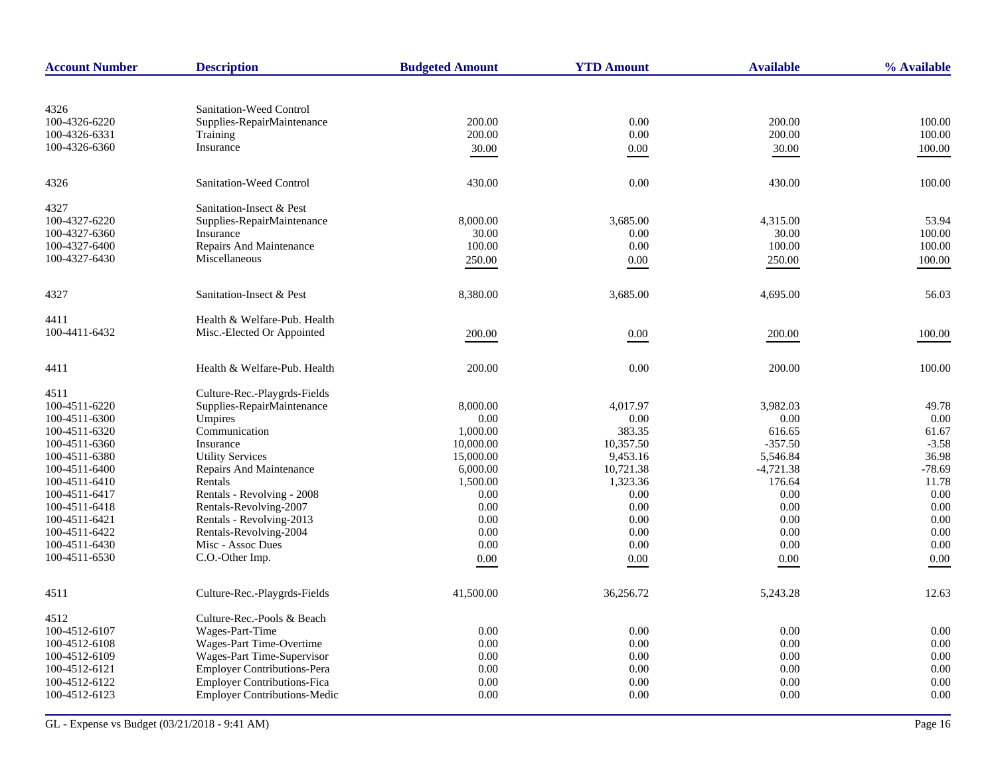| <b>Account Number</b> | <b>Description</b>                  | <b>Budgeted Amount</b> | <b>YTD Amount</b> | <b>Available</b> | % Available |
|-----------------------|-------------------------------------|------------------------|-------------------|------------------|-------------|
|                       |                                     |                        |                   |                  |             |
| 4326                  | Sanitation-Weed Control             |                        |                   |                  |             |
| 100-4326-6220         | Supplies-RepairMaintenance          | 200.00                 | 0.00              | 200.00           | 100.00      |
| 100-4326-6331         | <b>Training</b>                     | 200.00                 | 0.00              | 200.00           | 100.00      |
| 100-4326-6360         | Insurance                           | 30.00                  | 0.00              | 30.00            | 100.00      |
| 4326                  | Sanitation-Weed Control             | 430.00                 | 0.00              | 430.00           | 100.00      |
| 4327                  | Sanitation-Insect & Pest            |                        |                   |                  |             |
| 100-4327-6220         | Supplies-RepairMaintenance          | 8,000.00               | 3,685.00          | 4,315.00         | 53.94       |
| 100-4327-6360         | Insurance                           | 30.00                  | 0.00              | 30.00            | 100.00      |
| 100-4327-6400         | Repairs And Maintenance             | 100.00                 | 0.00              | 100.00           | 100.00      |
| 100-4327-6430         | Miscellaneous                       | 250.00                 | 0.00              | 250.00           | 100.00      |
| 4327                  | Sanitation-Insect & Pest            | 8,380.00               | 3,685.00          | 4,695.00         | 56.03       |
| 4411                  | Health & Welfare-Pub. Health        |                        |                   |                  |             |
| 100-4411-6432         | Misc.-Elected Or Appointed          | 200.00                 | 0.00              | 200.00           | 100.00      |
| 4411                  | Health & Welfare-Pub. Health        | 200.00                 | 0.00              | 200.00           | 100.00      |
| 4511                  | Culture-Rec.-Playgrds-Fields        |                        |                   |                  |             |
| 100-4511-6220         | Supplies-RepairMaintenance          | 8,000.00               | 4,017.97          | 3,982.03         | 49.78       |
| 100-4511-6300         | Umpires                             | 0.00                   | 0.00              | 0.00             | 0.00        |
| 100-4511-6320         | Communication                       | 1,000.00               | 383.35            | 616.65           | 61.67       |
| 100-4511-6360         | Insurance                           | 10,000.00              | 10,357.50         | $-357.50$        | $-3.58$     |
| 100-4511-6380         | <b>Utility Services</b>             | 15,000.00              | 9,453.16          | 5,546.84         | 36.98       |
| 100-4511-6400         | <b>Repairs And Maintenance</b>      | 6,000.00               | 10,721.38         | $-4,721.38$      | $-78.69$    |
| 100-4511-6410         | Rentals                             | 1,500.00               | 1,323.36          | 176.64           | 11.78       |
| 100-4511-6417         | Rentals - Revolving - 2008          | 0.00                   | 0.00              | 0.00             | 0.00        |
| 100-4511-6418         | Rentals-Revolving-2007              | 0.00                   | 0.00              | 0.00             | 0.00        |
| 100-4511-6421         | Rentals - Revolving-2013            | 0.00                   | 0.00              | 0.00             | 0.00        |
| 100-4511-6422         | Rentals-Revolving-2004              | 0.00                   | 0.00              | 0.00             | 0.00        |
| 100-4511-6430         | Misc - Assoc Dues                   | 0.00                   | 0.00              | 0.00             | 0.00        |
| 100-4511-6530         | C.O.-Other Imp.                     | 0.00                   | 0.00              | 0.00             | 0.00        |
| 4511                  | Culture-Rec.-Playgrds-Fields        | 41,500.00              | 36,256.72         | 5,243.28         | 12.63       |
| 4512                  | Culture-Rec.-Pools & Beach          |                        |                   |                  |             |
| 100-4512-6107         | Wages-Part-Time                     | 0.00                   | 0.00              | 0.00             | 0.00        |
| 100-4512-6108         | Wages-Part Time-Overtime            | 0.00                   | 0.00              | 0.00             | 0.00        |
| 100-4512-6109         | Wages-Part Time-Supervisor          | 0.00                   | 0.00              | 0.00             | 0.00        |
| 100-4512-6121         | <b>Employer Contributions-Pera</b>  | 0.00                   | 0.00              | 0.00             | 0.00        |
| 100-4512-6122         | <b>Employer Contributions-Fica</b>  | 0.00                   | 0.00              | 0.00             | 0.00        |
| 100-4512-6123         | <b>Employer Contributions-Medic</b> | 0.00                   | 0.00              | 0.00             | 0.00        |
|                       |                                     |                        |                   |                  |             |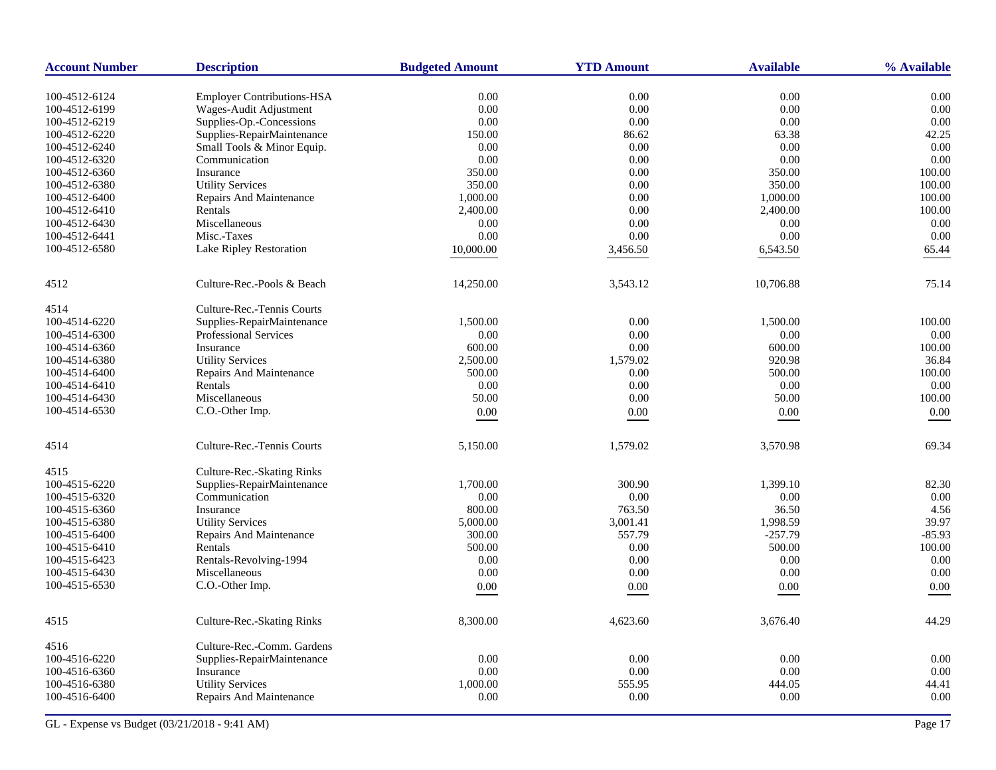| <b>Employer Contributions-HSA</b><br>0.00<br>0.00<br>0.00<br>0.00<br>100-4512-6124<br>0.00<br>0.00<br>0.00<br>Wages-Audit Adjustment<br>0.00<br>100-4512-6199<br>Supplies-Op.-Concessions<br>0.00<br>0.00<br>0.00<br>0.00<br>100-4512-6219<br>Supplies-RepairMaintenance<br>63.38<br>42.25<br>100-4512-6220<br>150.00<br>86.62<br>Small Tools & Minor Equip.<br>0.00<br>100-4512-6240<br>0.00<br>0.00<br>0.00<br>Communication<br>0.00<br>0.00<br>0.00<br>0.00<br>100-4512-6320<br>350.00<br>0.00<br>350.00<br>100.00<br>100-4512-6360<br>Insurance<br><b>Utility Services</b><br>350.00<br>0.00<br>350.00<br>100.00<br>100-4512-6380<br>1,000.00<br>0.00<br>1,000.00<br>100.00<br>100-4512-6400<br>Repairs And Maintenance<br>0.00<br>100.00<br>100-4512-6410<br>Rentals<br>2,400.00<br>2,400.00<br>Miscellaneous<br>0.00<br>0.00<br>0.00<br>0.00<br>100-4512-6430<br>0.00<br>Misc.-Taxes<br>0.00<br>0.00<br>0.00<br>100-4512-6441<br>100-4512-6580<br>Lake Ripley Restoration<br>10,000.00<br>3,456.50<br>6,543.50<br>65.44<br>Culture-Rec.-Pools & Beach<br>3,543.12<br>10,706.88<br>75.14<br>14,250.00<br>4514<br>Culture-Rec.-Tennis Courts<br>Supplies-RepairMaintenance<br>1,500.00<br>0.00<br>1,500.00<br>100.00<br>100-4514-6220<br>0.00<br>0.00<br>100-4514-6300<br><b>Professional Services</b><br>0.00<br>0.00<br>0.00<br>600.00<br>Insurance<br>600.00<br>100.00<br>100-4514-6360<br><b>Utility Services</b><br>2,500.00<br>1,579.02<br>920.98<br>36.84<br>100-4514-6380<br>500.00<br>0.00<br>500.00<br>100.00<br>100-4514-6400<br>Repairs And Maintenance<br>0.00<br>0.00<br>0.00<br>100-4514-6410<br>Rentals<br>0.00<br>Miscellaneous<br>0.00<br>50.00<br>50.00<br>100.00<br>100-4514-6430<br>C.O.-Other Imp.<br>$0.00\,$<br>0.00<br>0.00<br>0.00<br>Culture-Rec.-Tennis Courts<br>5,150.00<br>1,579.02<br>3,570.98<br>69.34<br>Culture-Rec.-Skating Rinks<br>Supplies-RepairMaintenance<br>300.90<br>1,399.10<br>82.30<br>100-4515-6220<br>1,700.00<br>0.00<br>100-4515-6320<br>Communication<br>0.00<br>0.00<br>0.00<br>800.00<br>763.50<br>36.50<br>4.56<br>Insurance<br>5,000.00<br>3,001.41<br>1,998.59<br>39.97<br><b>Utility Services</b><br>100-4515-6380<br>$-85.93$<br>100-4515-6400<br>Repairs And Maintenance<br>300.00<br>557.79<br>$-257.79$<br>100.00<br>Rentals<br>500.00<br>0.00<br>500.00<br>100-4515-6410<br>Rentals-Revolving-1994<br>0.00<br>0.00<br>0.00<br>0.00<br>$0.00\,$<br>0.00<br>0.00<br>0.00<br>100-4515-6430<br>Miscellaneous<br>C.O.-Other Imp.<br>0.00<br>0.00<br>0.00<br>0.00 | <b>Account Number</b> | <b>Description</b> | <b>Budgeted Amount</b> | <b>YTD Amount</b> | <b>Available</b> | % Available |
|--------------------------------------------------------------------------------------------------------------------------------------------------------------------------------------------------------------------------------------------------------------------------------------------------------------------------------------------------------------------------------------------------------------------------------------------------------------------------------------------------------------------------------------------------------------------------------------------------------------------------------------------------------------------------------------------------------------------------------------------------------------------------------------------------------------------------------------------------------------------------------------------------------------------------------------------------------------------------------------------------------------------------------------------------------------------------------------------------------------------------------------------------------------------------------------------------------------------------------------------------------------------------------------------------------------------------------------------------------------------------------------------------------------------------------------------------------------------------------------------------------------------------------------------------------------------------------------------------------------------------------------------------------------------------------------------------------------------------------------------------------------------------------------------------------------------------------------------------------------------------------------------------------------------------------------------------------------------------------------------------------------------------------------------------------------------------------------------------------------------------------------------------------------------------------------------------------------------------------------------------------------------------------------------------------------------------------------------------------------------------------------------------------------------------------------------------------------------------------------------------------------------------------|-----------------------|--------------------|------------------------|-------------------|------------------|-------------|
|                                                                                                                                                                                                                                                                                                                                                                                                                                                                                                                                                                                                                                                                                                                                                                                                                                                                                                                                                                                                                                                                                                                                                                                                                                                                                                                                                                                                                                                                                                                                                                                                                                                                                                                                                                                                                                                                                                                                                                                                                                                                                                                                                                                                                                                                                                                                                                                                                                                                                                                                |                       |                    |                        |                   |                  |             |
|                                                                                                                                                                                                                                                                                                                                                                                                                                                                                                                                                                                                                                                                                                                                                                                                                                                                                                                                                                                                                                                                                                                                                                                                                                                                                                                                                                                                                                                                                                                                                                                                                                                                                                                                                                                                                                                                                                                                                                                                                                                                                                                                                                                                                                                                                                                                                                                                                                                                                                                                |                       |                    |                        |                   |                  |             |
|                                                                                                                                                                                                                                                                                                                                                                                                                                                                                                                                                                                                                                                                                                                                                                                                                                                                                                                                                                                                                                                                                                                                                                                                                                                                                                                                                                                                                                                                                                                                                                                                                                                                                                                                                                                                                                                                                                                                                                                                                                                                                                                                                                                                                                                                                                                                                                                                                                                                                                                                |                       |                    |                        |                   |                  |             |
|                                                                                                                                                                                                                                                                                                                                                                                                                                                                                                                                                                                                                                                                                                                                                                                                                                                                                                                                                                                                                                                                                                                                                                                                                                                                                                                                                                                                                                                                                                                                                                                                                                                                                                                                                                                                                                                                                                                                                                                                                                                                                                                                                                                                                                                                                                                                                                                                                                                                                                                                |                       |                    |                        |                   |                  |             |
|                                                                                                                                                                                                                                                                                                                                                                                                                                                                                                                                                                                                                                                                                                                                                                                                                                                                                                                                                                                                                                                                                                                                                                                                                                                                                                                                                                                                                                                                                                                                                                                                                                                                                                                                                                                                                                                                                                                                                                                                                                                                                                                                                                                                                                                                                                                                                                                                                                                                                                                                |                       |                    |                        |                   |                  |             |
|                                                                                                                                                                                                                                                                                                                                                                                                                                                                                                                                                                                                                                                                                                                                                                                                                                                                                                                                                                                                                                                                                                                                                                                                                                                                                                                                                                                                                                                                                                                                                                                                                                                                                                                                                                                                                                                                                                                                                                                                                                                                                                                                                                                                                                                                                                                                                                                                                                                                                                                                |                       |                    |                        |                   |                  |             |
|                                                                                                                                                                                                                                                                                                                                                                                                                                                                                                                                                                                                                                                                                                                                                                                                                                                                                                                                                                                                                                                                                                                                                                                                                                                                                                                                                                                                                                                                                                                                                                                                                                                                                                                                                                                                                                                                                                                                                                                                                                                                                                                                                                                                                                                                                                                                                                                                                                                                                                                                |                       |                    |                        |                   |                  |             |
|                                                                                                                                                                                                                                                                                                                                                                                                                                                                                                                                                                                                                                                                                                                                                                                                                                                                                                                                                                                                                                                                                                                                                                                                                                                                                                                                                                                                                                                                                                                                                                                                                                                                                                                                                                                                                                                                                                                                                                                                                                                                                                                                                                                                                                                                                                                                                                                                                                                                                                                                |                       |                    |                        |                   |                  |             |
|                                                                                                                                                                                                                                                                                                                                                                                                                                                                                                                                                                                                                                                                                                                                                                                                                                                                                                                                                                                                                                                                                                                                                                                                                                                                                                                                                                                                                                                                                                                                                                                                                                                                                                                                                                                                                                                                                                                                                                                                                                                                                                                                                                                                                                                                                                                                                                                                                                                                                                                                |                       |                    |                        |                   |                  |             |
|                                                                                                                                                                                                                                                                                                                                                                                                                                                                                                                                                                                                                                                                                                                                                                                                                                                                                                                                                                                                                                                                                                                                                                                                                                                                                                                                                                                                                                                                                                                                                                                                                                                                                                                                                                                                                                                                                                                                                                                                                                                                                                                                                                                                                                                                                                                                                                                                                                                                                                                                |                       |                    |                        |                   |                  |             |
|                                                                                                                                                                                                                                                                                                                                                                                                                                                                                                                                                                                                                                                                                                                                                                                                                                                                                                                                                                                                                                                                                                                                                                                                                                                                                                                                                                                                                                                                                                                                                                                                                                                                                                                                                                                                                                                                                                                                                                                                                                                                                                                                                                                                                                                                                                                                                                                                                                                                                                                                |                       |                    |                        |                   |                  |             |
|                                                                                                                                                                                                                                                                                                                                                                                                                                                                                                                                                                                                                                                                                                                                                                                                                                                                                                                                                                                                                                                                                                                                                                                                                                                                                                                                                                                                                                                                                                                                                                                                                                                                                                                                                                                                                                                                                                                                                                                                                                                                                                                                                                                                                                                                                                                                                                                                                                                                                                                                |                       |                    |                        |                   |                  |             |
|                                                                                                                                                                                                                                                                                                                                                                                                                                                                                                                                                                                                                                                                                                                                                                                                                                                                                                                                                                                                                                                                                                                                                                                                                                                                                                                                                                                                                                                                                                                                                                                                                                                                                                                                                                                                                                                                                                                                                                                                                                                                                                                                                                                                                                                                                                                                                                                                                                                                                                                                |                       |                    |                        |                   |                  |             |
|                                                                                                                                                                                                                                                                                                                                                                                                                                                                                                                                                                                                                                                                                                                                                                                                                                                                                                                                                                                                                                                                                                                                                                                                                                                                                                                                                                                                                                                                                                                                                                                                                                                                                                                                                                                                                                                                                                                                                                                                                                                                                                                                                                                                                                                                                                                                                                                                                                                                                                                                |                       |                    |                        |                   |                  |             |
|                                                                                                                                                                                                                                                                                                                                                                                                                                                                                                                                                                                                                                                                                                                                                                                                                                                                                                                                                                                                                                                                                                                                                                                                                                                                                                                                                                                                                                                                                                                                                                                                                                                                                                                                                                                                                                                                                                                                                                                                                                                                                                                                                                                                                                                                                                                                                                                                                                                                                                                                | 4512                  |                    |                        |                   |                  |             |
|                                                                                                                                                                                                                                                                                                                                                                                                                                                                                                                                                                                                                                                                                                                                                                                                                                                                                                                                                                                                                                                                                                                                                                                                                                                                                                                                                                                                                                                                                                                                                                                                                                                                                                                                                                                                                                                                                                                                                                                                                                                                                                                                                                                                                                                                                                                                                                                                                                                                                                                                |                       |                    |                        |                   |                  |             |
|                                                                                                                                                                                                                                                                                                                                                                                                                                                                                                                                                                                                                                                                                                                                                                                                                                                                                                                                                                                                                                                                                                                                                                                                                                                                                                                                                                                                                                                                                                                                                                                                                                                                                                                                                                                                                                                                                                                                                                                                                                                                                                                                                                                                                                                                                                                                                                                                                                                                                                                                |                       |                    |                        |                   |                  |             |
|                                                                                                                                                                                                                                                                                                                                                                                                                                                                                                                                                                                                                                                                                                                                                                                                                                                                                                                                                                                                                                                                                                                                                                                                                                                                                                                                                                                                                                                                                                                                                                                                                                                                                                                                                                                                                                                                                                                                                                                                                                                                                                                                                                                                                                                                                                                                                                                                                                                                                                                                |                       |                    |                        |                   |                  |             |
|                                                                                                                                                                                                                                                                                                                                                                                                                                                                                                                                                                                                                                                                                                                                                                                                                                                                                                                                                                                                                                                                                                                                                                                                                                                                                                                                                                                                                                                                                                                                                                                                                                                                                                                                                                                                                                                                                                                                                                                                                                                                                                                                                                                                                                                                                                                                                                                                                                                                                                                                |                       |                    |                        |                   |                  |             |
|                                                                                                                                                                                                                                                                                                                                                                                                                                                                                                                                                                                                                                                                                                                                                                                                                                                                                                                                                                                                                                                                                                                                                                                                                                                                                                                                                                                                                                                                                                                                                                                                                                                                                                                                                                                                                                                                                                                                                                                                                                                                                                                                                                                                                                                                                                                                                                                                                                                                                                                                |                       |                    |                        |                   |                  |             |
|                                                                                                                                                                                                                                                                                                                                                                                                                                                                                                                                                                                                                                                                                                                                                                                                                                                                                                                                                                                                                                                                                                                                                                                                                                                                                                                                                                                                                                                                                                                                                                                                                                                                                                                                                                                                                                                                                                                                                                                                                                                                                                                                                                                                                                                                                                                                                                                                                                                                                                                                |                       |                    |                        |                   |                  |             |
|                                                                                                                                                                                                                                                                                                                                                                                                                                                                                                                                                                                                                                                                                                                                                                                                                                                                                                                                                                                                                                                                                                                                                                                                                                                                                                                                                                                                                                                                                                                                                                                                                                                                                                                                                                                                                                                                                                                                                                                                                                                                                                                                                                                                                                                                                                                                                                                                                                                                                                                                |                       |                    |                        |                   |                  |             |
|                                                                                                                                                                                                                                                                                                                                                                                                                                                                                                                                                                                                                                                                                                                                                                                                                                                                                                                                                                                                                                                                                                                                                                                                                                                                                                                                                                                                                                                                                                                                                                                                                                                                                                                                                                                                                                                                                                                                                                                                                                                                                                                                                                                                                                                                                                                                                                                                                                                                                                                                |                       |                    |                        |                   |                  |             |
|                                                                                                                                                                                                                                                                                                                                                                                                                                                                                                                                                                                                                                                                                                                                                                                                                                                                                                                                                                                                                                                                                                                                                                                                                                                                                                                                                                                                                                                                                                                                                                                                                                                                                                                                                                                                                                                                                                                                                                                                                                                                                                                                                                                                                                                                                                                                                                                                                                                                                                                                | 100-4514-6530         |                    |                        |                   |                  |             |
|                                                                                                                                                                                                                                                                                                                                                                                                                                                                                                                                                                                                                                                                                                                                                                                                                                                                                                                                                                                                                                                                                                                                                                                                                                                                                                                                                                                                                                                                                                                                                                                                                                                                                                                                                                                                                                                                                                                                                                                                                                                                                                                                                                                                                                                                                                                                                                                                                                                                                                                                |                       |                    |                        |                   |                  |             |
|                                                                                                                                                                                                                                                                                                                                                                                                                                                                                                                                                                                                                                                                                                                                                                                                                                                                                                                                                                                                                                                                                                                                                                                                                                                                                                                                                                                                                                                                                                                                                                                                                                                                                                                                                                                                                                                                                                                                                                                                                                                                                                                                                                                                                                                                                                                                                                                                                                                                                                                                | 4514                  |                    |                        |                   |                  |             |
|                                                                                                                                                                                                                                                                                                                                                                                                                                                                                                                                                                                                                                                                                                                                                                                                                                                                                                                                                                                                                                                                                                                                                                                                                                                                                                                                                                                                                                                                                                                                                                                                                                                                                                                                                                                                                                                                                                                                                                                                                                                                                                                                                                                                                                                                                                                                                                                                                                                                                                                                | 4515                  |                    |                        |                   |                  |             |
|                                                                                                                                                                                                                                                                                                                                                                                                                                                                                                                                                                                                                                                                                                                                                                                                                                                                                                                                                                                                                                                                                                                                                                                                                                                                                                                                                                                                                                                                                                                                                                                                                                                                                                                                                                                                                                                                                                                                                                                                                                                                                                                                                                                                                                                                                                                                                                                                                                                                                                                                |                       |                    |                        |                   |                  |             |
|                                                                                                                                                                                                                                                                                                                                                                                                                                                                                                                                                                                                                                                                                                                                                                                                                                                                                                                                                                                                                                                                                                                                                                                                                                                                                                                                                                                                                                                                                                                                                                                                                                                                                                                                                                                                                                                                                                                                                                                                                                                                                                                                                                                                                                                                                                                                                                                                                                                                                                                                |                       |                    |                        |                   |                  |             |
|                                                                                                                                                                                                                                                                                                                                                                                                                                                                                                                                                                                                                                                                                                                                                                                                                                                                                                                                                                                                                                                                                                                                                                                                                                                                                                                                                                                                                                                                                                                                                                                                                                                                                                                                                                                                                                                                                                                                                                                                                                                                                                                                                                                                                                                                                                                                                                                                                                                                                                                                | 100-4515-6360         |                    |                        |                   |                  |             |
|                                                                                                                                                                                                                                                                                                                                                                                                                                                                                                                                                                                                                                                                                                                                                                                                                                                                                                                                                                                                                                                                                                                                                                                                                                                                                                                                                                                                                                                                                                                                                                                                                                                                                                                                                                                                                                                                                                                                                                                                                                                                                                                                                                                                                                                                                                                                                                                                                                                                                                                                |                       |                    |                        |                   |                  |             |
|                                                                                                                                                                                                                                                                                                                                                                                                                                                                                                                                                                                                                                                                                                                                                                                                                                                                                                                                                                                                                                                                                                                                                                                                                                                                                                                                                                                                                                                                                                                                                                                                                                                                                                                                                                                                                                                                                                                                                                                                                                                                                                                                                                                                                                                                                                                                                                                                                                                                                                                                |                       |                    |                        |                   |                  |             |
|                                                                                                                                                                                                                                                                                                                                                                                                                                                                                                                                                                                                                                                                                                                                                                                                                                                                                                                                                                                                                                                                                                                                                                                                                                                                                                                                                                                                                                                                                                                                                                                                                                                                                                                                                                                                                                                                                                                                                                                                                                                                                                                                                                                                                                                                                                                                                                                                                                                                                                                                |                       |                    |                        |                   |                  |             |
|                                                                                                                                                                                                                                                                                                                                                                                                                                                                                                                                                                                                                                                                                                                                                                                                                                                                                                                                                                                                                                                                                                                                                                                                                                                                                                                                                                                                                                                                                                                                                                                                                                                                                                                                                                                                                                                                                                                                                                                                                                                                                                                                                                                                                                                                                                                                                                                                                                                                                                                                | 100-4515-6423         |                    |                        |                   |                  |             |
|                                                                                                                                                                                                                                                                                                                                                                                                                                                                                                                                                                                                                                                                                                                                                                                                                                                                                                                                                                                                                                                                                                                                                                                                                                                                                                                                                                                                                                                                                                                                                                                                                                                                                                                                                                                                                                                                                                                                                                                                                                                                                                                                                                                                                                                                                                                                                                                                                                                                                                                                |                       |                    |                        |                   |                  |             |
|                                                                                                                                                                                                                                                                                                                                                                                                                                                                                                                                                                                                                                                                                                                                                                                                                                                                                                                                                                                                                                                                                                                                                                                                                                                                                                                                                                                                                                                                                                                                                                                                                                                                                                                                                                                                                                                                                                                                                                                                                                                                                                                                                                                                                                                                                                                                                                                                                                                                                                                                | 100-4515-6530         |                    |                        |                   |                  |             |
| Culture-Rec.-Skating Rinks<br>8,300.00<br>4,623.60<br>3,676.40<br>44.29                                                                                                                                                                                                                                                                                                                                                                                                                                                                                                                                                                                                                                                                                                                                                                                                                                                                                                                                                                                                                                                                                                                                                                                                                                                                                                                                                                                                                                                                                                                                                                                                                                                                                                                                                                                                                                                                                                                                                                                                                                                                                                                                                                                                                                                                                                                                                                                                                                                        | 4515                  |                    |                        |                   |                  |             |
| Culture-Rec.-Comm. Gardens                                                                                                                                                                                                                                                                                                                                                                                                                                                                                                                                                                                                                                                                                                                                                                                                                                                                                                                                                                                                                                                                                                                                                                                                                                                                                                                                                                                                                                                                                                                                                                                                                                                                                                                                                                                                                                                                                                                                                                                                                                                                                                                                                                                                                                                                                                                                                                                                                                                                                                     | 4516                  |                    |                        |                   |                  |             |
| Supplies-RepairMaintenance<br>0.00<br>0.00<br>0.00<br>0.00                                                                                                                                                                                                                                                                                                                                                                                                                                                                                                                                                                                                                                                                                                                                                                                                                                                                                                                                                                                                                                                                                                                                                                                                                                                                                                                                                                                                                                                                                                                                                                                                                                                                                                                                                                                                                                                                                                                                                                                                                                                                                                                                                                                                                                                                                                                                                                                                                                                                     | 100-4516-6220         |                    |                        |                   |                  |             |
| 0.00<br>0.00<br>Insurance<br>0.00<br>0.00                                                                                                                                                                                                                                                                                                                                                                                                                                                                                                                                                                                                                                                                                                                                                                                                                                                                                                                                                                                                                                                                                                                                                                                                                                                                                                                                                                                                                                                                                                                                                                                                                                                                                                                                                                                                                                                                                                                                                                                                                                                                                                                                                                                                                                                                                                                                                                                                                                                                                      | 100-4516-6360         |                    |                        |                   |                  |             |
| 1,000.00<br>555.95<br>444.05<br><b>Utility Services</b><br>44.41                                                                                                                                                                                                                                                                                                                                                                                                                                                                                                                                                                                                                                                                                                                                                                                                                                                                                                                                                                                                                                                                                                                                                                                                                                                                                                                                                                                                                                                                                                                                                                                                                                                                                                                                                                                                                                                                                                                                                                                                                                                                                                                                                                                                                                                                                                                                                                                                                                                               | 100-4516-6380         |                    |                        |                   |                  |             |
| 0.00<br>0.00<br>0.00<br>0.00<br>Repairs And Maintenance                                                                                                                                                                                                                                                                                                                                                                                                                                                                                                                                                                                                                                                                                                                                                                                                                                                                                                                                                                                                                                                                                                                                                                                                                                                                                                                                                                                                                                                                                                                                                                                                                                                                                                                                                                                                                                                                                                                                                                                                                                                                                                                                                                                                                                                                                                                                                                                                                                                                        | 100-4516-6400         |                    |                        |                   |                  |             |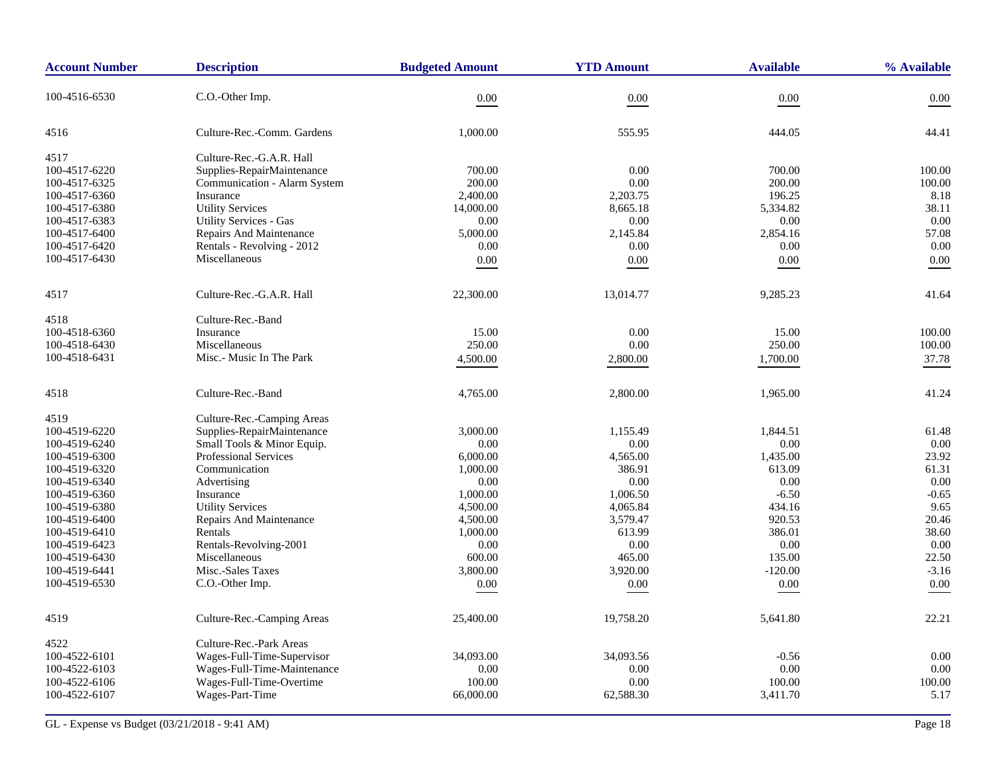| <b>Account Number</b> | <b>Description</b>             | <b>Budgeted Amount</b> | <b>YTD Amount</b> | <b>Available</b> | % Available |
|-----------------------|--------------------------------|------------------------|-------------------|------------------|-------------|
| 100-4516-6530         | C.O.-Other Imp.                | 0.00                   | 0.00              | 0.00             | 0.00        |
| 4516                  | Culture-Rec.-Comm. Gardens     | 1,000.00               | 555.95            | 444.05           | 44.41       |
| 4517                  | Culture-Rec.-G.A.R. Hall       |                        |                   |                  |             |
| 100-4517-6220         | Supplies-RepairMaintenance     | 700.00                 | 0.00              | 700.00           | 100.00      |
| 100-4517-6325         | Communication - Alarm System   | 200.00                 | 0.00              | 200.00           | 100.00      |
| 100-4517-6360         | Insurance                      | 2,400.00               | 2,203.75          | 196.25           | 8.18        |
| 100-4517-6380         | <b>Utility Services</b>        | 14,000.00              | 8,665.18          | 5,334.82         | 38.11       |
| 100-4517-6383         | <b>Utility Services - Gas</b>  | 0.00                   | 0.00              | 0.00             | 0.00        |
| 100-4517-6400         | Repairs And Maintenance        | 5,000.00               | 2,145.84          | 2,854.16         | 57.08       |
| 100-4517-6420         | Rentals - Revolving - 2012     | 0.00                   | 0.00              | 0.00             | 0.00        |
| 100-4517-6430         | Miscellaneous                  | 0.00                   | 0.00              | 0.00             | 0.00        |
| 4517                  | Culture-Rec.-G.A.R. Hall       | 22,300.00              | 13,014.77         | 9,285.23         | 41.64       |
| 4518                  | Culture-Rec.-Band              |                        |                   |                  |             |
| 100-4518-6360         | Insurance                      | 15.00                  | 0.00              | 15.00            | 100.00      |
| 100-4518-6430         | Miscellaneous                  | 250.00                 | 0.00              | 250.00           | 100.00      |
| 100-4518-6431         | Misc.- Music In The Park       | 4,500.00               | 2,800.00          | 1,700.00         | 37.78       |
|                       |                                |                        |                   |                  |             |
| 4518                  | Culture-Rec.-Band              | 4,765.00               | 2,800.00          | 1,965.00         | 41.24       |
| 4519                  | Culture-Rec.-Camping Areas     |                        |                   |                  |             |
| 100-4519-6220         | Supplies-RepairMaintenance     | 3,000.00               | 1,155.49          | 1,844.51         | 61.48       |
| 100-4519-6240         | Small Tools & Minor Equip.     | 0.00                   | 0.00              | 0.00             | 0.00        |
| 100-4519-6300         | <b>Professional Services</b>   | 6,000.00               | 4,565.00          | 1,435.00         | 23.92       |
| 100-4519-6320         | Communication                  | 1,000.00               | 386.91            | 613.09           | 61.31       |
| 100-4519-6340         | Advertising                    | 0.00                   | 0.00              | 0.00             | 0.00        |
| 100-4519-6360         | Insurance                      | 1,000.00               | 1,006.50          | $-6.50$          | $-0.65$     |
| 100-4519-6380         | <b>Utility Services</b>        | 4,500.00               | 4,065.84          | 434.16           | 9.65        |
| 100-4519-6400         | <b>Repairs And Maintenance</b> | 4,500.00               | 3,579.47          | 920.53           | 20.46       |
| 100-4519-6410         | Rentals                        | 1,000.00               | 613.99            | 386.01           | 38.60       |
| 100-4519-6423         | Rentals-Revolving-2001         | 0.00                   | 0.00              | 0.00             | 0.00        |
| 100-4519-6430         | Miscellaneous                  | 600.00                 | 465.00            | 135.00           | 22.50       |
| 100-4519-6441         | Misc.-Sales Taxes              | 3,800.00               | 3,920.00          | $-120.00$        | $-3.16$     |
| 100-4519-6530         | C.O.-Other Imp.                | $0.00\,$               | $0.00\,$          | $0.00\,$         | 0.00        |
| 4519                  | Culture-Rec.-Camping Areas     | 25,400.00              | 19,758.20         | 5,641.80         | 22.21       |
|                       |                                |                        |                   |                  |             |
| 4522                  | Culture-Rec.-Park Areas        |                        |                   |                  |             |
| 100-4522-6101         | Wages-Full-Time-Supervisor     | 34,093.00              | 34,093.56         | $-0.56$          | 0.00        |
| 100-4522-6103         | Wages-Full-Time-Maintenance    | 0.00                   | 0.00              | 0.00             | 0.00        |
| 100-4522-6106         | Wages-Full-Time-Overtime       | 100.00                 | 0.00              | 100.00           | 100.00      |
| 100-4522-6107         | Wages-Part-Time                | 66,000.00              | 62,588.30         | 3,411.70         | 5.17        |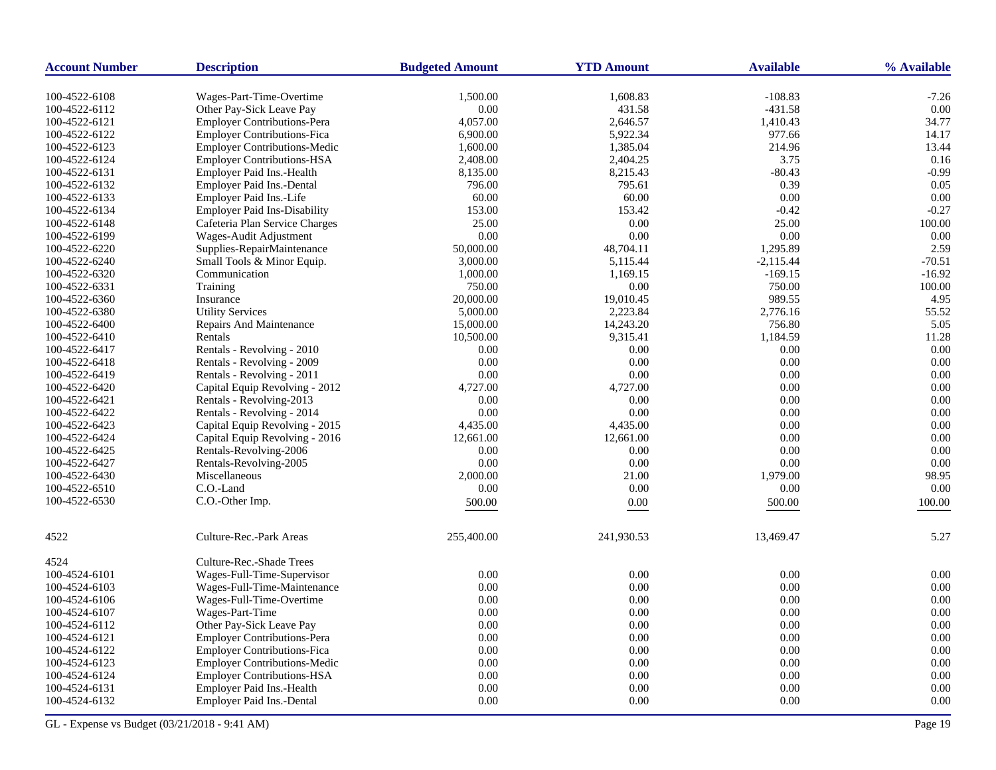| <b>Account Number</b> | <b>Description</b>                  | <b>Budgeted Amount</b> | <b>YTD Amount</b> | <b>Available</b> | % Available |
|-----------------------|-------------------------------------|------------------------|-------------------|------------------|-------------|
| 100-4522-6108         | Wages-Part-Time-Overtime            | 1,500.00               | 1,608.83          | $-108.83$        | $-7.26$     |
| 100-4522-6112         | Other Pay-Sick Leave Pay            | 0.00                   | 431.58            | $-431.58$        | 0.00        |
| 100-4522-6121         | <b>Employer Contributions-Pera</b>  | 4,057.00               | 2,646.57          | 1,410.43         | 34.77       |
| 100-4522-6122         | <b>Employer Contributions-Fica</b>  | 6,900.00               | 5,922.34          | 977.66           | 14.17       |
| 100-4522-6123         | <b>Employer Contributions-Medic</b> | 1,600.00               | 1,385.04          | 214.96           | 13.44       |
| 100-4522-6124         | <b>Employer Contributions-HSA</b>   | 2,408.00               | 2,404.25          | 3.75             | 0.16        |
| 100-4522-6131         | Employer Paid Ins.-Health           | 8,135.00               | 8,215.43          | $-80.43$         | $-0.99$     |
| 100-4522-6132         | Employer Paid Ins.-Dental           | 796.00                 | 795.61            | 0.39             | 0.05        |
| 100-4522-6133         | Employer Paid Ins.-Life             | 60.00                  | 60.00             | 0.00             | 0.00        |
| 100-4522-6134         | <b>Employer Paid Ins-Disability</b> | 153.00                 | 153.42            | $-0.42$          | $-0.27$     |
| 100-4522-6148         | Cafeteria Plan Service Charges      | 25.00                  | 0.00              | 25.00            | 100.00      |
| 100-4522-6199         | Wages-Audit Adjustment              | 0.00                   | 0.00              | 0.00             | 0.00        |
| 100-4522-6220         | Supplies-RepairMaintenance          | 50,000.00              | 48,704.11         | 1,295.89         | 2.59        |
| 100-4522-6240         | Small Tools & Minor Equip.          | 3,000.00               | 5,115.44          | $-2,115.44$      | $-70.51$    |
| 100-4522-6320         | Communication                       | 1,000.00               | 1,169.15          | $-169.15$        | $-16.92$    |
| 100-4522-6331         | Training                            | 750.00                 | 0.00              | 750.00           | 100.00      |
| 100-4522-6360         | Insurance                           | 20,000.00              | 19,010.45         | 989.55           | 4.95        |
| 100-4522-6380         | <b>Utility Services</b>             | 5,000.00               | 2,223.84          | 2,776.16         | 55.52       |
| 100-4522-6400         | Repairs And Maintenance             | 15,000.00              | 14,243.20         | 756.80           | 5.05        |
| 100-4522-6410         | Rentals                             | 10,500.00              | 9,315.41          | 1,184.59         | 11.28       |
| 100-4522-6417         | Rentals - Revolving - 2010          | 0.00                   | 0.00              | 0.00             | 0.00        |
| 100-4522-6418         | Rentals - Revolving - 2009          | 0.00                   | 0.00              | 0.00             | 0.00        |
| 100-4522-6419         | Rentals - Revolving - 2011          | 0.00                   | 0.00              | 0.00             | 0.00        |
| 100-4522-6420         | Capital Equip Revolving - 2012      | 4,727.00               | 4,727.00          | 0.00             | 0.00        |
| 100-4522-6421         | Rentals - Revolving-2013            | 0.00                   | 0.00              | 0.00             | 0.00        |
| 100-4522-6422         | Rentals - Revolving - 2014          | 0.00                   | 0.00              | 0.00             | 0.00        |
| 100-4522-6423         | Capital Equip Revolving - 2015      | 4,435.00               | 4,435.00          | 0.00             | 0.00        |
| 100-4522-6424         | Capital Equip Revolving - 2016      | 12,661.00              | 12,661.00         | 0.00             | 0.00        |
| 100-4522-6425         | Rentals-Revolving-2006              | 0.00                   | 0.00              | 0.00             | 0.00        |
| 100-4522-6427         | Rentals-Revolving-2005              | 0.00                   | 0.00              | 0.00             | 0.00        |
| 100-4522-6430         | Miscellaneous                       | 2,000.00               | 21.00             | 1,979.00         | 98.95       |
| 100-4522-6510         | C.O.-Land                           | 0.00                   | 0.00              | 0.00             | 0.00        |
| 100-4522-6530         | C.O.-Other Imp.                     | 500.00                 | 0.00              | 500.00           | 100.00      |
|                       |                                     |                        |                   |                  |             |
| 4522                  | Culture-Rec.-Park Areas             | 255,400.00             | 241,930.53        | 13,469.47        | 5.27        |
| 4524                  | Culture-Rec.-Shade Trees            |                        |                   |                  |             |
| 100-4524-6101         | Wages-Full-Time-Supervisor          | 0.00                   | 0.00              | 0.00             | 0.00        |
| 100-4524-6103         | Wages-Full-Time-Maintenance         | 0.00                   | 0.00              | 0.00             | 0.00        |
| 100-4524-6106         | Wages-Full-Time-Overtime            | 0.00                   | 0.00              | 0.00             | 0.00        |
| 100-4524-6107         | Wages-Part-Time                     | 0.00                   | 0.00              | 0.00             | 0.00        |
| 100-4524-6112         | Other Pay-Sick Leave Pay            | 0.00                   | 0.00              | 0.00             | 0.00        |
| 100-4524-6121         | <b>Employer Contributions-Pera</b>  | 0.00                   | 0.00              | 0.00             | 0.00        |
| 100-4524-6122         | <b>Employer Contributions-Fica</b>  | 0.00                   | 0.00              | 0.00             | 0.00        |
| 100-4524-6123         | <b>Employer Contributions-Medic</b> | 0.00                   | 0.00              | 0.00             | 0.00        |
| 100-4524-6124         | <b>Employer Contributions-HSA</b>   | 0.00                   | 0.00              | 0.00             | 0.00        |
| 100-4524-6131         | Employer Paid Ins.-Health           | 0.00                   | 0.00              | 0.00             | 0.00        |
| 100-4524-6132         | Employer Paid Ins.-Dental           | 0.00                   | 0.00              | 0.00             | 0.00        |
|                       |                                     |                        |                   |                  |             |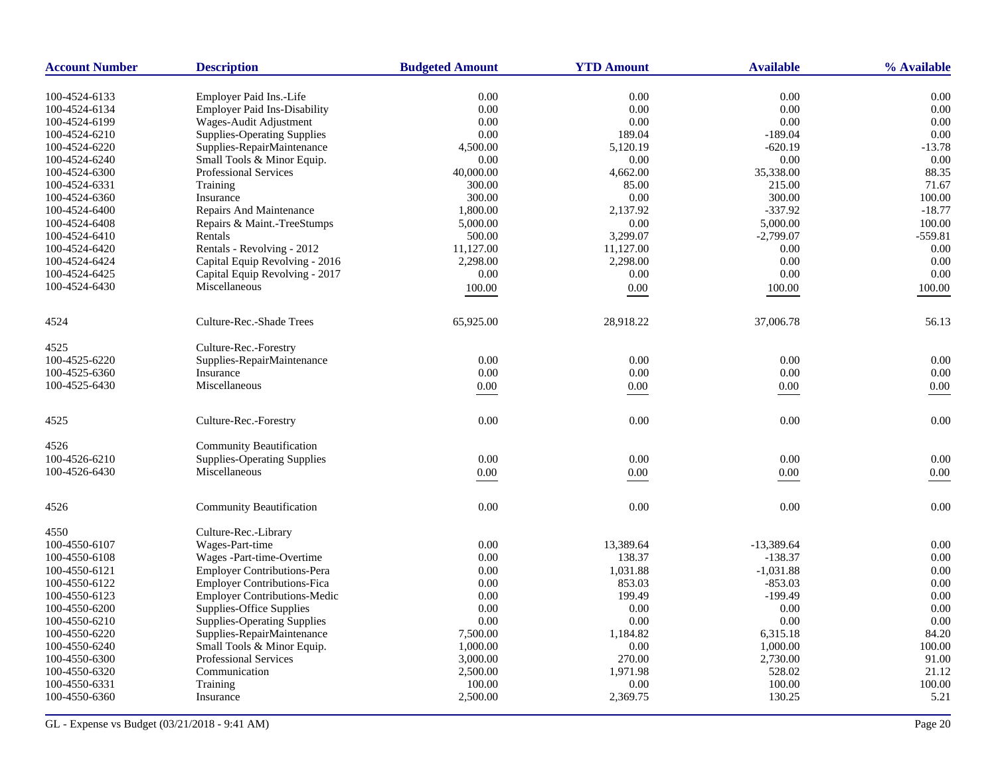| <b>Account Number</b> | <b>Description</b>                  | <b>Budgeted Amount</b> | <b>YTD Amount</b> | <b>Available</b> | % Available |
|-----------------------|-------------------------------------|------------------------|-------------------|------------------|-------------|
| 100-4524-6133         | Employer Paid Ins.-Life             | 0.00                   | 0.00              | 0.00             | 0.00        |
| 100-4524-6134         | <b>Employer Paid Ins-Disability</b> | $0.00\,$               | 0.00              | $0.00\,$         | 0.00        |
| 100-4524-6199         | Wages-Audit Adjustment              | 0.00                   | 0.00              | 0.00             | 0.00        |
| 100-4524-6210         | <b>Supplies-Operating Supplies</b>  | 0.00                   | 189.04            | $-189.04$        | 0.00        |
| 100-4524-6220         | Supplies-RepairMaintenance          | 4,500.00               | 5,120.19          | $-620.19$        | $-13.78$    |
| 100-4524-6240         | Small Tools & Minor Equip.          | 0.00                   | 0.00              | 0.00             | 0.00        |
| 100-4524-6300         | Professional Services               | 40,000.00              | 4,662.00          | 35,338.00        | 88.35       |
| 100-4524-6331         | Training                            | 300.00                 | 85.00             | 215.00           | 71.67       |
| 100-4524-6360         | Insurance                           | 300.00                 | 0.00              | 300.00           | 100.00      |
| 100-4524-6400         | Repairs And Maintenance             | 1,800.00               | 2,137.92          | $-337.92$        | $-18.77$    |
| 100-4524-6408         | Repairs & Maint.-TreeStumps         | 5,000.00               | 0.00              | 5,000.00         | 100.00      |
| 100-4524-6410         | Rentals                             | 500.00                 | 3,299.07          | $-2,799.07$      | $-559.81$   |
| 100-4524-6420         | Rentals - Revolving - 2012          | 11,127.00              | 11,127.00         | 0.00             | 0.00        |
| 100-4524-6424         | Capital Equip Revolving - 2016      | 2,298.00               | 2,298.00          | 0.00             | 0.00        |
| 100-4524-6425         | Capital Equip Revolving - 2017      | $0.00\,$               | 0.00              | $0.00\,$         | 0.00        |
| 100-4524-6430         | Miscellaneous                       | 100.00                 | $0.00\,$          | 100.00           | 100.00      |
|                       |                                     |                        |                   |                  |             |
| 4524                  | Culture-Rec.-Shade Trees            | 65,925.00              | 28,918.22         | 37,006.78        | 56.13       |
| 4525                  | Culture-Rec.-Forestry               |                        |                   |                  |             |
| 100-4525-6220         | Supplies-RepairMaintenance          | 0.00                   | 0.00              | 0.00             | 0.00        |
| 100-4525-6360         | Insurance                           | 0.00                   | 0.00              | 0.00             | 0.00        |
| 100-4525-6430         | Miscellaneous                       | $0.00\,$               | $0.00\,$          | $0.00\,$         | $0.00\,$    |
| 4525                  | Culture-Rec.-Forestry               | 0.00                   | 0.00              | 0.00             | 0.00        |
| 4526                  | <b>Community Beautification</b>     |                        |                   |                  |             |
| 100-4526-6210         | <b>Supplies-Operating Supplies</b>  | 0.00                   | 0.00              | $0.00\,$         | 0.00        |
| 100-4526-6430         | Miscellaneous                       | 0.00                   | 0.00              | $0.00\,$         | 0.00        |
|                       |                                     |                        |                   |                  |             |
| 4526                  | <b>Community Beautification</b>     | 0.00                   | 0.00              | 0.00             | 0.00        |
| 4550                  | Culture-Rec.-Library                |                        |                   |                  |             |
| 100-4550-6107         | Wages-Part-time                     | 0.00                   | 13,389.64         | $-13,389.64$     | 0.00        |
| 100-4550-6108         | Wages -Part-time-Overtime           | 0.00                   | 138.37            | $-138.37$        | 0.00        |
| 100-4550-6121         | <b>Employer Contributions-Pera</b>  | 0.00                   | 1,031.88          | $-1,031.88$      | 0.00        |
| 100-4550-6122         | Employer Contributions-Fica         | 0.00                   | 853.03            | $-853.03$        | 0.00        |
| 100-4550-6123         | <b>Employer Contributions-Medic</b> | 0.00                   | 199.49            | $-199.49$        | 0.00        |
| 100-4550-6200         | Supplies-Office Supplies            | 0.00                   | 0.00              | 0.00             | 0.00        |
| 100-4550-6210         | <b>Supplies-Operating Supplies</b>  | 0.00                   | 0.00              | 0.00             | 0.00        |
| 100-4550-6220         | Supplies-RepairMaintenance          | 7,500.00               | 1,184.82          | 6,315.18         | 84.20       |
| 100-4550-6240         | Small Tools & Minor Equip.          | 1,000.00               | 0.00              | 1,000.00         | 100.00      |
| 100-4550-6300         | <b>Professional Services</b>        | 3,000.00               | 270.00            | 2,730.00         | 91.00       |
| 100-4550-6320         | Communication                       | 2,500.00               | 1,971.98          | 528.02           | 21.12       |
| 100-4550-6331         | Training                            | 100.00                 | 0.00              | 100.00           | 100.00      |
| 100-4550-6360         | Insurance                           | 2,500.00               | 2,369.75          | 130.25           | 5.21        |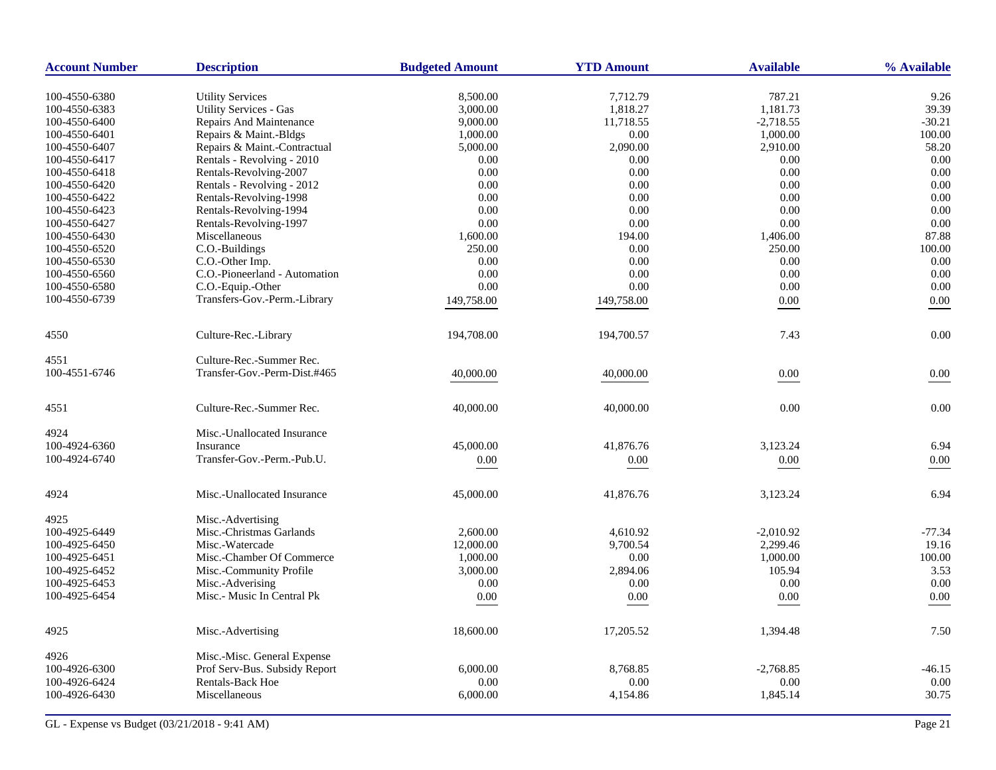| <b>Account Number</b> | <b>Description</b>                                | <b>Budgeted Amount</b> | <b>YTD Amount</b> | <b>Available</b> | % Available |
|-----------------------|---------------------------------------------------|------------------------|-------------------|------------------|-------------|
| 100-4550-6380         |                                                   |                        | 7.712.79          | 787.21           | 9.26        |
| 100-4550-6383         | <b>Utility Services</b><br>Utility Services - Gas | 8,500.00<br>3,000.00   | 1,818.27          | 1,181.73         | 39.39       |
| 100-4550-6400         | Repairs And Maintenance                           | 9,000.00               | 11,718.55         | $-2,718.55$      | $-30.21$    |
| 100-4550-6401         | Repairs & Maint.-Bldgs                            | 1,000.00               | 0.00              | 1,000.00         | 100.00      |
| 100-4550-6407         | Repairs & Maint.-Contractual                      | 5,000.00               | 2,090.00          | 2,910.00         | 58.20       |
| 100-4550-6417         | Rentals - Revolving - 2010                        | 0.00                   | 0.00              | 0.00             | 0.00        |
| 100-4550-6418         | Rentals-Revolving-2007                            | 0.00                   | 0.00              | 0.00             | 0.00        |
| 100-4550-6420         | Rentals - Revolving - 2012                        | 0.00                   | 0.00              | 0.00             | 0.00        |
| 100-4550-6422         | Rentals-Revolving-1998                            | 0.00                   | 0.00              | 0.00             | 0.00        |
|                       |                                                   |                        |                   |                  |             |
| 100-4550-6423         | Rentals-Revolving-1994                            | 0.00                   | 0.00              | 0.00             | 0.00        |
| 100-4550-6427         | Rentals-Revolving-1997                            | 0.00                   | 0.00              | 0.00             | 0.00        |
| 100-4550-6430         | Miscellaneous                                     | 1,600.00               | 194.00            | 1,406.00         | 87.88       |
| 100-4550-6520         | C.O.-Buildings                                    | 250.00                 | 0.00              | 250.00           | 100.00      |
| 100-4550-6530         | C.O.-Other Imp.                                   | 0.00                   | 0.00              | 0.00             | 0.00        |
| 100-4550-6560         | C.O.-Pioneerland - Automation                     | 0.00                   | 0.00              | 0.00             | 0.00        |
| 100-4550-6580         | C.O.-Equip.-Other                                 | 0.00                   | 0.00              | 0.00             | 0.00        |
| 100-4550-6739         | Transfers-Gov.-Perm.-Library                      | 149,758.00             | 149,758.00        | $0.00\,$         | 0.00        |
| 4550                  | Culture-Rec.-Library                              | 194,708.00             | 194,700.57        | 7.43             | 0.00        |
| 4551                  | Culture-Rec.-Summer Rec.                          |                        |                   |                  |             |
| 100-4551-6746         | Transfer-Gov.-Perm-Dist.#465                      | 40,000.00              | 40,000.00         | $0.00\,$         | 0.00        |
| 4551                  | Culture-Rec.-Summer Rec.                          | 40,000.00              | 40,000.00         | 0.00             | 0.00        |
| 4924                  | Misc.-Unallocated Insurance                       |                        |                   |                  |             |
| 100-4924-6360         | <b>Insurance</b>                                  | 45,000.00              | 41,876.76         | 3,123.24         | 6.94        |
| 100-4924-6740         | Transfer-Gov.-Perm.-Pub.U.                        | 0.00                   | 0.00              | 0.00             | 0.00        |
| 4924                  | Misc.-Unallocated Insurance                       | 45,000.00              | 41,876.76         | 3,123.24         | 6.94        |
|                       |                                                   |                        |                   |                  |             |
| 4925                  | Misc.-Advertising                                 |                        |                   |                  |             |
| 100-4925-6449         | Misc.-Christmas Garlands                          | 2,600.00               | 4,610.92          | $-2,010.92$      | $-77.34$    |
| 100-4925-6450         | Misc.-Watercade                                   | 12,000.00              | 9,700.54          | 2,299.46         | 19.16       |
| 100-4925-6451         | Misc.-Chamber Of Commerce                         | 1,000.00               | 0.00              | 1,000.00         | 100.00      |
| 100-4925-6452         | Misc.-Community Profile                           | 3,000.00               | 2,894.06          | 105.94           | 3.53        |
| 100-4925-6453         | Misc.-Adverising                                  | 0.00                   | 0.00              | 0.00             | 0.00        |
| 100-4925-6454         | Misc.- Music In Central Pk                        | $0.00\,$               | $0.00\,$          | $0.00\,$         | 0.00        |
| 4925                  | Misc.-Advertising                                 | 18,600.00              | 17,205.52         | 1,394.48         | 7.50        |
| 4926                  | Misc.-Misc. General Expense                       |                        |                   |                  |             |
| 100-4926-6300         | Prof Serv-Bus. Subsidy Report                     | 6,000.00               | 8,768.85          | $-2,768.85$      | $-46.15$    |
| 100-4926-6424         | Rentals-Back Hoe                                  | 0.00                   | 0.00              | 0.00             | 0.00        |
| 100-4926-6430         | Miscellaneous                                     | 6,000.00               | 4,154.86          | 1,845.14         | 30.75       |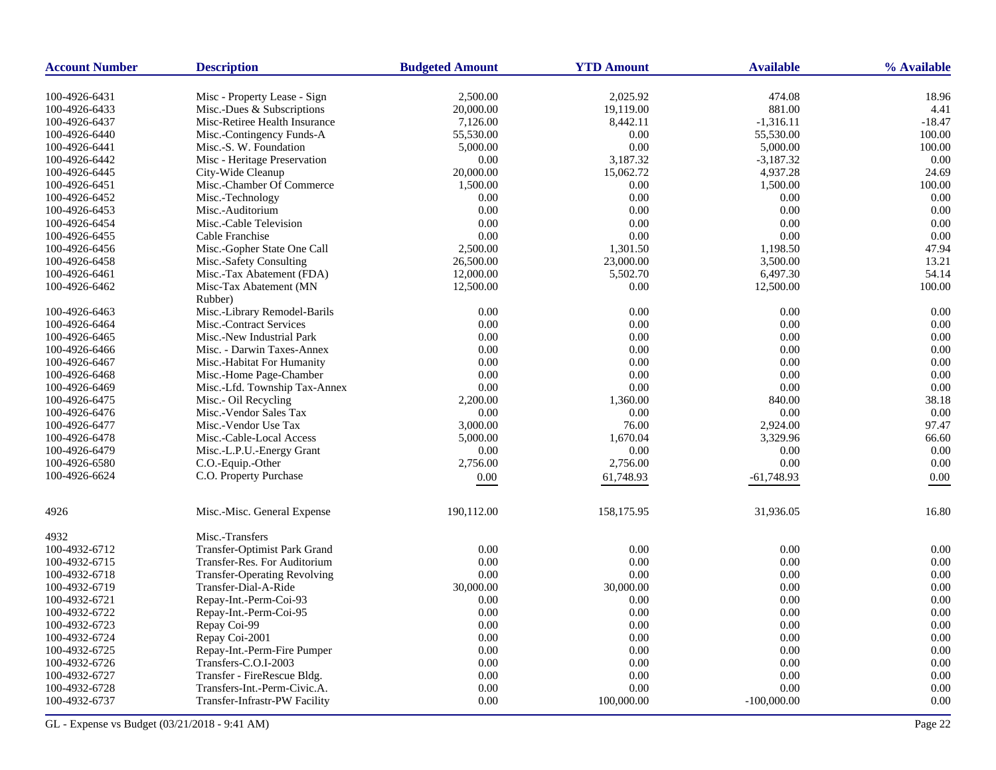| <b>Account Number</b> | <b>Description</b>                  | <b>Budgeted Amount</b> | <b>YTD Amount</b> | <b>Available</b> | % Available |
|-----------------------|-------------------------------------|------------------------|-------------------|------------------|-------------|
| 100-4926-6431         | Misc - Property Lease - Sign        | 2,500.00               | 2,025.92          | 474.08           | 18.96       |
| 100-4926-6433         | Misc.-Dues & Subscriptions          | 20,000.00              | 19,119.00         | 881.00           | 4.41        |
| 100-4926-6437         | Misc-Retiree Health Insurance       | 7,126.00               | 8,442.11          | $-1,316.11$      | $-18.47$    |
| 100-4926-6440         | Misc.-Contingency Funds-A           | 55,530.00              | 0.00              | 55,530.00        | 100.00      |
| 100-4926-6441         | Misc.-S. W. Foundation              | 5,000.00               | 0.00              | 5,000.00         | 100.00      |
| 100-4926-6442         | Misc - Heritage Preservation        | 0.00                   | 3,187.32          | $-3,187.32$      | 0.00        |
| 100-4926-6445         | City-Wide Cleanup                   | 20,000.00              | 15,062.72         | 4,937.28         | 24.69       |
| 100-4926-6451         | Misc.-Chamber Of Commerce           | 1,500.00               | 0.00              | 1,500.00         | 100.00      |
| 100-4926-6452         | Misc.-Technology                    | 0.00                   | 0.00              | 0.00             | 0.00        |
| 100-4926-6453         | Misc.-Auditorium                    | 0.00                   | 0.00              | 0.00             | 0.00        |
| 100-4926-6454         | Misc.-Cable Television              | 0.00                   | 0.00              | 0.00             | 0.00        |
| 100-4926-6455         | Cable Franchise                     | 0.00                   | 0.00              | 0.00             | 0.00        |
| 100-4926-6456         | Misc.-Gopher State One Call         | 2,500.00               | 1,301.50          | 1,198.50         | 47.94       |
| 100-4926-6458         | Misc.-Safety Consulting             | 26,500.00              | 23,000.00         | 3,500.00         | 13.21       |
| 100-4926-6461         | Misc.-Tax Abatement (FDA)           | 12,000.00              | 5,502.70          | 6,497.30         | 54.14       |
| 100-4926-6462         | Misc-Tax Abatement (MN              | 12,500.00              | 0.00              | 12,500.00        | 100.00      |
|                       | Rubber)                             |                        |                   |                  |             |
| 100-4926-6463         | Misc.-Library Remodel-Barils        | 0.00                   | 0.00              | 0.00             | 0.00        |
| 100-4926-6464         | Misc.-Contract Services             | 0.00                   | 0.00              | 0.00             | 0.00        |
| 100-4926-6465         | Misc.-New Industrial Park           | 0.00                   | 0.00              | 0.00             | 0.00        |
| 100-4926-6466         | Misc. - Darwin Taxes-Annex          | 0.00                   | 0.00              | 0.00             | 0.00        |
| 100-4926-6467         | Misc.-Habitat For Humanity          | 0.00                   | 0.00              | 0.00             | 0.00        |
| 100-4926-6468         | Misc.-Home Page-Chamber             | 0.00                   | 0.00              | 0.00             | 0.00        |
| 100-4926-6469         | Misc.-Lfd. Township Tax-Annex       | 0.00                   | 0.00              | 0.00             | 0.00        |
| 100-4926-6475         | Misc.- Oil Recycling                | 2,200.00               | 1,360.00          | 840.00           | 38.18       |
| 100-4926-6476         | Misc.-Vendor Sales Tax              | 0.00                   | 0.00              | 0.00             | 0.00        |
| 100-4926-6477         | Misc.-Vendor Use Tax                | 3,000.00               | 76.00             | 2,924.00         | 97.47       |
| 100-4926-6478         | Misc.-Cable-Local Access            | 5,000.00               | 1,670.04          | 3,329.96         | 66.60       |
| 100-4926-6479         | Misc.-L.P.U.-Energy Grant           | 0.00                   | 0.00              | 0.00             | 0.00        |
| 100-4926-6580         | C.O.-Equip.-Other                   | 2,756.00               | 2,756.00          | 0.00             | 0.00        |
| 100-4926-6624         | C.O. Property Purchase              | 0.00                   | 61,748.93         | $-61,748.93$     | 0.00        |
| 4926                  | Misc.-Misc. General Expense         | 190,112.00             | 158,175.95        | 31,936.05        | 16.80       |
| 4932                  | Misc.-Transfers                     |                        |                   |                  |             |
| 100-4932-6712         | Transfer-Optimist Park Grand        | 0.00                   | 0.00              | 0.00             | 0.00        |
| 100-4932-6715         | Transfer-Res. For Auditorium        | 0.00                   | 0.00              | 0.00             | 0.00        |
| 100-4932-6718         | <b>Transfer-Operating Revolving</b> | 0.00                   | 0.00              | 0.00             | 0.00        |
| 100-4932-6719         | Transfer-Dial-A-Ride                | 30,000.00              | 30,000.00         | 0.00             | 0.00        |
| 100-4932-6721         | Repay-Int.-Perm-Coi-93              | 0.00                   | 0.00              | 0.00             | 0.00        |
| 100-4932-6722         | Repay-Int.-Perm-Coi-95              | 0.00                   | 0.00              | 0.00             | 0.00        |
| 100-4932-6723         | Repay Coi-99                        | 0.00                   | 0.00              | 0.00             | 0.00        |
| 100-4932-6724         | Repay Coi-2001                      | 0.00                   | 0.00              | 0.00             | 0.00        |
| 100-4932-6725         | Repay-Int.-Perm-Fire Pumper         | 0.00                   | 0.00              | 0.00             | 0.00        |
| 100-4932-6726         | Transfers-C.O.I-2003                | 0.00                   | 0.00              | 0.00             | 0.00        |
| 100-4932-6727         | Transfer - FireRescue Bldg.         | 0.00                   | 0.00              | 0.00             | 0.00        |
| 100-4932-6728         | Transfers-Int.-Perm-Civic.A.        | 0.00                   | 0.00              | 0.00             | 0.00        |
| 100-4932-6737         | Transfer-Infrastr-PW Facility       | 0.00                   | 100,000.00        | $-100,000.00$    | 0.00        |
|                       |                                     |                        |                   |                  |             |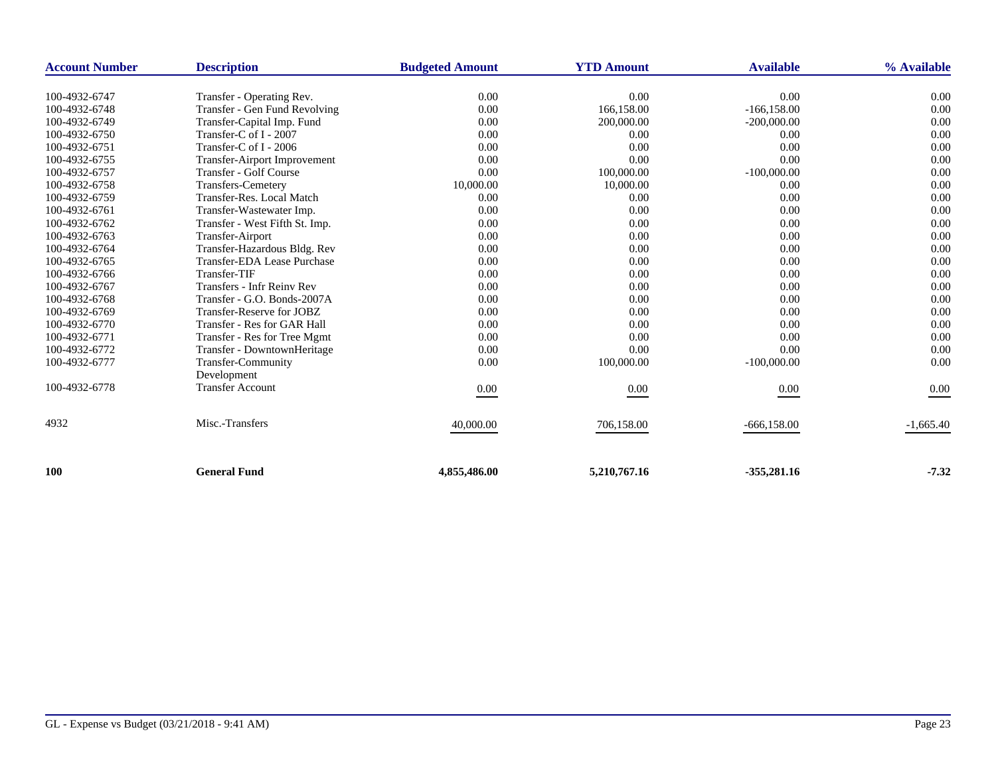| <b>Account Number</b> | <b>Description</b>             | <b>Budgeted Amount</b> | <b>YTD Amount</b> | <b>Available</b> | % Available |
|-----------------------|--------------------------------|------------------------|-------------------|------------------|-------------|
|                       |                                |                        |                   |                  |             |
| 100-4932-6747         | Transfer - Operating Rev.      | 0.00                   | 0.00              | 0.00             | 0.00        |
| 100-4932-6748         | Transfer - Gen Fund Revolving  | 0.00                   | 166,158.00        | $-166, 158.00$   | 0.00        |
| 100-4932-6749         | Transfer-Capital Imp. Fund     | 0.00                   | 200,000.00        | $-200,000.00$    | 0.00        |
| 100-4932-6750         | Transfer-C of I - 2007         | 0.00                   | 0.00              | 0.00             | 0.00        |
| 100-4932-6751         | Transfer-C of I - 2006         | 0.00                   | 0.00              | 0.00             | 0.00        |
| 100-4932-6755         | Transfer-Airport Improvement   | 0.00                   | 0.00              | 0.00             | 0.00        |
| 100-4932-6757         | Transfer - Golf Course         | 0.00                   | 100,000.00        | $-100,000.00$    | 0.00        |
| 100-4932-6758         | <b>Transfers-Cemetery</b>      | 10,000.00              | 10,000.00         | 0.00             | 0.00        |
| 100-4932-6759         | Transfer-Res. Local Match      | 0.00                   | 0.00              | 0.00             | 0.00        |
| 100-4932-6761         | Transfer-Wastewater Imp.       | 0.00                   | 0.00              | 0.00             | 0.00        |
| 100-4932-6762         | Transfer - West Fifth St. Imp. | 0.00                   | 0.00              | 0.00             | 0.00        |
| 100-4932-6763         | Transfer-Airport               | 0.00                   | 0.00              | 0.00             | 0.00        |
| 100-4932-6764         | Transfer-Hazardous Bldg. Rev   | 0.00                   | 0.00              | 0.00             | 0.00        |
| 100-4932-6765         | Transfer-EDA Lease Purchase    | 0.00                   | 0.00              | 0.00             | 0.00        |
| 100-4932-6766         | Transfer-TIF                   | 0.00                   | 0.00              | 0.00             | 0.00        |
| 100-4932-6767         | Transfers - Infr Reiny Rev     | 0.00                   | 0.00              | 0.00             | 0.00        |
| 100-4932-6768         | Transfer - G.O. Bonds-2007A    | 0.00                   | 0.00              | 0.00             | 0.00        |
| 100-4932-6769         | Transfer-Reserve for JOBZ      | 0.00                   | 0.00              | 0.00             | 0.00        |
| 100-4932-6770         | Transfer - Res for GAR Hall    | 0.00                   | 0.00              | 0.00             | 0.00        |
| 100-4932-6771         | Transfer - Res for Tree Mgmt   | 0.00                   | 0.00              | 0.00             | 0.00        |
| 100-4932-6772         | Transfer - DowntownHeritage    | 0.00                   | 0.00              | 0.00             | 0.00        |
| 100-4932-6777         | <b>Transfer-Community</b>      | 0.00                   | 100,000.00        | $-100,000.00$    | 0.00        |
|                       | Development                    |                        |                   |                  |             |
| 100-4932-6778         | <b>Transfer Account</b>        | 0.00                   | 0.00              | 0.00             | 0.00        |
| 4932                  | Misc.-Transfers                | 40,000.00              | 706,158.00        | $-666, 158.00$   | $-1,665.40$ |
| <b>100</b>            | <b>General Fund</b>            | 4,855,486.00           | 5,210,767.16      | $-355,281.16$    | $-7.32$     |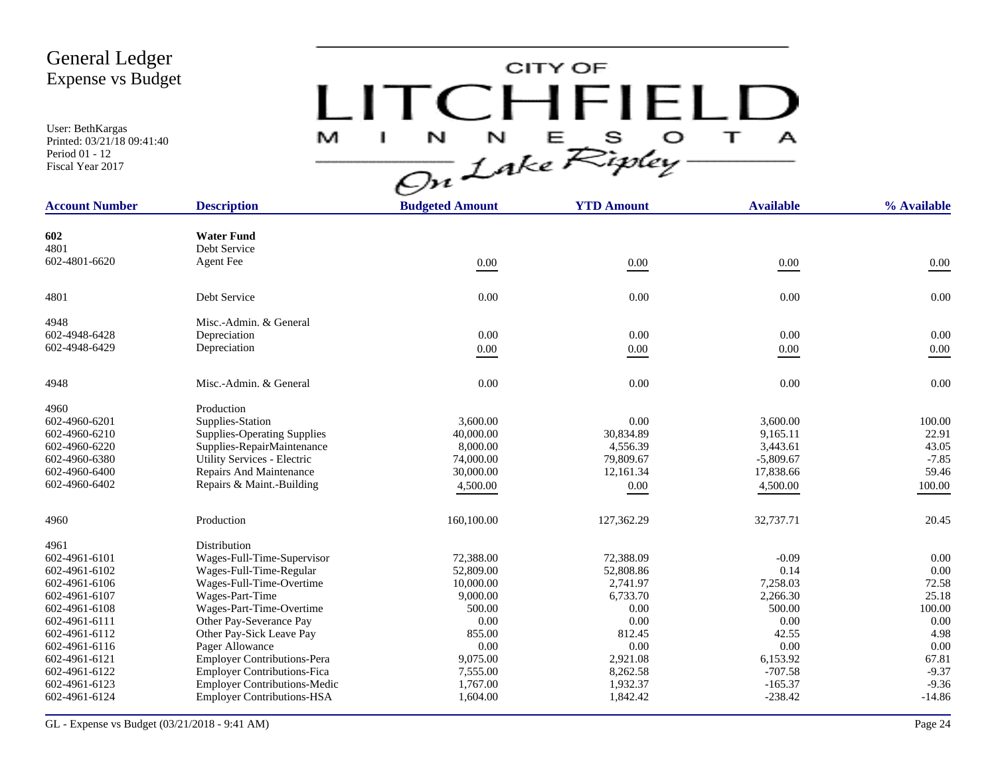User: BethKargas Printed: 03/21/18 09:41:40 Period 01 - 12 Fiscal Year 2017

# CITY OF LITCHFIELD  $M$  I N N E S O T A<br>On Lake Ripley

| <b>Account Number</b> | <b>Description</b>                  | <b>Budgeted Amount</b> | <b>YTD Amount</b> | <b>Available</b> | % Available |
|-----------------------|-------------------------------------|------------------------|-------------------|------------------|-------------|
|                       |                                     |                        |                   |                  |             |
| 602                   | <b>Water Fund</b>                   |                        |                   |                  |             |
| 4801                  | Debt Service                        |                        |                   |                  |             |
| 602-4801-6620         | <b>Agent</b> Fee                    | 0.00                   | 0.00              | $0.00\,$         | $0.00\,$    |
| 4801                  | Debt Service                        | 0.00                   | 0.00              | 0.00             | 0.00        |
| 4948                  | Misc.-Admin. & General              |                        |                   |                  |             |
| 602-4948-6428         | Depreciation                        | 0.00                   | 0.00              | 0.00             | 0.00        |
| 602-4948-6429         | Depreciation                        | $0.00\,$               | $0.00\,$          | $0.00\,$         | $0.00\,$    |
|                       |                                     |                        |                   |                  |             |
| 4948                  | Misc.-Admin. & General              | 0.00                   | 0.00              | 0.00             | 0.00        |
| 4960                  | Production                          |                        |                   |                  |             |
| 602-4960-6201         | Supplies-Station                    | 3,600.00               | 0.00              | 3.600.00         | 100.00      |
| 602-4960-6210         | <b>Supplies-Operating Supplies</b>  | 40,000.00              | 30,834.89         | 9,165.11         | 22.91       |
| 602-4960-6220         | Supplies-RepairMaintenance          | 8,000.00               | 4,556.39          | 3,443.61         | 43.05       |
| 602-4960-6380         | Utility Services - Electric         | 74,000.00              | 79,809.67         | $-5,809.67$      | $-7.85$     |
| 602-4960-6400         | Repairs And Maintenance             | 30,000.00              | 12,161.34         | 17,838.66        | 59.46       |
| 602-4960-6402         | Repairs & Maint.-Building           | 4,500.00               | 0.00              | 4,500.00         | 100.00      |
| 4960                  | Production                          | 160,100.00             | 127,362.29        | 32,737.71        | 20.45       |
| 4961                  | Distribution                        |                        |                   |                  |             |
| 602-4961-6101         | Wages-Full-Time-Supervisor          | 72,388.00              | 72,388.09         | $-0.09$          | 0.00        |
| 602-4961-6102         | Wages-Full-Time-Regular             | 52,809.00              | 52,808.86         | 0.14             | 0.00        |
| 602-4961-6106         | Wages-Full-Time-Overtime            | 10,000.00              | 2,741.97          | 7,258.03         | 72.58       |
| 602-4961-6107         | Wages-Part-Time                     | 9,000.00               | 6,733.70          | 2,266.30         | 25.18       |
| 602-4961-6108         | Wages-Part-Time-Overtime            | 500.00                 | 0.00              | 500.00           | 100.00      |
| 602-4961-6111         | Other Pay-Severance Pay             | 0.00                   | 0.00              | 0.00             | 0.00        |
| 602-4961-6112         | Other Pay-Sick Leave Pay            | 855.00                 | 812.45            | 42.55            | 4.98        |
| 602-4961-6116         | Pager Allowance                     | 0.00                   | 0.00              | 0.00             | 0.00        |
| 602-4961-6121         | <b>Employer Contributions-Pera</b>  | 9,075.00               | 2,921.08          | 6,153.92         | 67.81       |
| 602-4961-6122         | <b>Employer Contributions-Fica</b>  | 7,555.00               | 8,262.58          | $-707.58$        | $-9.37$     |
| 602-4961-6123         | <b>Employer Contributions-Medic</b> | 1,767.00               | 1,932.37          | $-165.37$        | $-9.36$     |
| 602-4961-6124         | <b>Employer Contributions-HSA</b>   | 1,604.00               | 1,842.42          | $-238.42$        | $-14.86$    |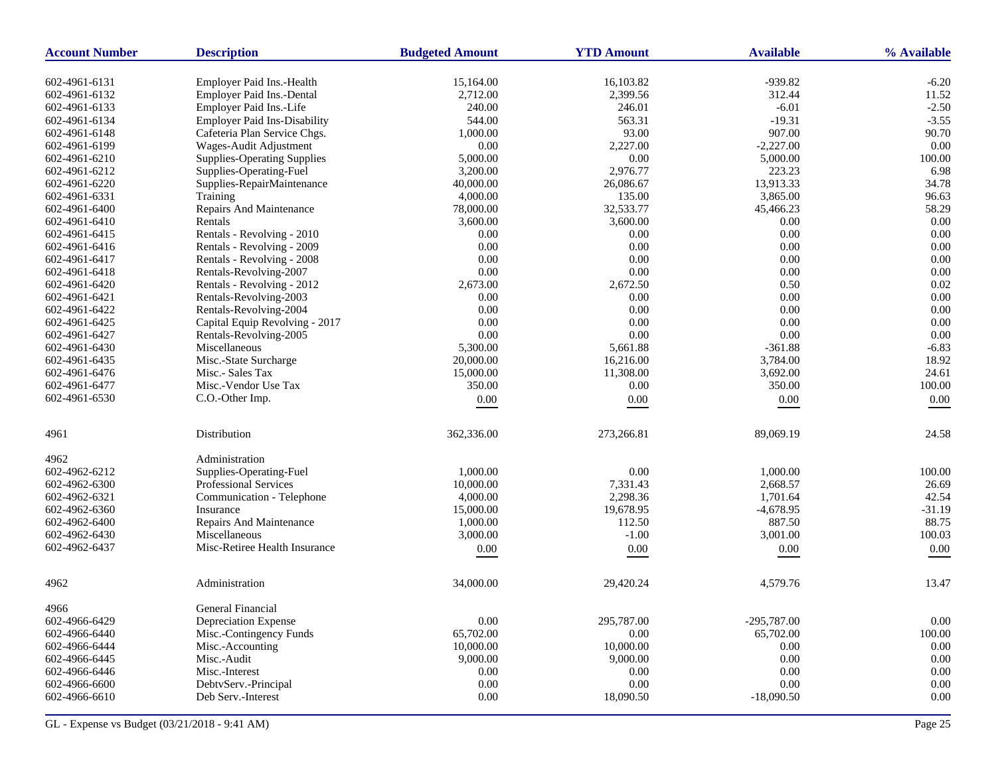| <b>Account Number</b> | <b>Description</b>                  | <b>Budgeted Amount</b> | <b>YTD Amount</b> | <b>Available</b> | % Available |
|-----------------------|-------------------------------------|------------------------|-------------------|------------------|-------------|
| 602-4961-6131         | Employer Paid Ins.-Health           | 15,164.00              | 16,103.82         | $-939.82$        | $-6.20$     |
| 602-4961-6132         | Employer Paid Ins.-Dental           | 2,712.00               | 2,399.56          | 312.44           | 11.52       |
| 602-4961-6133         | Employer Paid Ins.-Life             | 240.00                 | 246.01            | $-6.01$          | $-2.50$     |
| 602-4961-6134         | <b>Employer Paid Ins-Disability</b> | 544.00                 | 563.31            | $-19.31$         | $-3.55$     |
| 602-4961-6148         | Cafeteria Plan Service Chgs.        | 1,000.00               | 93.00             | 907.00           | 90.70       |
| 602-4961-6199         | Wages-Audit Adjustment              | 0.00                   | 2,227.00          | $-2,227.00$      | 0.00        |
| 602-4961-6210         | <b>Supplies-Operating Supplies</b>  | 5,000.00               | $0.00\,$          | 5,000.00         | 100.00      |
| 602-4961-6212         | Supplies-Operating-Fuel             | 3,200.00               | 2,976.77          | 223.23           | 6.98        |
| 602-4961-6220         | Supplies-RepairMaintenance          | 40,000.00              | 26,086.67         | 13,913.33        | 34.78       |
| 602-4961-6331         | Training                            | 4,000.00               | 135.00            | 3,865.00         | 96.63       |
| 602-4961-6400         | Repairs And Maintenance             | 78,000.00              | 32,533.77         | 45,466.23        | 58.29       |
| 602-4961-6410         | Rentals                             | 3,600.00               | 3,600.00          | $0.00\,$         | 0.00        |
| 602-4961-6415         | Rentals - Revolving - 2010          | 0.00                   | 0.00              | 0.00             | 0.00        |
| 602-4961-6416         | Rentals - Revolving - 2009          | 0.00                   | $0.00\,$          | $0.00\,$         | 0.00        |
| 602-4961-6417         | Rentals - Revolving - 2008          | 0.00                   | $0.00\,$          | 0.00             | $0.00\,$    |
| 602-4961-6418         | Rentals-Revolving-2007              | 0.00                   | $0.00\,$          | 0.00             | 0.00        |
| 602-4961-6420         | Rentals - Revolving - 2012          | 2,673.00               | 2,672.50          | 0.50             | 0.02        |
| 602-4961-6421         | Rentals-Revolving-2003              | 0.00                   | 0.00              | 0.00             | $0.00\,$    |
| 602-4961-6422         | Rentals-Revolving-2004              | 0.00                   | 0.00              | 0.00             | 0.00        |
| 602-4961-6425         | Capital Equip Revolving - 2017      | 0.00                   | 0.00              | 0.00             | 0.00        |
| 602-4961-6427         | Rentals-Revolving-2005              | 0.00                   | $0.00\,$          | 0.00             | 0.00        |
| 602-4961-6430         | Miscellaneous                       | 5,300.00               | 5,661.88          | $-361.88$        | $-6.83$     |
| 602-4961-6435         | Misc.-State Surcharge               | 20,000.00              | 16,216.00         | 3,784.00         | 18.92       |
| 602-4961-6476         | Misc.- Sales Tax                    | 15,000.00              | 11,308.00         | 3,692.00         | 24.61       |
| 602-4961-6477         | Misc.-Vendor Use Tax                | 350.00                 | 0.00              |                  | 100.00      |
| 602-4961-6530         | C.O.-Other Imp.                     |                        |                   | 350.00           |             |
|                       |                                     | $0.00\,$               | 0.00              | $0.00\,$         | 0.00        |
| 4961                  | Distribution                        | 362,336.00             | 273,266.81        | 89,069.19        | 24.58       |
| 4962                  | Administration                      |                        |                   |                  |             |
| 602-4962-6212         | Supplies-Operating-Fuel             | 1,000.00               | $0.00\,$          | 1,000.00         | 100.00      |
| 602-4962-6300         | Professional Services               | 10,000.00              | 7,331.43          | 2,668.57         | 26.69       |
| 602-4962-6321         | Communication - Telephone           | 4,000.00               | 2,298.36          | 1,701.64         | 42.54       |
| 602-4962-6360         | Insurance                           | 15,000.00              | 19,678.95         | $-4,678.95$      | $-31.19$    |
| 602-4962-6400         | Repairs And Maintenance             | 1,000.00               | 112.50            | 887.50           | 88.75       |
| 602-4962-6430         | Miscellaneous                       | 3,000.00               | $-1.00$           | 3,001.00         | 100.03      |
| 602-4962-6437         | Misc-Retiree Health Insurance       | $0.00\,$               | $0.00\,$          | 0.00             | $0.00\,$    |
| 4962                  | Administration                      | 34,000.00              | 29,420.24         | 4,579.76         | 13.47       |
| 4966                  | General Financial                   |                        |                   |                  |             |
| 602-4966-6429         | Depreciation Expense                | 0.00                   | 295,787.00        | $-295,787.00$    | $0.00\,$    |
| 602-4966-6440         | Misc.-Contingency Funds             | 65,702.00              | 0.00              | 65,702.00        | 100.00      |
| 602-4966-6444         | Misc.-Accounting                    | 10,000.00              | 10,000.00         | 0.00             | 0.00        |
| 602-4966-6445         | Misc.-Audit                         | 9,000.00               | 9,000.00          | 0.00             | $0.00\,$    |
| 602-4966-6446         | Misc.-Interest                      | 0.00                   | 0.00              | 0.00             | 0.00        |
| 602-4966-6600         | DebtvServ.-Principal                | 0.00                   | $0.00\,$          | 0.00             | 0.00        |
| 602-4966-6610         | Deb Serv.-Interest                  | 0.00                   | 18,090.50         | $-18,090.50$     | $0.00\,$    |
|                       |                                     |                        |                   |                  |             |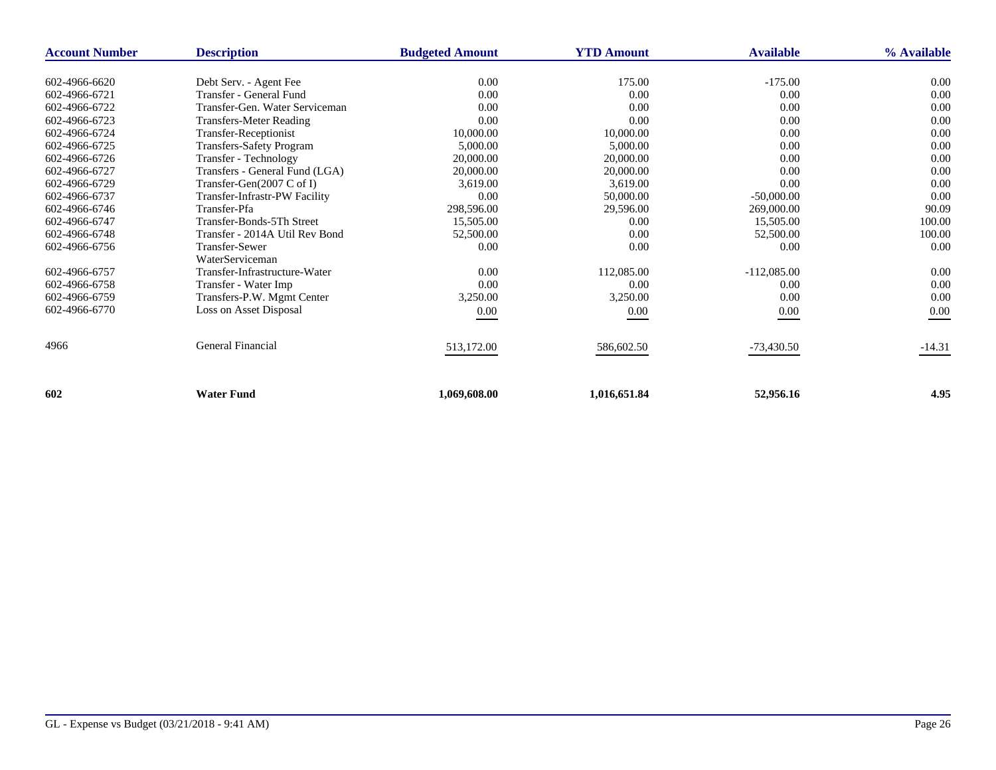| <b>Account Number</b> | <b>Description</b>              | <b>Budgeted Amount</b> | <b>YTD Amount</b> | <b>Available</b> | % Available |
|-----------------------|---------------------------------|------------------------|-------------------|------------------|-------------|
|                       |                                 |                        |                   |                  |             |
| 602-4966-6620         | Debt Serv. - Agent Fee          | 0.00                   | 175.00            | $-175.00$        | 0.00        |
| 602-4966-6721         | Transfer - General Fund         | 0.00                   | 0.00              | 0.00             | 0.00        |
| 602-4966-6722         | Transfer-Gen. Water Serviceman  | 0.00                   | 0.00              | 0.00             | 0.00        |
| 602-4966-6723         | <b>Transfers-Meter Reading</b>  | 0.00                   | 0.00              | 0.00             | 0.00        |
| 602-4966-6724         | Transfer-Receptionist           | 10,000.00              | 10,000.00         | 0.00             | 0.00        |
| 602-4966-6725         | <b>Transfers-Safety Program</b> | 5,000.00               | 5,000.00          | 0.00             | 0.00        |
| 602-4966-6726         | Transfer - Technology           | 20,000.00              | 20,000.00         | 0.00             | 0.00        |
| 602-4966-6727         | Transfers - General Fund (LGA)  | 20,000.00              | 20,000.00         | 0.00             | 0.00        |
| 602-4966-6729         | Transfer-Gen(2007 C of I)       | 3.619.00               | 3,619.00          | 0.00             | 0.00        |
| 602-4966-6737         | Transfer-Infrastr-PW Facility   | 0.00                   | 50,000.00         | $-50,000.00$     | 0.00        |
| 602-4966-6746         | Transfer-Pfa                    | 298,596.00             | 29,596.00         | 269,000.00       | 90.09       |
| 602-4966-6747         | Transfer-Bonds-5Th Street       | 15,505.00              | 0.00              | 15,505.00        | 100.00      |
| 602-4966-6748         | Transfer - 2014A Util Rev Bond  | 52,500.00              | 0.00              | 52,500.00        | 100.00      |
| 602-4966-6756         | <b>Transfer-Sewer</b>           | 0.00                   | 0.00              | 0.00             | 0.00        |
|                       | WaterServiceman                 |                        |                   |                  |             |
| 602-4966-6757         | Transfer-Infrastructure-Water   | 0.00                   | 112,085.00        | $-112,085.00$    | 0.00        |
| 602-4966-6758         | Transfer - Water Imp            | 0.00                   | 0.00              | 0.00             | 0.00        |
| 602-4966-6759         | Transfers-P.W. Mgmt Center      | 3,250.00               | 3,250.00          | 0.00             | 0.00        |
| 602-4966-6770         | Loss on Asset Disposal          | 0.00                   | 0.00              | $0.00\,$         | 0.00        |
|                       |                                 |                        |                   |                  |             |
| 4966                  | General Financial               | 513,172.00             | 586,602.50        | $-73,430.50$     | $-14.31$    |
|                       |                                 |                        |                   |                  |             |
| 602                   | <b>Water Fund</b>               | 1,069,608.00           | 1,016,651.84      | 52,956.16        | 4.95        |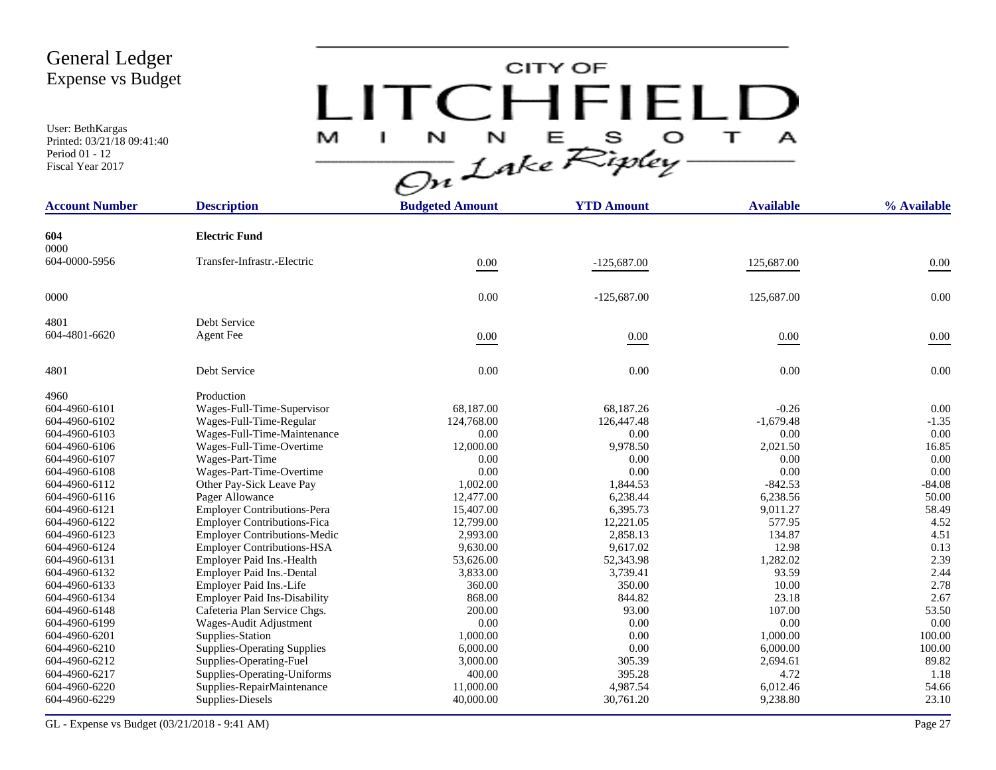User: BethKargas Printed: 03/21/18 09:41:40 Period 01 - 12 Fiscal Year 2017

# CITY OF LITCHFIELD  $M$  I N N E S O T A<br>On Lake Ripley

| <b>Account Number</b> | <b>Description</b>                  | <b>Budgeted Amount</b> | <b>YTD Amount</b> | <b>Available</b> | % Available |
|-----------------------|-------------------------------------|------------------------|-------------------|------------------|-------------|
| 604                   | <b>Electric Fund</b>                |                        |                   |                  |             |
| 0000<br>604-0000-5956 | Transfer-Infrastr.-Electric         | 0.00                   | $-125,687.00$     | 125,687.00       | 0.00        |
| 0000                  |                                     | 0.00                   | $-125,687.00$     | 125,687.00       | 0.00        |
|                       |                                     |                        |                   |                  |             |
| 4801                  | Debt Service                        |                        |                   |                  |             |
| 604-4801-6620         | <b>Agent Fee</b>                    | 0.00                   | $0.00\,$          | $0.00\,$         | 0.00        |
| 4801                  | Debt Service                        | 0.00                   | 0.00              | 0.00             | 0.00        |
| 4960                  | Production                          |                        |                   |                  |             |
| 604-4960-6101         | Wages-Full-Time-Supervisor          | 68,187.00              | 68,187.26         | $-0.26$          | 0.00        |
| 604-4960-6102         | Wages-Full-Time-Regular             | 124,768.00             | 126,447.48        | $-1,679.48$      | $-1.35$     |
| 604-4960-6103         | Wages-Full-Time-Maintenance         | 0.00                   | 0.00              | 0.00             | 0.00        |
| 604-4960-6106         | Wages-Full-Time-Overtime            | 12,000.00              | 9,978.50          | 2,021.50         | 16.85       |
| 604-4960-6107         | Wages-Part-Time                     | 0.00                   | 0.00              | 0.00             | 0.00        |
| 604-4960-6108         | Wages-Part-Time-Overtime            | 0.00                   | 0.00              | 0.00             | 0.00        |
| 604-4960-6112         | Other Pay-Sick Leave Pay            | 1,002.00               | 1,844.53          | $-842.53$        | $-84.08$    |
| 604-4960-6116         | Pager Allowance                     | 12,477.00              | 6,238.44          | 6,238.56         | 50.00       |
| 604-4960-6121         | <b>Employer Contributions-Pera</b>  | 15,407.00              | 6,395.73          | 9,011.27         | 58.49       |
| 604-4960-6122         | <b>Employer Contributions-Fica</b>  | 12,799.00              | 12,221.05         | 577.95           | 4.52        |
| 604-4960-6123         | <b>Employer Contributions-Medic</b> | 2,993.00               | 2,858.13          | 134.87           | 4.51        |
| 604-4960-6124         | <b>Employer Contributions-HSA</b>   | 9,630.00               | 9,617.02          | 12.98            | 0.13        |
| 604-4960-6131         | Employer Paid Ins.-Health           | 53,626.00              | 52,343.98         | 1,282.02         | 2.39        |
| 604-4960-6132         | Employer Paid Ins.-Dental           | 3,833.00               | 3,739.41          | 93.59            | 2.44        |
| 604-4960-6133         | Employer Paid Ins.-Life             | 360.00                 | 350.00            | 10.00            | 2.78        |
| 604-4960-6134         | <b>Employer Paid Ins-Disability</b> | 868.00                 | 844.82            | 23.18            | 2.67        |
| 604-4960-6148         | Cafeteria Plan Service Chgs.        | 200.00                 | 93.00             | 107.00           | 53.50       |
| 604-4960-6199         | Wages-Audit Adjustment              | 0.00                   | 0.00              | 0.00             | 0.00        |
| 604-4960-6201         | Supplies-Station                    | 1,000.00               | 0.00              | 1,000.00         | 100.00      |
| 604-4960-6210         | <b>Supplies-Operating Supplies</b>  | 6,000.00               | 0.00              | 6,000.00         | 100.00      |
| 604-4960-6212         | Supplies-Operating-Fuel             | 3,000.00               | 305.39            | 2,694.61         | 89.82       |
| 604-4960-6217         | Supplies-Operating-Uniforms         | 400.00                 | 395.28            | 4.72             | 1.18        |
| 604-4960-6220         | Supplies-RepairMaintenance          | 11,000.00              | 4,987.54          | 6,012.46         | 54.66       |
| 604-4960-6229         | Supplies-Diesels                    | 40,000.00              | 30,761.20         | 9,238.80         | 23.10       |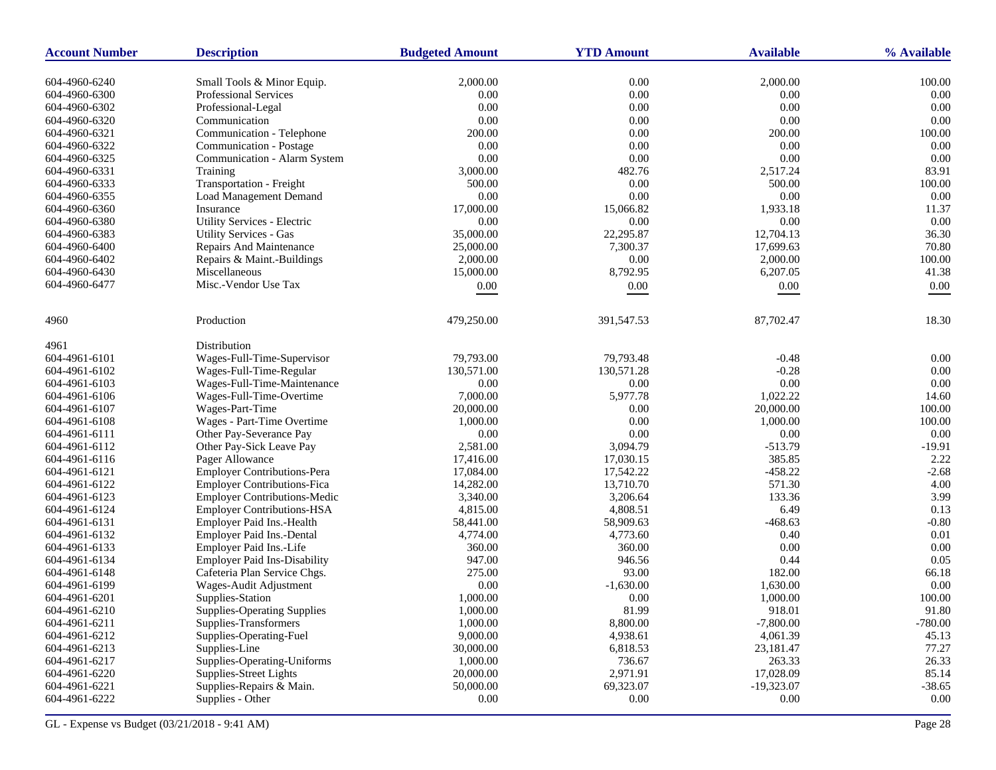| <b>Account Number</b> | <b>Description</b>                  | <b>Budgeted Amount</b> | <b>YTD Amount</b> | <b>Available</b> | % Available |
|-----------------------|-------------------------------------|------------------------|-------------------|------------------|-------------|
| 604-4960-6240         | Small Tools & Minor Equip.          | 2,000.00               | 0.00              | 2,000.00         | 100.00      |
| 604-4960-6300         | Professional Services               | 0.00                   | 0.00              | 0.00             | 0.00        |
| 604-4960-6302         | Professional-Legal                  | 0.00                   | 0.00              | 0.00             | 0.00        |
| 604-4960-6320         | Communication                       | 0.00                   | 0.00              | 0.00             | 0.00        |
| 604-4960-6321         | Communication - Telephone           | 200.00                 | 0.00              | 200.00           | 100.00      |
| 604-4960-6322         | Communication - Postage             | 0.00                   | 0.00              | 0.00             | 0.00        |
| 604-4960-6325         | Communication - Alarm System        | 0.00                   | $0.00\,$          | 0.00             | 0.00        |
| 604-4960-6331         | Training                            | 3,000.00               | 482.76            | 2,517.24         | 83.91       |
| 604-4960-6333         | Transportation - Freight            | 500.00                 | 0.00              | 500.00           | 100.00      |
| 604-4960-6355         | <b>Load Management Demand</b>       | 0.00                   | 0.00              | 0.00             | 0.00        |
| 604-4960-6360         | Insurance                           | 17,000.00              | 15,066.82         | 1,933.18         | 11.37       |
| 604-4960-6380         | Utility Services - Electric         | 0.00                   | 0.00              | 0.00             | 0.00        |
| 604-4960-6383         | <b>Utility Services - Gas</b>       | 35,000.00              | 22,295.87         | 12,704.13        | 36.30       |
| 604-4960-6400         | Repairs And Maintenance             | 25,000.00              | 7,300.37          | 17,699.63        | 70.80       |
| 604-4960-6402         | Repairs & Maint.-Buildings          | 2,000.00               | 0.00              | 2,000.00         | 100.00      |
| 604-4960-6430         | Miscellaneous                       | 15,000.00              | 8,792.95          | 6,207.05         | 41.38       |
| 604-4960-6477         | Misc.-Vendor Use Tax                | $0.00\,$               | 0.00              | 0.00             | 0.00        |
|                       |                                     |                        |                   |                  |             |
| 4960                  | Production                          | 479,250.00             | 391,547.53        | 87,702.47        | 18.30       |
| 4961                  | Distribution                        |                        |                   |                  |             |
| 604-4961-6101         | Wages-Full-Time-Supervisor          | 79,793.00              | 79.793.48         | $-0.48$          | 0.00        |
| 604-4961-6102         | Wages-Full-Time-Regular             | 130,571.00             | 130,571.28        | $-0.28$          | 0.00        |
| 604-4961-6103         | Wages-Full-Time-Maintenance         | 0.00                   | $0.00\,$          | 0.00             | 0.00        |
| 604-4961-6106         | Wages-Full-Time-Overtime            | 7,000.00               | 5,977.78          | 1,022.22         | 14.60       |
| 604-4961-6107         | Wages-Part-Time                     | 20,000.00              | 0.00              | 20,000.00        | 100.00      |
| 604-4961-6108         | Wages - Part-Time Overtime          | 1,000.00               | 0.00              | 1,000.00         | 100.00      |
| 604-4961-6111         | Other Pay-Severance Pay             | 0.00                   | 0.00              | 0.00             | 0.00        |
| 604-4961-6112         | Other Pay-Sick Leave Pay            | 2,581.00               | 3,094.79          | $-513.79$        | $-19.91$    |
| 604-4961-6116         | Pager Allowance                     | 17,416.00              | 17,030.15         | 385.85           | 2.22        |
| 604-4961-6121         | <b>Employer Contributions-Pera</b>  | 17,084.00              | 17,542.22         | $-458.22$        | $-2.68$     |
| 604-4961-6122         | <b>Employer Contributions-Fica</b>  | 14,282.00              | 13,710.70         | 571.30           | 4.00        |
| 604-4961-6123         | <b>Employer Contributions-Medic</b> | 3,340.00               | 3,206.64          | 133.36           | 3.99        |
| 604-4961-6124         | <b>Employer Contributions-HSA</b>   | 4,815.00               | 4,808.51          | 6.49             | 0.13        |
| 604-4961-6131         | Employer Paid Ins.-Health           | 58,441.00              | 58,909.63         | $-468.63$        | $-0.80$     |
| 604-4961-6132         | Employer Paid Ins.-Dental           | 4,774.00               | 4,773.60          | 0.40             | 0.01        |
| 604-4961-6133         | Employer Paid Ins.-Life             | 360.00                 | 360.00            | 0.00             | 0.00        |
| 604-4961-6134         | <b>Employer Paid Ins-Disability</b> | 947.00                 | 946.56            | 0.44             | 0.05        |
| 604-4961-6148         | Cafeteria Plan Service Chgs.        | 275.00                 | 93.00             | 182.00           | 66.18       |
| 604-4961-6199         | Wages-Audit Adjustment              | 0.00                   | $-1,630.00$       | 1,630.00         | 0.00        |
| 604-4961-6201         | Supplies-Station                    | 1,000.00               | 0.00              | 1,000.00         | 100.00      |
| 604-4961-6210         | Supplies-Operating Supplies         | 1,000.00               | 81.99             | 918.01           | 91.80       |
| 604-4961-6211         | Supplies-Transformers               | 1,000.00               | 8,800.00          | $-7,800.00$      | $-780.00$   |
| 604-4961-6212         | Supplies-Operating-Fuel             | 9,000.00               | 4,938.61          | 4,061.39         | 45.13       |
| 604-4961-6213         | Supplies-Line                       | 30,000.00              | 6,818.53          | 23,181.47        | 77.27       |
| 604-4961-6217         | Supplies-Operating-Uniforms         | 1,000.00               | 736.67            | 263.33           | 26.33       |
| 604-4961-6220         | Supplies-Street Lights              | 20,000.00              | 2,971.91          | 17,028.09        | 85.14       |
| 604-4961-6221         | Supplies-Repairs & Main.            | 50,000.00              | 69,323.07         | $-19,323.07$     | $-38.65$    |
| 604-4961-6222         | Supplies - Other                    | 0.00                   | 0.00              | 0.00             | $0.00\,$    |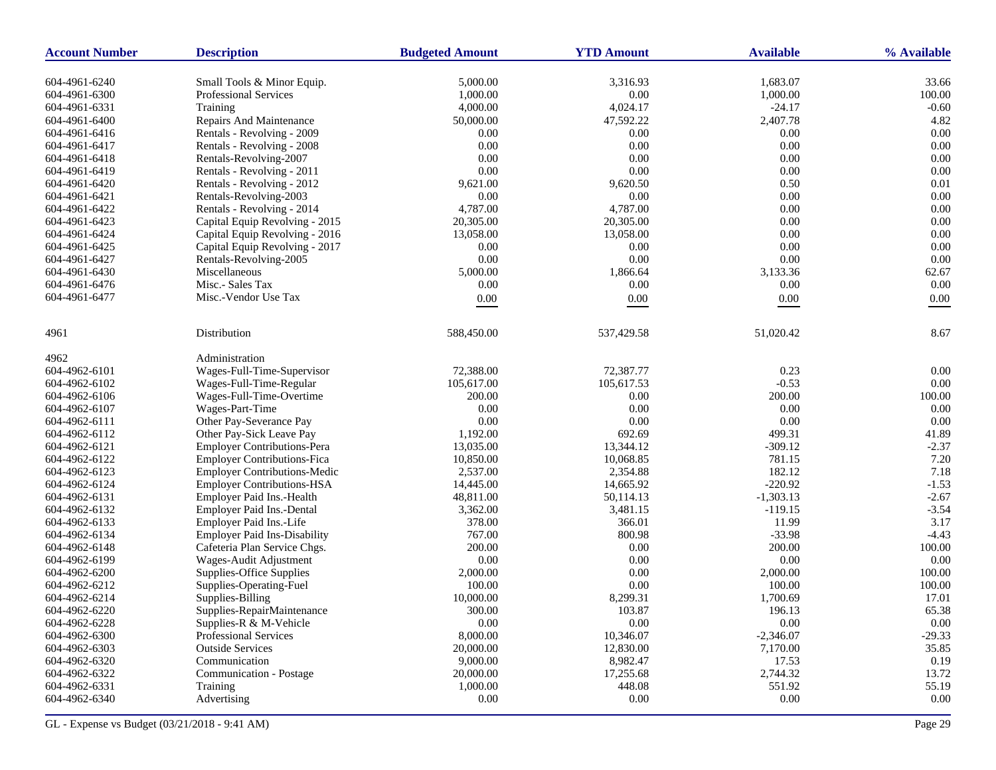| <b>Account Number</b>          | <b>Description</b>                  | <b>Budgeted Amount</b> | <b>YTD Amount</b>  | <b>Available</b>   | % Available       |
|--------------------------------|-------------------------------------|------------------------|--------------------|--------------------|-------------------|
| 604-4961-6240                  | Small Tools & Minor Equip.          | 5,000.00               | 3,316.93           | 1,683.07           | 33.66             |
| 604-4961-6300                  | Professional Services               | 1,000.00               | $0.00\,$           | 1,000.00           | 100.00            |
| 604-4961-6331                  | Training                            | 4,000.00               | 4,024.17           | $-24.17$           | $-0.60$           |
| 604-4961-6400                  | Repairs And Maintenance             | 50,000.00              | 47,592.22          | 2,407.78           | 4.82              |
| 604-4961-6416                  | Rentals - Revolving - 2009          | 0.00                   | 0.00               | 0.00               | 0.00              |
| 604-4961-6417                  | Rentals - Revolving - 2008          | 0.00                   | 0.00               | 0.00               | 0.00              |
| 604-4961-6418                  | Rentals-Revolving-2007              | 0.00                   | 0.00               | 0.00               | 0.00              |
| 604-4961-6419                  | Rentals - Revolving - 2011          | 0.00                   | $0.00\,$           | 0.00               | 0.00              |
| 604-4961-6420                  | Rentals - Revolving - 2012          | 9,621.00               | 9,620.50           | 0.50               | 0.01              |
| 604-4961-6421                  | Rentals-Revolving-2003              | 0.00                   | 0.00               | 0.00               | 0.00              |
| 604-4961-6422                  | Rentals - Revolving - 2014          | 4,787.00               | 4,787.00           | 0.00               | 0.00              |
| 604-4961-6423                  | Capital Equip Revolving - 2015      | 20,305.00              | 20,305.00          | 0.00               | 0.00              |
| 604-4961-6424                  | Capital Equip Revolving - 2016      | 13,058.00              | 13,058.00          | 0.00               | 0.00              |
| 604-4961-6425                  | Capital Equip Revolving - 2017      | 0.00                   | 0.00               | 0.00               | 0.00              |
| 604-4961-6427                  | Rentals-Revolving-2005              | 0.00                   | $0.00\,$           | 0.00               | 0.00              |
| 604-4961-6430                  | Miscellaneous                       | 5,000.00               | 1,866.64           | 3,133.36           | 62.67             |
| 604-4961-6476                  | Misc.- Sales Tax                    | 0.00                   | 0.00               | 0.00               | 0.00              |
| 604-4961-6477                  | Misc.-Vendor Use Tax                | $0.00\,$               | 0.00               | $0.00\,$           | 0.00              |
| 4961                           | Distribution                        | 588,450.00             | 537,429.58         | 51,020.42          | 8.67              |
|                                |                                     |                        |                    |                    |                   |
| 4962                           | Administration                      |                        |                    |                    |                   |
| 604-4962-6101                  | Wages-Full-Time-Supervisor          | 72,388.00              | 72,387.77          | 0.23               | 0.00              |
| 604-4962-6102                  | Wages-Full-Time-Regular             | 105,617.00             | 105,617.53         | $-0.53$            | $0.00\,$          |
| 604-4962-6106                  | Wages-Full-Time-Overtime            | 200.00                 | 0.00               | 200.00             | 100.00            |
| 604-4962-6107                  | Wages-Part-Time                     | 0.00                   | 0.00               | 0.00               | 0.00              |
| 604-4962-6111                  | Other Pay-Severance Pay             | 0.00                   | 0.00               | 0.00               | 0.00              |
| 604-4962-6112                  | Other Pay-Sick Leave Pay            | 1,192.00               | 692.69             | 499.31             | 41.89             |
| 604-4962-6121                  | <b>Employer Contributions-Pera</b>  | 13,035.00              | 13,344.12          | $-309.12$          | $-2.37$           |
| 604-4962-6122                  | <b>Employer Contributions-Fica</b>  | 10,850.00              | 10,068.85          | 781.15             | 7.20              |
| 604-4962-6123                  | <b>Employer Contributions-Medic</b> | 2,537.00               | 2,354.88           | 182.12             | 7.18              |
| 604-4962-6124                  | <b>Employer Contributions-HSA</b>   | 14,445.00              | 14,665.92          | $-220.92$          | $-1.53$           |
| 604-4962-6131                  | Employer Paid Ins.-Health           | 48,811.00              | 50,114.13          | $-1,303.13$        | $-2.67$           |
| 604-4962-6132                  | Employer Paid Ins.-Dental           | 3,362.00               | 3,481.15           | $-119.15$          | $-3.54$           |
| 604-4962-6133                  | Employer Paid Ins.-Life             | 378.00                 | 366.01             | 11.99              | 3.17              |
| 604-4962-6134                  | <b>Employer Paid Ins-Disability</b> | 767.00                 | 800.98             | $-33.98$           | $-4.43$           |
| 604-4962-6148                  | Cafeteria Plan Service Chgs.        | 200.00                 | 0.00               | 200.00             | 100.00            |
| 604-4962-6199                  | Wages-Audit Adjustment              | 0.00                   | 0.00               | 0.00               | 0.00              |
| 604-4962-6200                  | Supplies-Office Supplies            | 2,000.00               | 0.00               | 2,000.00           | 100.00            |
| 604-4962-6212                  | Supplies-Operating-Fuel             | 100.00                 | 0.00               | 100.00             | 100.00            |
| 604-4962-6214                  | Supplies-Billing                    | 10,000.00              | 8,299.31           | 1,700.69           | 17.01             |
| 604-4962-6220                  | Supplies-RepairMaintenance          | 300.00                 | 103.87             | 196.13             | 65.38             |
| 604-4962-6228                  | Supplies-R & M-Vehicle              | 0.00                   | 0.00               | $0.00\,$           | $0.00\,$          |
| 604-4962-6300                  | Professional Services               | 8,000.00               | 10,346.07          | $-2,346.07$        | $-29.33$          |
| 604-4962-6303                  | <b>Outside Services</b>             | 20,000.00              | 12,830.00          | 7,170.00           | 35.85             |
| 604-4962-6320                  | Communication                       | 9,000.00               | 8,982.47           | 17.53              | 0.19              |
| 604-4962-6322                  | Communication - Postage             | 20,000.00              | 17,255.68          | 2,744.32           | 13.72             |
| 604-4962-6331<br>604-4962-6340 | Training<br>Advertising             | 1,000.00<br>$0.00\,$   | 448.08<br>$0.00\,$ | 551.92<br>$0.00\,$ | 55.19<br>$0.00\,$ |
|                                |                                     |                        |                    |                    |                   |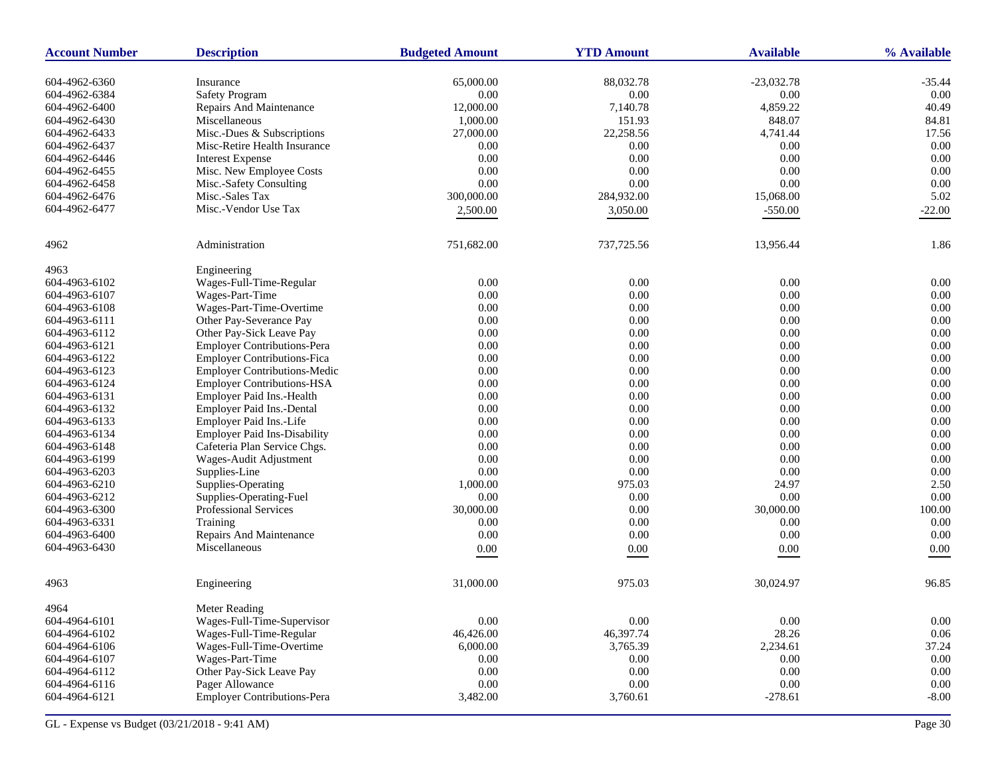| <b>Account Number</b> | <b>Description</b>                  | <b>Budgeted Amount</b> | <b>YTD Amount</b> | <b>Available</b> | % Available |
|-----------------------|-------------------------------------|------------------------|-------------------|------------------|-------------|
| 604-4962-6360         | Insurance                           | 65,000.00              | 88,032.78         | $-23,032.78$     | $-35.44$    |
| 604-4962-6384         | <b>Safety Program</b>               | 0.00                   | $0.00\,$          | $0.00\,$         | 0.00        |
| 604-4962-6400         | Repairs And Maintenance             | 12,000.00              | 7,140.78          | 4,859.22         | 40.49       |
| 604-4962-6430         | Miscellaneous                       | 1,000.00               | 151.93            | 848.07           | 84.81       |
| 604-4962-6433         | Misc.-Dues & Subscriptions          | 27,000.00              | 22,258.56         | 4,741.44         | 17.56       |
| 604-4962-6437         | Misc-Retire Health Insurance        | 0.00                   | $0.00\,$          | 0.00             | 0.00        |
| 604-4962-6446         | <b>Interest Expense</b>             | 0.00                   | 0.00              | 0.00             | 0.00        |
| 604-4962-6455         | Misc. New Employee Costs            | 0.00                   | $0.00\,$          | 0.00             | 0.00        |
| 604-4962-6458         | Misc.-Safety Consulting             | 0.00                   | 0.00              | 0.00             | 0.00        |
| 604-4962-6476         | Misc.-Sales Tax                     | 300,000.00             | 284,932.00        | 15,068.00        | 5.02        |
| 604-4962-6477         | Misc.-Vendor Use Tax                | 2,500.00               | 3,050.00          | $-550.00$        | $-22.00$    |
|                       |                                     |                        |                   |                  |             |
| 4962                  | Administration                      | 751,682.00             | 737,725.56        | 13,956.44        | 1.86        |
| 4963                  | Engineering                         |                        |                   |                  |             |
| 604-4963-6102         | Wages-Full-Time-Regular             | 0.00                   | 0.00              | $0.00\,$         | 0.00        |
| 604-4963-6107         | Wages-Part-Time                     | 0.00                   | $0.00\,$          | $0.00\,$         | $0.00\,$    |
| 604-4963-6108         | Wages-Part-Time-Overtime            | 0.00                   | 0.00              | 0.00             | 0.00        |
| 604-4963-6111         | Other Pay-Severance Pay             | 0.00                   | $0.00\,$          | 0.00             | 0.00        |
| 604-4963-6112         | Other Pay-Sick Leave Pay            | 0.00                   | $0.00\,$          | 0.00             | 0.00        |
| 604-4963-6121         | <b>Employer Contributions-Pera</b>  | 0.00                   | 0.00              | 0.00             | 0.00        |
| 604-4963-6122         | <b>Employer Contributions-Fica</b>  | 0.00                   | 0.00              | 0.00             | 0.00        |
| 604-4963-6123         | <b>Employer Contributions-Medic</b> | 0.00                   | 0.00              | 0.00             | 0.00        |
| 604-4963-6124         | <b>Employer Contributions-HSA</b>   | 0.00                   | 0.00              | 0.00             | 0.00        |
| 604-4963-6131         | Employer Paid Ins.-Health           | 0.00                   | 0.00              | 0.00             | 0.00        |
| 604-4963-6132         | Employer Paid Ins.-Dental           | 0.00                   | $0.00\,$          | $0.00\,$         | 0.00        |
| 604-4963-6133         | Employer Paid Ins.-Life             | 0.00                   | 0.00              | 0.00             | 0.00        |
| 604-4963-6134         | <b>Employer Paid Ins-Disability</b> | 0.00                   | 0.00              | 0.00             | 0.00        |
| 604-4963-6148         | Cafeteria Plan Service Chgs.        | 0.00                   | $0.00\,$          | $0.00\,$         | 0.00        |
| 604-4963-6199         | Wages-Audit Adjustment              | 0.00                   | $0.00\,$          | 0.00             | 0.00        |
| 604-4963-6203         | Supplies-Line                       | 0.00                   | 0.00              | 0.00             | 0.00        |
| 604-4963-6210         | Supplies-Operating                  | 1,000.00               | 975.03            | 24.97            | 2.50        |
| 604-4963-6212         | Supplies-Operating-Fuel             | 0.00                   | 0.00              | 0.00             | 0.00        |
| 604-4963-6300         | Professional Services               | 30,000.00              | 0.00              | 30,000.00        | 100.00      |
| 604-4963-6331         | Training                            | 0.00                   | 0.00              | 0.00             | $0.00\,$    |
| 604-4963-6400         | Repairs And Maintenance             | 0.00                   | 0.00              | 0.00             | 0.00        |
| 604-4963-6430         | Miscellaneous                       | 0.00                   | 0.00              | 0.00             | 0.00        |
| 4963                  | Engineering                         | 31,000.00              | 975.03            | 30,024.97        | 96.85       |
| 4964                  | <b>Meter Reading</b>                |                        |                   |                  |             |
| 604-4964-6101         | Wages-Full-Time-Supervisor          | 0.00                   | 0.00              | $0.00\,$         | $0.00\,$    |
| 604-4964-6102         | Wages-Full-Time-Regular             | 46,426.00              | 46,397.74         | 28.26            | 0.06        |
| 604-4964-6106         | Wages-Full-Time-Overtime            | 6,000.00               | 3,765.39          | 2,234.61         | 37.24       |
| 604-4964-6107         | Wages-Part-Time                     | 0.00                   | $0.00\,$          | 0.00             | $0.00\,$    |
| 604-4964-6112         | Other Pay-Sick Leave Pay            | 0.00                   | $0.00\,$          | 0.00             | $0.00\,$    |
| 604-4964-6116         | Pager Allowance                     | 0.00                   | $0.00\,$          | 0.00             | 0.00        |
| 604-4964-6121         | <b>Employer Contributions-Pera</b>  | 3,482.00               | 3,760.61          | $-278.61$        | $-8.00$     |
|                       |                                     |                        |                   |                  |             |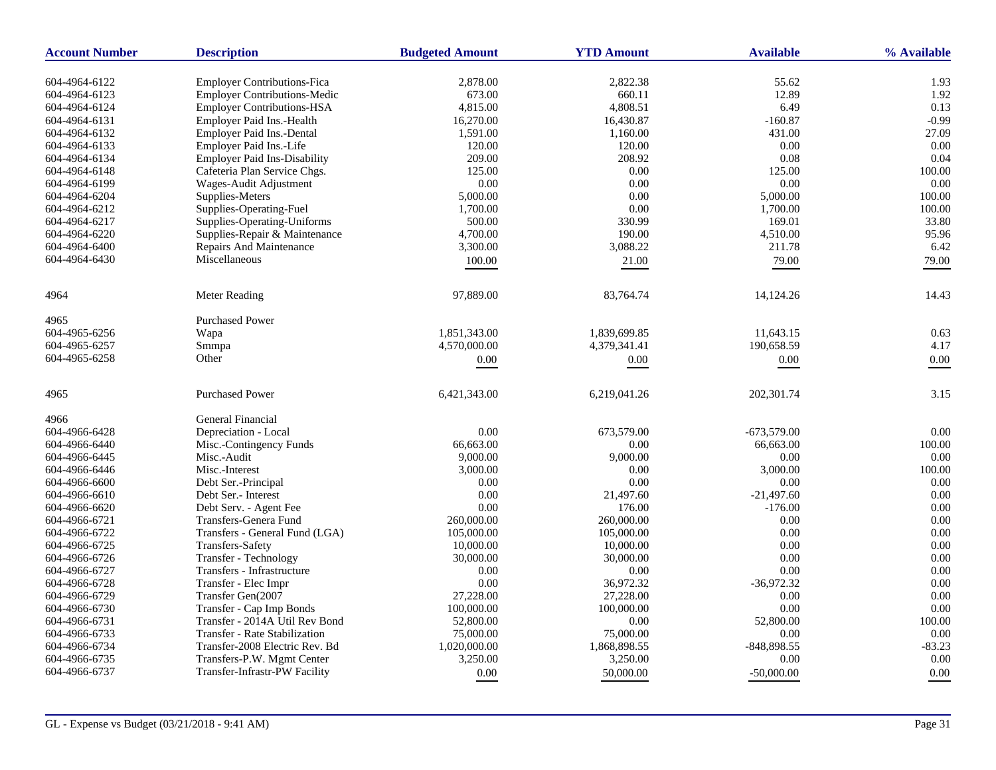| <b>Account Number</b> | <b>Description</b>                   | <b>Budgeted Amount</b> | <b>YTD Amount</b>  | <b>Available</b> | % Available     |
|-----------------------|--------------------------------------|------------------------|--------------------|------------------|-----------------|
|                       |                                      |                        |                    |                  |                 |
| 604-4964-6122         | <b>Employer Contributions-Fica</b>   | 2,878.00               | 2,822.38<br>660.11 | 55.62<br>12.89   | 1.93<br>1.92    |
| 604-4964-6123         | <b>Employer Contributions-Medic</b>  | 673.00                 |                    |                  |                 |
| 604-4964-6124         | <b>Employer Contributions-HSA</b>    | 4,815.00               | 4.808.51           | 6.49             | 0.13<br>$-0.99$ |
| 604-4964-6131         | Employer Paid Ins.-Health            | 16,270.00              | 16,430.87          | $-160.87$        |                 |
| 604-4964-6132         | Employer Paid Ins.-Dental            | 1,591.00               | 1,160.00           | 431.00           | 27.09           |
| 604-4964-6133         | Employer Paid Ins.-Life              | 120.00                 | 120.00             | 0.00             | 0.00            |
| 604-4964-6134         | <b>Employer Paid Ins-Disability</b>  | 209.00                 | 208.92             | 0.08             | 0.04            |
| 604-4964-6148         | Cafeteria Plan Service Chgs.         | 125.00                 | $0.00\,$           | 125.00           | 100.00          |
| 604-4964-6199         | Wages-Audit Adjustment               | 0.00                   | 0.00               | 0.00             | 0.00            |
| 604-4964-6204         | Supplies-Meters                      | 5,000.00               | 0.00               | 5,000.00         | 100.00          |
| 604-4964-6212         | Supplies-Operating-Fuel              | 1,700.00               | 0.00               | 1,700.00         | 100.00          |
| 604-4964-6217         | Supplies-Operating-Uniforms          | 500.00                 | 330.99             | 169.01           | 33.80           |
| 604-4964-6220         | Supplies-Repair & Maintenance        | 4,700.00               | 190.00             | 4,510.00         | 95.96           |
| 604-4964-6400         | Repairs And Maintenance              | 3,300.00               | 3,088.22           | 211.78           | 6.42            |
| 604-4964-6430         | Miscellaneous                        | 100.00                 | 21.00              | 79.00            | 79.00           |
| 4964                  | Meter Reading                        | 97,889.00              | 83,764.74          | 14,124.26        | 14.43           |
| 4965                  | <b>Purchased Power</b>               |                        |                    |                  |                 |
| 604-4965-6256         | Wapa                                 | 1,851,343.00           | 1,839,699.85       | 11,643.15        | 0.63            |
| 604-4965-6257         | Smmpa                                | 4,570,000.00           | 4,379,341.41       | 190,658.59       | 4.17            |
| 604-4965-6258         | Other                                | 0.00                   | 0.00               | $0.00\,$         | $0.00\,$        |
|                       |                                      |                        |                    |                  |                 |
| 4965                  | <b>Purchased Power</b>               | 6,421,343.00           | 6,219,041.26       | 202,301.74       | 3.15            |
| 4966                  | <b>General Financial</b>             |                        |                    |                  |                 |
| 604-4966-6428         | Depreciation - Local                 | 0.00                   | 673,579.00         | $-673,579.00$    | 0.00            |
| 604-4966-6440         | Misc.-Contingency Funds              | 66,663.00              | 0.00               | 66,663.00        | 100.00          |
| 604-4966-6445         | Misc.-Audit                          | 9,000.00               | 9,000.00           | 0.00             | 0.00            |
| 604-4966-6446         | Misc.-Interest                       | 3,000.00               | 0.00               | 3,000.00         | 100.00          |
| 604-4966-6600         | Debt Ser.-Principal                  | 0.00                   | 0.00               | 0.00             | 0.00            |
| 604-4966-6610         | Debt Ser.- Interest                  | 0.00                   | 21,497.60          | $-21,497.60$     | 0.00            |
| 604-4966-6620         | Debt Serv. - Agent Fee               | 0.00                   | 176.00             | $-176.00$        | 0.00            |
| 604-4966-6721         | Transfers-Genera Fund                | 260,000.00             | 260,000.00         | 0.00             | 0.00            |
| 604-4966-6722         | Transfers - General Fund (LGA)       | 105,000.00             | 105,000.00         | 0.00             | 0.00            |
| 604-4966-6725         | Transfers-Safety                     | 10,000.00              | 10,000.00          | 0.00             | 0.00            |
| 604-4966-6726         | Transfer - Technology                | 30,000.00              | 30,000.00          | 0.00             | 0.00            |
| 604-4966-6727         | Transfers - Infrastructure           | 0.00                   | 0.00               | 0.00             | 0.00            |
| 604-4966-6728         | Transfer - Elec Impr                 | 0.00                   | 36,972.32          | $-36,972.32$     | 0.00            |
| 604-4966-6729         | Transfer Gen(2007                    | 27,228.00              | 27,228.00          | 0.00             | 0.00            |
| 604-4966-6730         | Transfer - Cap Imp Bonds             | 100,000.00             | 100,000.00         | 0.00             | 0.00            |
| 604-4966-6731         | Transfer - 2014A Util Rev Bond       | 52,800.00              | 0.00               | 52,800.00        | 100.00          |
| 604-4966-6733         | <b>Transfer - Rate Stabilization</b> | 75,000.00              | 75,000.00          | 0.00             | 0.00            |
| 604-4966-6734         | Transfer-2008 Electric Rev. Bd       | 1,020,000.00           | 1,868,898.55       | $-848,898.55$    | $-83.23$        |
| 604-4966-6735         | Transfers-P.W. Mgmt Center           | 3,250.00               | 3,250.00           | 0.00             | 0.00            |
| 604-4966-6737         | Transfer-Infrastr-PW Facility        | 0.00                   | 50,000.00          | $-50,000,00$     | 0.00            |
|                       |                                      |                        |                    |                  |                 |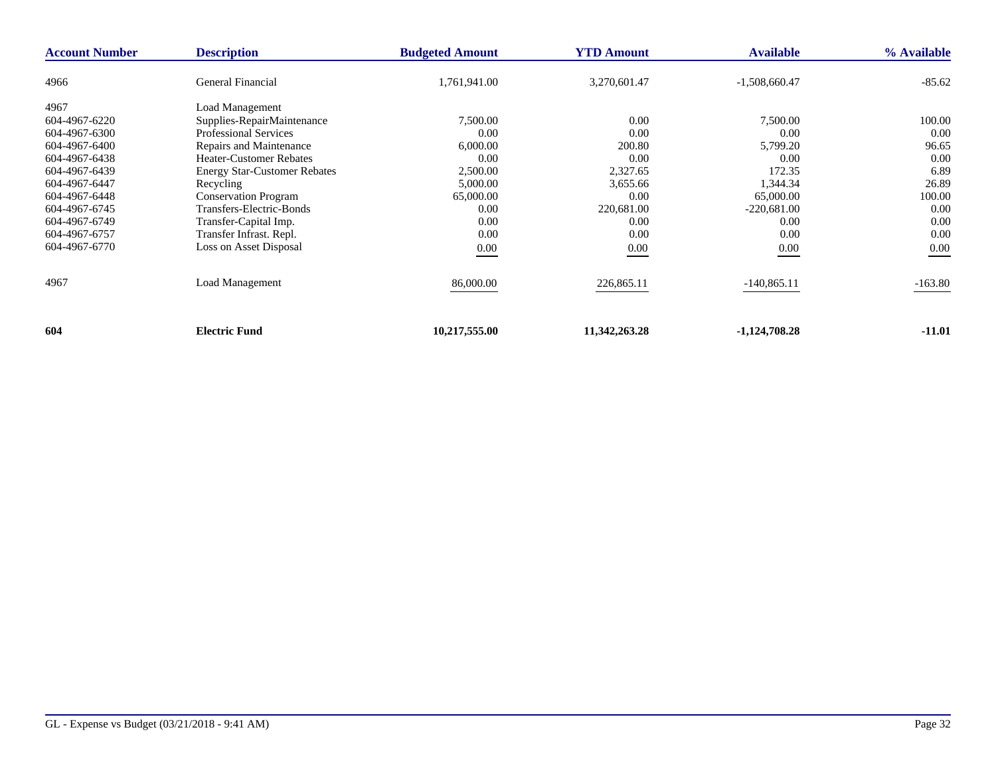| <b>Account Number</b> | <b>Description</b>                  | <b>Budgeted Amount</b> | <b>YTD Amount</b> | <b>Available</b> | % Available |
|-----------------------|-------------------------------------|------------------------|-------------------|------------------|-------------|
| 4966                  | General Financial                   | 1,761,941.00           | 3,270,601.47      | $-1,508,660.47$  | $-85.62$    |
| 4967                  | Load Management                     |                        |                   |                  |             |
| 604-4967-6220         | Supplies-RepairMaintenance          | 7,500.00               | 0.00              | 7,500.00         | 100.00      |
| 604-4967-6300         | <b>Professional Services</b>        | 0.00                   | 0.00              | 0.00             | 0.00        |
| 604-4967-6400         | Repairs and Maintenance             | 6,000.00               | 200.80            | 5,799.20         | 96.65       |
| 604-4967-6438         | <b>Heater-Customer Rebates</b>      | 0.00                   | 0.00              | 0.00             | 0.00        |
| 604-4967-6439         | <b>Energy Star-Customer Rebates</b> | 2,500.00               | 2,327.65          | 172.35           | 6.89        |
| 604-4967-6447         | Recycling                           | 5,000.00               | 3,655.66          | 1,344.34         | 26.89       |
| 604-4967-6448         | <b>Conservation Program</b>         | 65,000.00              | 0.00              | 65,000.00        | 100.00      |
| 604-4967-6745         | Transfers-Electric-Bonds            | 0.00                   | 220,681.00        | $-220,681.00$    | 0.00        |
| 604-4967-6749         | Transfer-Capital Imp.               | 0.00                   | 0.00              | 0.00             | 0.00        |
| 604-4967-6757         | Transfer Infrast. Repl.             | 0.00                   | 0.00              | 0.00             | 0.00        |
| 604-4967-6770         | Loss on Asset Disposal              | $0.00\,$               | $0.00\,$          | $0.00\,$         | 0.00        |
| 4967                  | <b>Load Management</b>              | 86,000.00              | 226,865.11        | $-140,865.11$    | $-163.80$   |
| 604                   | <b>Electric Fund</b>                | 10,217,555.00          | 11,342,263.28     | $-1,124,708.28$  | $-11.01$    |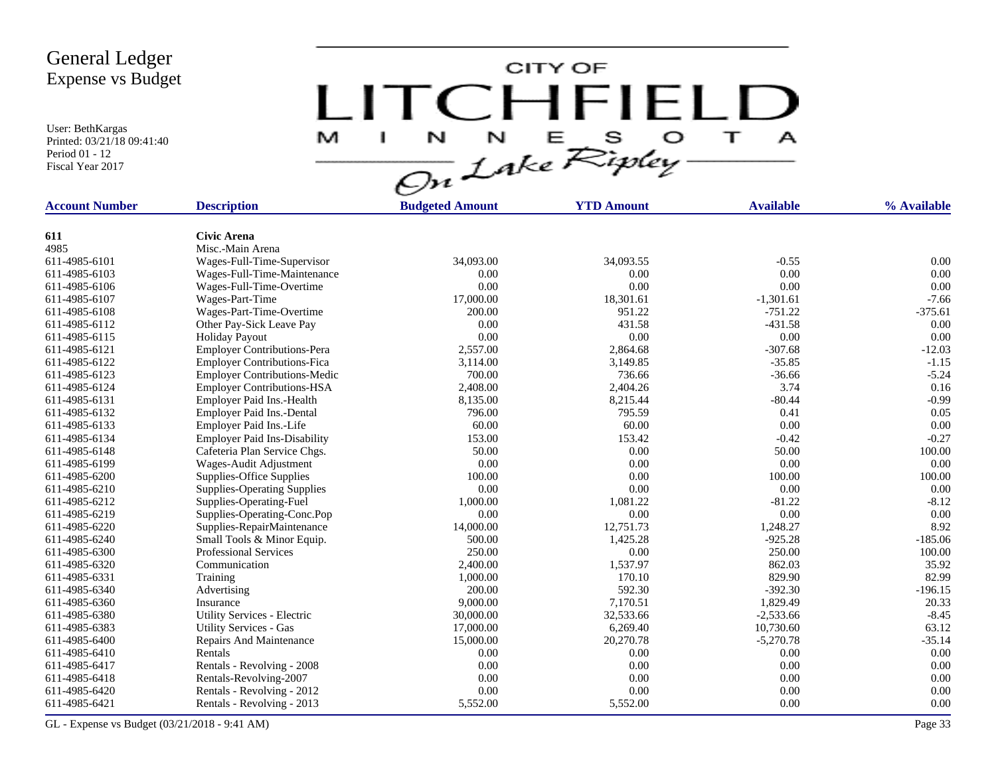User: BethKargas Printed: 03/21/18 09:41:40 Period 01 - 12 Fiscal Year 2017

CITY OF LITCHFIELD M  $\top$ J.  $\mathbf{A}$ 

| <b>Account Number</b> | <b>Description</b>                  | <b>Budgeted Amount</b> | <b>YTD Amount</b> | <b>Available</b> | % Available |
|-----------------------|-------------------------------------|------------------------|-------------------|------------------|-------------|
|                       |                                     |                        |                   |                  |             |
| 611                   | <b>Civic Arena</b>                  |                        |                   |                  |             |
| 4985                  | Misc.-Main Arena                    |                        |                   |                  |             |
| 611-4985-6101         | Wages-Full-Time-Supervisor          | 34,093.00              | 34,093.55         | $-0.55$          | 0.00        |
| 611-4985-6103         | Wages-Full-Time-Maintenance         | 0.00                   | 0.00              | 0.00             | 0.00        |
| 611-4985-6106         | Wages-Full-Time-Overtime            | 0.00                   | 0.00              | 0.00             | 0.00        |
| 611-4985-6107         | Wages-Part-Time                     | 17,000.00              | 18,301.61         | $-1,301.61$      | $-7.66$     |
| 611-4985-6108         | Wages-Part-Time-Overtime            | 200.00                 | 951.22            | $-751.22$        | $-375.61$   |
| 611-4985-6112         | Other Pay-Sick Leave Pay            | 0.00                   | 431.58            | $-431.58$        | 0.00        |
| 611-4985-6115         | <b>Holiday Payout</b>               | 0.00                   | 0.00              | 0.00             | 0.00        |
| 611-4985-6121         | <b>Employer Contributions-Pera</b>  | 2,557.00               | 2,864.68          | $-307.68$        | $-12.03$    |
| 611-4985-6122         | <b>Employer Contributions-Fica</b>  | 3,114.00               | 3,149.85          | $-35.85$         | $-1.15$     |
| 611-4985-6123         | <b>Employer Contributions-Medic</b> | 700.00                 | 736.66            | $-36.66$         | $-5.24$     |
| 611-4985-6124         | <b>Employer Contributions-HSA</b>   | 2,408.00               | 2,404.26          | 3.74             | 0.16        |
| 611-4985-6131         | Employer Paid Ins.-Health           | 8,135.00               | 8,215.44          | $-80.44$         | $-0.99$     |
| 611-4985-6132         | <b>Employer Paid Ins.-Dental</b>    | 796.00                 | 795.59            | 0.41             | 0.05        |
| 611-4985-6133         | Employer Paid Ins.-Life             | 60.00                  | 60.00             | 0.00             | 0.00        |
| 611-4985-6134         | <b>Employer Paid Ins-Disability</b> | 153.00                 | 153.42            | $-0.42$          | $-0.27$     |
| 611-4985-6148         | Cafeteria Plan Service Chgs.        | 50.00                  | 0.00              | 50.00            | 100.00      |
| 611-4985-6199         | Wages-Audit Adjustment              | 0.00                   | 0.00              | 0.00             | 0.00        |
| 611-4985-6200         | Supplies-Office Supplies            | 100.00                 | 0.00              | 100.00           | 100.00      |
| 611-4985-6210         | <b>Supplies-Operating Supplies</b>  | 0.00                   | 0.00              | 0.00             | 0.00        |
| 611-4985-6212         | Supplies-Operating-Fuel             | 1,000.00               | 1,081.22          | $-81.22$         | $-8.12$     |
| 611-4985-6219         | Supplies-Operating-Conc.Pop         | 0.00                   | 0.00              | 0.00             | 0.00        |
| 611-4985-6220         | Supplies-RepairMaintenance          | 14,000.00              | 12,751.73         | 1,248.27         | 8.92        |
| 611-4985-6240         | Small Tools & Minor Equip.          | 500.00                 | 1,425.28          | $-925.28$        | $-185.06$   |
| 611-4985-6300         | <b>Professional Services</b>        | 250.00                 | 0.00              | 250.00           | 100.00      |
| 611-4985-6320         | Communication                       | 2,400.00               | 1,537.97          | 862.03           | 35.92       |
| 611-4985-6331         | Training                            | 1,000.00               | 170.10            | 829.90           | 82.99       |
| 611-4985-6340         | Advertising                         | 200.00                 | 592.30            | $-392.30$        | $-196.15$   |
| 611-4985-6360         | Insurance                           | 9,000.00               | 7,170.51          | 1,829.49         | 20.33       |
| 611-4985-6380         | Utility Services - Electric         | 30,000.00              | 32,533.66         | $-2,533.66$      | $-8.45$     |
| 611-4985-6383         | <b>Utility Services - Gas</b>       | 17,000.00              | 6,269.40          | 10,730.60        | 63.12       |
| 611-4985-6400         | Repairs And Maintenance             | 15,000.00              | 20,270.78         | $-5,270.78$      | $-35.14$    |
| 611-4985-6410         | Rentals                             | 0.00                   | 0.00              | 0.00             | 0.00        |
| 611-4985-6417         | Rentals - Revolving - 2008          | 0.00                   | 0.00              | 0.00             | 0.00        |
| 611-4985-6418         | Rentals-Revolving-2007              | 0.00                   | 0.00              | 0.00             | 0.00        |
| 611-4985-6420         | Rentals - Revolving - 2012          | 0.00                   | 0.00              | 0.00             | 0.00        |
| 611-4985-6421         | Rentals - Revolving - 2013          | 5,552.00               | 5,552.00          | 0.00             | 0.00        |
|                       |                                     |                        |                   |                  |             |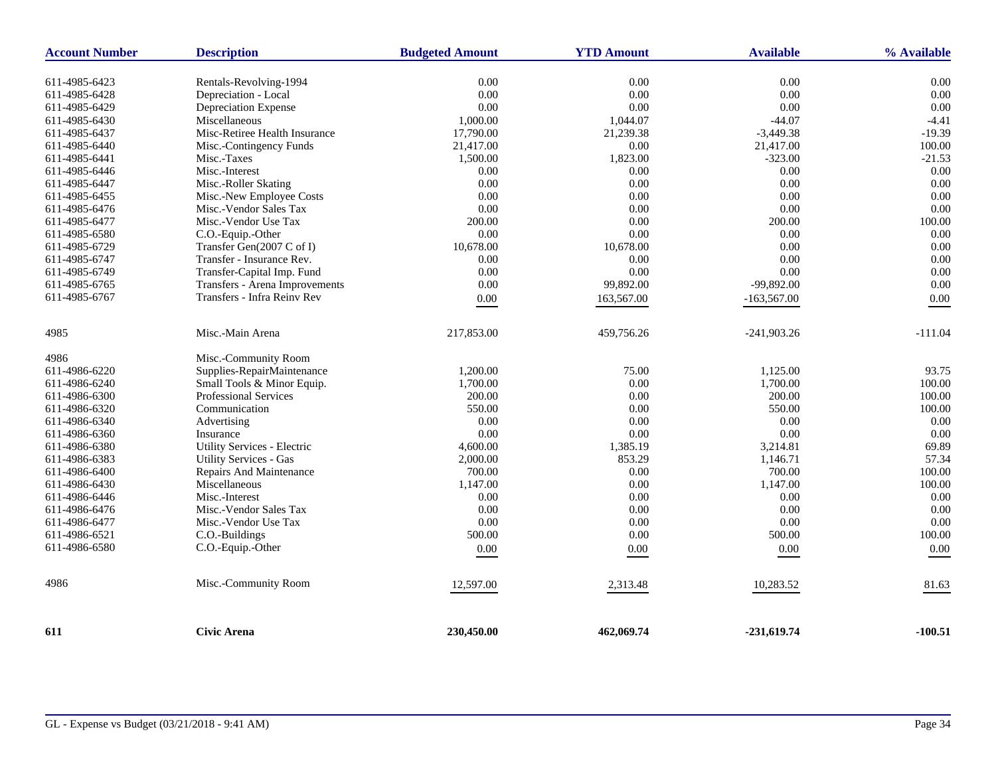| <b>Account Number</b> | <b>Description</b>             | <b>Budgeted Amount</b> | <b>YTD Amount</b> | <b>Available</b> | % Available      |
|-----------------------|--------------------------------|------------------------|-------------------|------------------|------------------|
| 611-4985-6423         | Rentals-Revolving-1994         | 0.00                   | 0.00              | 0.00             | 0.00             |
| 611-4985-6428         | Depreciation - Local           | 0.00                   | 0.00              | 0.00             | 0.00             |
| 611-4985-6429         | Depreciation Expense           | 0.00                   | 0.00              | 0.00             | 0.00             |
| 611-4985-6430         | Miscellaneous                  | 1,000.00               | 1,044.07          | $-44.07$         | $-4.41$          |
| 611-4985-6437         | Misc-Retiree Health Insurance  | 17,790.00              | 21,239.38         | $-3,449.38$      | $-19.39$         |
| 611-4985-6440         | Misc.-Contingency Funds        | 21,417.00              | 0.00              | 21,417.00        | 100.00           |
| 611-4985-6441         | Misc.-Taxes                    |                        | 1,823.00          | $-323.00$        |                  |
| 611-4985-6446         | Misc.-Interest                 | 1,500.00<br>0.00       | 0.00              | 0.00             | $-21.53$<br>0.00 |
|                       |                                | 0.00                   | $0.00\,$          | 0.00             | 0.00             |
| 611-4985-6447         | Misc.-Roller Skating           |                        |                   |                  |                  |
| 611-4985-6455         | Misc.-New Employee Costs       | 0.00                   | 0.00              | 0.00             | 0.00             |
| 611-4985-6476         | Misc.-Vendor Sales Tax         | 0.00                   | 0.00              | 0.00             | 0.00             |
| 611-4985-6477         | Misc.-Vendor Use Tax           | 200.00                 | 0.00              | 200.00           | 100.00           |
| 611-4985-6580         | C.O.-Equip.-Other              | 0.00                   | $0.00\,$          | 0.00             | 0.00             |
| 611-4985-6729         | Transfer Gen(2007 C of I)      | 10,678.00              | 10,678.00         | 0.00             | 0.00             |
| 611-4985-6747         | Transfer - Insurance Rev.      | 0.00                   | 0.00              | $0.00\,$         | 0.00             |
| 611-4985-6749         | Transfer-Capital Imp. Fund     | 0.00                   | 0.00              | 0.00             | 0.00             |
| 611-4985-6765         | Transfers - Arena Improvements | 0.00                   | 99,892.00         | -99,892.00       | 0.00             |
| 611-4985-6767         | Transfers - Infra Reinv Rev    | 0.00                   | 163,567.00        | $-163,567.00$    | 0.00             |
| 4985                  | Misc.-Main Arena               | 217,853.00             | 459,756.26        | $-241,903.26$    | $-111.04$        |
| 4986                  | Misc.-Community Room           |                        |                   |                  |                  |
| 611-4986-6220         | Supplies-RepairMaintenance     | 1,200.00               | 75.00             | 1,125.00         | 93.75            |
| 611-4986-6240         | Small Tools & Minor Equip.     | 1,700.00               | 0.00              | 1,700.00         | 100.00           |
| 611-4986-6300         | Professional Services          | 200.00                 | 0.00              | 200.00           | 100.00           |
| 611-4986-6320         | Communication                  | 550.00                 | 0.00              | 550.00           | 100.00           |
| 611-4986-6340         | Advertising                    | 0.00                   | 0.00              | 0.00             | 0.00             |
| 611-4986-6360         | Insurance                      | 0.00                   | 0.00              | 0.00             | 0.00             |
| 611-4986-6380         | Utility Services - Electric    | 4,600.00               | 1,385.19          | 3,214.81         | 69.89            |
| 611-4986-6383         | <b>Utility Services - Gas</b>  | 2,000.00               | 853.29            | 1,146.71         | 57.34            |
| 611-4986-6400         | Repairs And Maintenance        | 700.00                 | 0.00              | 700.00           | 100.00           |
| 611-4986-6430         | Miscellaneous                  | 1,147.00               | 0.00              | 1,147.00         | 100.00           |
| 611-4986-6446         | Misc.-Interest                 | 0.00                   | 0.00              | 0.00             | 0.00             |
| 611-4986-6476         | Misc.-Vendor Sales Tax         | 0.00                   | 0.00              | 0.00             | 0.00             |
| 611-4986-6477         | Misc.-Vendor Use Tax           | 0.00                   | 0.00              | $0.00\,$         | 0.00             |
| 611-4986-6521         | C.O.-Buildings                 | 500.00                 | 0.00              | 500.00           | 100.00           |
| 611-4986-6580         | C.O.-Equip.-Other              | $0.00\,$               | 0.00              | $0.00\,$         | $0.00\,$         |
| 4986                  | Misc.-Community Room           | 12,597.00              | 2,313.48          | 10,283.52        | 81.63            |
| 611                   | <b>Civic Arena</b>             | 230,450.00             | 462,069.74        | $-231,619.74$    | -100.51          |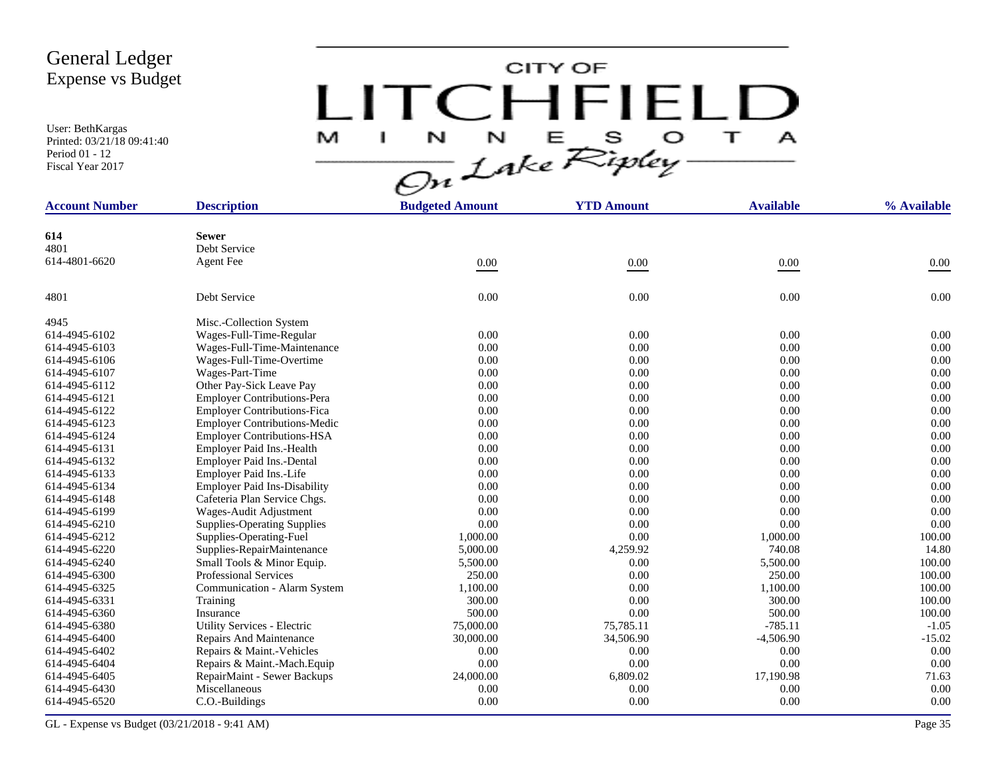User: BethKargas Printed: 03/21/18 09:41:40 Period 01 - 12 Fiscal Year 2017

# CITY OF LITCHFIELD  $M$  I N N E S O T A<br>On Lake Ripley

| <b>Account Number</b> | <b>Description</b>                  | <b>Budgeted Amount</b> | <b>YTD Amount</b> | <b>Available</b> | % Available |
|-----------------------|-------------------------------------|------------------------|-------------------|------------------|-------------|
|                       |                                     |                        |                   |                  |             |
| 614                   | <b>Sewer</b>                        |                        |                   |                  |             |
| 4801                  | Debt Service                        |                        |                   |                  |             |
| 614-4801-6620         | <b>Agent Fee</b>                    | 0.00                   | $0.00\,$          | $0.00\,$         | 0.00        |
| 4801                  | Debt Service                        | 0.00                   | 0.00              | 0.00             | 0.00        |
| 4945                  | Misc.-Collection System             |                        |                   |                  |             |
| 614-4945-6102         | Wages-Full-Time-Regular             | 0.00                   | 0.00              | 0.00             | 0.00        |
| 614-4945-6103         | Wages-Full-Time-Maintenance         | 0.00                   | 0.00              | 0.00             | 0.00        |
| 614-4945-6106         | Wages-Full-Time-Overtime            | 0.00                   | 0.00              | 0.00             | 0.00        |
| 614-4945-6107         | Wages-Part-Time                     | 0.00                   | 0.00              | 0.00             | 0.00        |
| 614-4945-6112         | Other Pay-Sick Leave Pay            | 0.00                   | 0.00              | 0.00             | 0.00        |
| 614-4945-6121         | <b>Employer Contributions-Pera</b>  | 0.00                   | 0.00              | 0.00             | 0.00        |
| 614-4945-6122         | <b>Employer Contributions-Fica</b>  | 0.00                   | 0.00              | 0.00             | 0.00        |
| 614-4945-6123         | <b>Employer Contributions-Medic</b> | 0.00                   | 0.00              | 0.00             | 0.00        |
| 614-4945-6124         | <b>Employer Contributions-HSA</b>   | 0.00                   | 0.00              | 0.00             | 0.00        |
| 614-4945-6131         | Employer Paid Ins.-Health           | 0.00                   | 0.00              | 0.00             | 0.00        |
| 614-4945-6132         | Employer Paid Ins.-Dental           | 0.00                   | 0.00              | 0.00             | 0.00        |
| 614-4945-6133         | Employer Paid Ins.-Life             | 0.00                   | 0.00              | 0.00             | 0.00        |
| 614-4945-6134         | <b>Employer Paid Ins-Disability</b> | 0.00                   | 0.00              | 0.00             | 0.00        |
| 614-4945-6148         | Cafeteria Plan Service Chgs.        | 0.00                   | 0.00              | 0.00             | 0.00        |
| 614-4945-6199         | Wages-Audit Adjustment              | 0.00                   | 0.00              | 0.00             | 0.00        |
| 614-4945-6210         | <b>Supplies-Operating Supplies</b>  | 0.00                   | 0.00              | 0.00             | 0.00        |
| 614-4945-6212         | Supplies-Operating-Fuel             | 1,000.00               | 0.00              | 1,000.00         | 100.00      |
| 614-4945-6220         | Supplies-RepairMaintenance          | 5,000.00               | 4,259.92          | 740.08           | 14.80       |
| 614-4945-6240         | Small Tools & Minor Equip.          | 5,500.00               | 0.00              | 5,500.00         | 100.00      |
| 614-4945-6300         | <b>Professional Services</b>        | 250.00                 | 0.00              | 250.00           | 100.00      |
| 614-4945-6325         | Communication - Alarm System        | 1,100.00               | 0.00              | 1,100.00         | 100.00      |
| 614-4945-6331         | Training                            | 300.00                 | 0.00              | 300.00           | 100.00      |
| 614-4945-6360         | Insurance                           | 500.00                 | 0.00              | 500.00           | 100.00      |
| 614-4945-6380         | <b>Utility Services - Electric</b>  | 75,000.00              | 75,785.11         | $-785.11$        | $-1.05$     |
| 614-4945-6400         | Repairs And Maintenance             | 30,000.00              | 34,506.90         | $-4,506.90$      | $-15.02$    |
| 614-4945-6402         | Repairs & Maint.-Vehicles           | 0.00                   | 0.00              | 0.00             | 0.00        |
| 614-4945-6404         | Repairs & Maint.-Mach.Equip         | 0.00                   | 0.00              | 0.00             | 0.00        |
| 614-4945-6405         | RepairMaint - Sewer Backups         | 24,000.00              | 6,809.02          | 17,190.98        | 71.63       |
| 614-4945-6430         | Miscellaneous                       | 0.00                   | 0.00              | 0.00             | 0.00        |
| 614-4945-6520         | C.O.-Buildings                      | 0.00                   | 0.00              | 0.00             | 0.00        |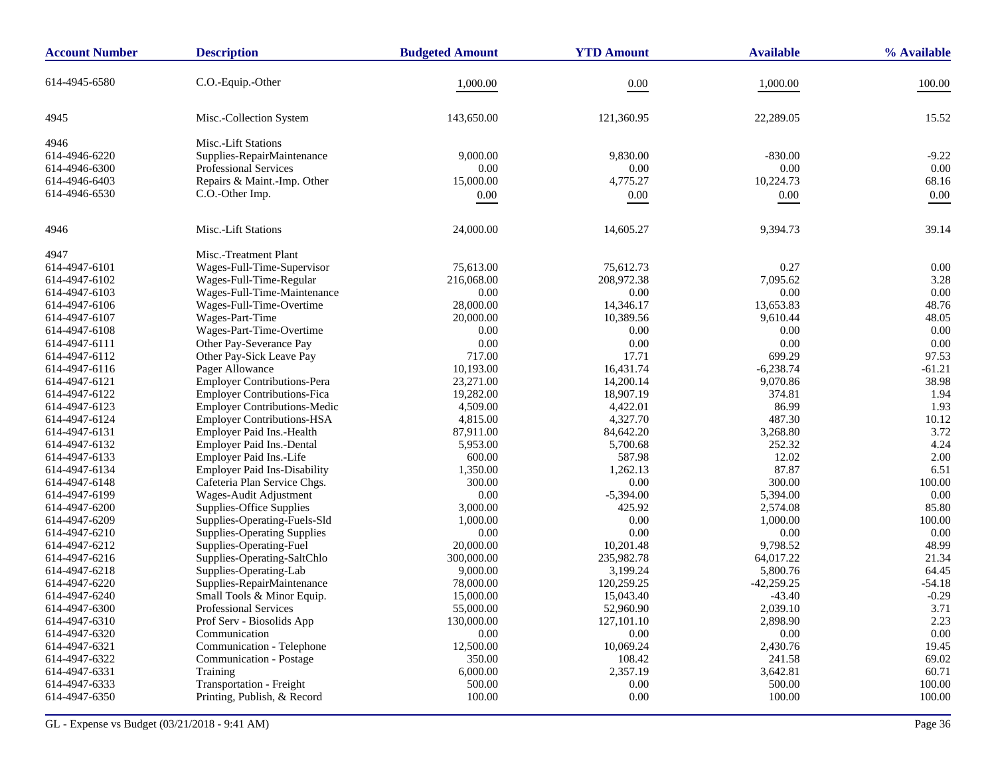| <b>Account Number</b> | <b>Description</b>                  | <b>Budgeted Amount</b> | <b>YTD Amount</b> | <b>Available</b> | % Available |
|-----------------------|-------------------------------------|------------------------|-------------------|------------------|-------------|
| 614-4945-6580         | C.O.-Equip.-Other                   | 1,000.00               | 0.00              | 1,000.00         | 100.00      |
|                       |                                     |                        |                   |                  |             |
| 4945                  | Misc.-Collection System             | 143,650.00             | 121,360.95        | 22,289.05        | 15.52       |
| 4946                  | Misc.-Lift Stations                 |                        |                   |                  |             |
| 614-4946-6220         | Supplies-RepairMaintenance          | 9,000.00               | 9,830.00          | $-830.00$        | $-9.22$     |
| 614-4946-6300         | <b>Professional Services</b>        | 0.00                   | 0.00              | 0.00             | 0.00        |
| 614-4946-6403         | Repairs & Maint.-Imp. Other         | 15,000.00              | 4,775.27          | 10,224.73        | 68.16       |
| 614-4946-6530         | C.O.-Other Imp.                     | 0.00                   | 0.00              | 0.00             | 0.00        |
|                       |                                     |                        |                   |                  |             |
| 4946                  | Misc.-Lift Stations                 | 24,000.00              | 14,605.27         | 9,394.73         | 39.14       |
| 4947                  | Misc.-Treatment Plant               |                        |                   |                  |             |
| 614-4947-6101         | Wages-Full-Time-Supervisor          | 75,613.00              | 75,612.73         | 0.27             | 0.00        |
| 614-4947-6102         | Wages-Full-Time-Regular             | 216,068.00             | 208,972.38        | 7,095.62         | 3.28        |
| 614-4947-6103         | Wages-Full-Time-Maintenance         | 0.00                   | 0.00              | 0.00             | 0.00        |
| 614-4947-6106         | Wages-Full-Time-Overtime            | 28,000.00              | 14,346.17         | 13,653.83        | 48.76       |
| 614-4947-6107         | Wages-Part-Time                     | 20,000.00              | 10,389.56         | 9,610.44         | 48.05       |
| 614-4947-6108         | Wages-Part-Time-Overtime            | 0.00                   | 0.00              | 0.00             | 0.00        |
| 614-4947-6111         | Other Pay-Severance Pay             | 0.00                   | 0.00              | 0.00             | 0.00        |
| 614-4947-6112         | Other Pay-Sick Leave Pay            | 717.00                 | 17.71             | 699.29           | 97.53       |
| 614-4947-6116         | Pager Allowance                     | 10,193.00              | 16,431.74         | $-6,238.74$      | $-61.21$    |
| 614-4947-6121         | <b>Employer Contributions-Pera</b>  | 23,271.00              | 14,200.14         | 9,070.86         | 38.98       |
| 614-4947-6122         | <b>Employer Contributions-Fica</b>  | 19,282.00              | 18,907.19         | 374.81           | 1.94        |
| 614-4947-6123         | Employer Contributions-Medic        | 4,509.00               | 4,422.01          | 86.99            | 1.93        |
| 614-4947-6124         | <b>Employer Contributions-HSA</b>   | 4,815.00               | 4,327.70          | 487.30           | 10.12       |
| 614-4947-6131         | Employer Paid Ins.-Health           | 87,911.00              | 84,642.20         | 3,268.80         | 3.72        |
| 614-4947-6132         | Employer Paid Ins.-Dental           | 5,953.00               | 5,700.68          | 252.32           | 4.24        |
| 614-4947-6133         | Employer Paid Ins.-Life             | 600.00                 | 587.98            | 12.02            | 2.00        |
| 614-4947-6134         | <b>Employer Paid Ins-Disability</b> | 1,350.00               | 1,262.13          | 87.87            | 6.51        |
| 614-4947-6148         | Cafeteria Plan Service Chgs.        | 300.00                 | 0.00              | 300.00           | 100.00      |
| 614-4947-6199         | Wages-Audit Adjustment              | 0.00                   | $-5,394.00$       | 5,394.00         | 0.00        |
| 614-4947-6200         | Supplies-Office Supplies            | 3,000.00               | 425.92            | 2,574.08         | 85.80       |
| 614-4947-6209         | Supplies-Operating-Fuels-Sld        | 1,000.00               | 0.00              | 1,000.00         | 100.00      |
| 614-4947-6210         | <b>Supplies-Operating Supplies</b>  | 0.00                   | 0.00              | 0.00             | 0.00        |
| 614-4947-6212         | Supplies-Operating-Fuel             | 20,000.00              | 10,201.48         | 9,798.52         | 48.99       |
| 614-4947-6216         | Supplies-Operating-SaltChlo         | 300,000.00             | 235,982.78        | 64,017.22        | 21.34       |
| 614-4947-6218         | Supplies-Operating-Lab              | 9,000.00               | 3,199.24          | 5,800.76         | 64.45       |
| 614-4947-6220         | Supplies-RepairMaintenance          | 78,000.00              | 120,259.25        | $-42,259.25$     | $-54.18$    |
| 614-4947-6240         | Small Tools & Minor Equip.          | 15,000.00              | 15,043.40         | $-43.40$         | $-0.29$     |
| 614-4947-6300         | Professional Services               | 55,000.00              | 52,960.90         | 2,039.10         | 3.71        |
| 614-4947-6310         | Prof Serv - Biosolids App           | 130,000.00             | 127,101.10        | 2,898.90         | 2.23        |
| 614-4947-6320         | Communication                       | 0.00                   | 0.00              | 0.00             | 0.00        |
| 614-4947-6321         | Communication - Telephone           | 12,500.00              | 10,069.24         | 2,430.76         | 19.45       |
| 614-4947-6322         | Communication - Postage             | 350.00                 | 108.42            | 241.58           | 69.02       |
| 614-4947-6331         | Training                            | 6,000.00               | 2,357.19          | 3,642.81         | 60.71       |
| 614-4947-6333         | Transportation - Freight            | 500.00                 | 0.00              | 500.00           | 100.00      |
| 614-4947-6350         | Printing, Publish, & Record         | 100.00                 | 0.00              | 100.00           | 100.00      |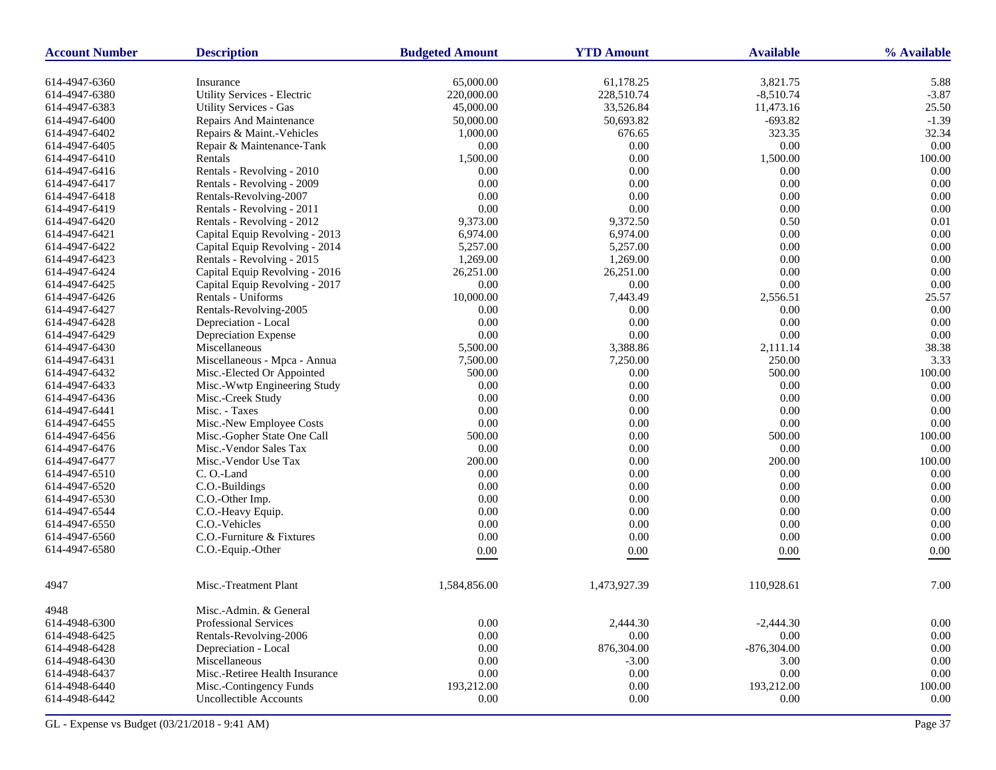| <b>Account Number</b> | <b>Description</b>                 | <b>Budgeted Amount</b> | <b>YTD Amount</b> | <b>Available</b> | % Available  |
|-----------------------|------------------------------------|------------------------|-------------------|------------------|--------------|
| 614-4947-6360         | Insurance                          | 65,000.00              | 61,178.25         | 3,821.75         | 5.88         |
| 614-4947-6380         | Utility Services - Electric        | 220,000.00             | 228,510.74        | $-8,510.74$      | $-3.87$      |
| 614-4947-6383         | <b>Utility Services - Gas</b>      | 45,000.00              | 33,526.84         | 11,473.16        | 25.50        |
| 614-4947-6400         | Repairs And Maintenance            | 50,000.00              | 50,693.82         | $-693.82$        | $-1.39$      |
| 614-4947-6402         | Repairs & Maint.-Vehicles          | 1,000.00               | 676.65            | 323.35           | 32.34        |
| 614-4947-6405         | Repair & Maintenance-Tank          | 0.00                   | $0.00\,$          | $0.00\,$         | 0.00         |
| 614-4947-6410         | Rentals                            | 1,500.00               | 0.00              | 1,500.00         | 100.00       |
| 614-4947-6416         | Rentals - Revolving - 2010         | 0.00                   | 0.00              | 0.00             | 0.00         |
| 614-4947-6417         | Rentals - Revolving - 2009         | 0.00                   | 0.00              | 0.00             | 0.00         |
| 614-4947-6418         | Rentals-Revolving-2007             | 0.00                   | 0.00              | 0.00             | 0.00         |
| 614-4947-6419         | Rentals - Revolving - 2011         | 0.00                   | $0.00\,$          | 0.00             | 0.00         |
| 614-4947-6420         | Rentals - Revolving - 2012         | 9,373.00               | 9,372.50          | 0.50             | 0.01         |
| 614-4947-6421         | Capital Equip Revolving - 2013     | 6,974.00               | 6,974.00          | 0.00             | 0.00         |
| 614-4947-6422         | Capital Equip Revolving - 2014     | 5,257.00               | 5,257.00          | 0.00             | 0.00         |
| 614-4947-6423         | Rentals - Revolving - 2015         | 1,269.00               | 1,269.00          | 0.00             | 0.00         |
| 614-4947-6424         | Capital Equip Revolving - 2016     | 26,251.00              | 26,251.00         | 0.00             | 0.00         |
| 614-4947-6425         | Capital Equip Revolving - 2017     | 0.00                   | $0.00\,$          | 0.00             | 0.00         |
| 614-4947-6426         | Rentals - Uniforms                 | 10,000.00              | 7,443.49          | 2,556.51         | 25.57        |
| 614-4947-6427         | Rentals-Revolving-2005             | 0.00                   | 0.00              | 0.00             | 0.00         |
| 614-4947-6428         | Depreciation - Local               | 0.00                   | 0.00              | 0.00             | 0.00         |
| 614-4947-6429         | Depreciation Expense               | 0.00                   | $0.00\,$          | 0.00             | 0.00         |
| 614-4947-6430         | Miscellaneous                      | 5,500.00               | 3,388.86          | 2,111.14         | 38.38        |
|                       |                                    |                        | 7,250.00          | 250.00           | 3.33         |
| 614-4947-6431         | Miscellaneous - Mpca - Annua       | 7,500.00<br>500.00     |                   |                  | 100.00       |
| 614-4947-6432         | Misc.-Elected Or Appointed         |                        | 0.00              | 500.00           |              |
| 614-4947-6433         | Misc.-Wwtp Engineering Study       | 0.00                   | 0.00              | 0.00             | 0.00         |
| 614-4947-6436         | Misc.-Creek Study<br>Misc. - Taxes | 0.00<br>0.00           | $0.00\,$          | 0.00<br>0.00     | 0.00<br>0.00 |
| 614-4947-6441         |                                    |                        | 0.00              |                  |              |
| 614-4947-6455         | Misc.-New Employee Costs           | 0.00                   | 0.00              | 0.00             | 0.00         |
| 614-4947-6456         | Misc.-Gopher State One Call        | 500.00                 | $0.00\,$          | 500.00           | 100.00       |
| 614-4947-6476         | Misc.-Vendor Sales Tax             | 0.00                   | 0.00              | $0.00\,$         | 0.00         |
| 614-4947-6477         | Misc.-Vendor Use Tax               | 200.00                 | 0.00              | 200.00           | 100.00       |
| 614-4947-6510         | C.O.-Land                          | 0.00                   | $0.00\,$          | 0.00             | 0.00         |
| 614-4947-6520         | C.O.-Buildings                     | 0.00                   | 0.00              | 0.00             | 0.00         |
| 614-4947-6530         | C.O.-Other Imp.                    | 0.00                   | 0.00              | 0.00             | 0.00         |
| 614-4947-6544         | C.O.-Heavy Equip.                  | 0.00                   | $0.00\,$          | 0.00             | 0.00         |
| 614-4947-6550         | C.O.-Vehicles                      | 0.00                   | 0.00              | 0.00             | 0.00         |
| 614-4947-6560         | C.O.-Furniture & Fixtures          | 0.00                   | 0.00              | 0.00             | 0.00         |
| 614-4947-6580         | C.O.-Equip.-Other                  | 0.00                   | 0.00              | $0.00\,$         | 0.00         |
| 4947                  | Misc.-Treatment Plant              | 1,584,856.00           | 1,473,927.39      | 110,928.61       | 7.00         |
| 4948                  | Misc.-Admin. & General             |                        |                   |                  |              |
| 614-4948-6300         | Professional Services              | 0.00                   | 2,444.30          | $-2,444.30$      | $0.00\,$     |
| 614-4948-6425         | Rentals-Revolving-2006             | $0.00\,$               | $0.00\,$          | 0.00             | $0.00\,$     |
| 614-4948-6428         | Depreciation - Local               | 0.00                   | 876,304.00        | $-876,304.00$    | 0.00         |
| 614-4948-6430         | Miscellaneous                      | 0.00                   | $-3.00$           | 3.00             | 0.00         |
| 614-4948-6437         | Misc.-Retiree Health Insurance     | 0.00                   | 0.00              | 0.00             | $0.00\,$     |
| 614-4948-6440         | Misc.-Contingency Funds            | 193,212.00             | 0.00              | 193,212.00       | 100.00       |
| 614-4948-6442         | Uncollectible Accounts             | 0.00                   | $0.00\,$          | 0.00             | 0.00         |
|                       |                                    |                        |                   |                  |              |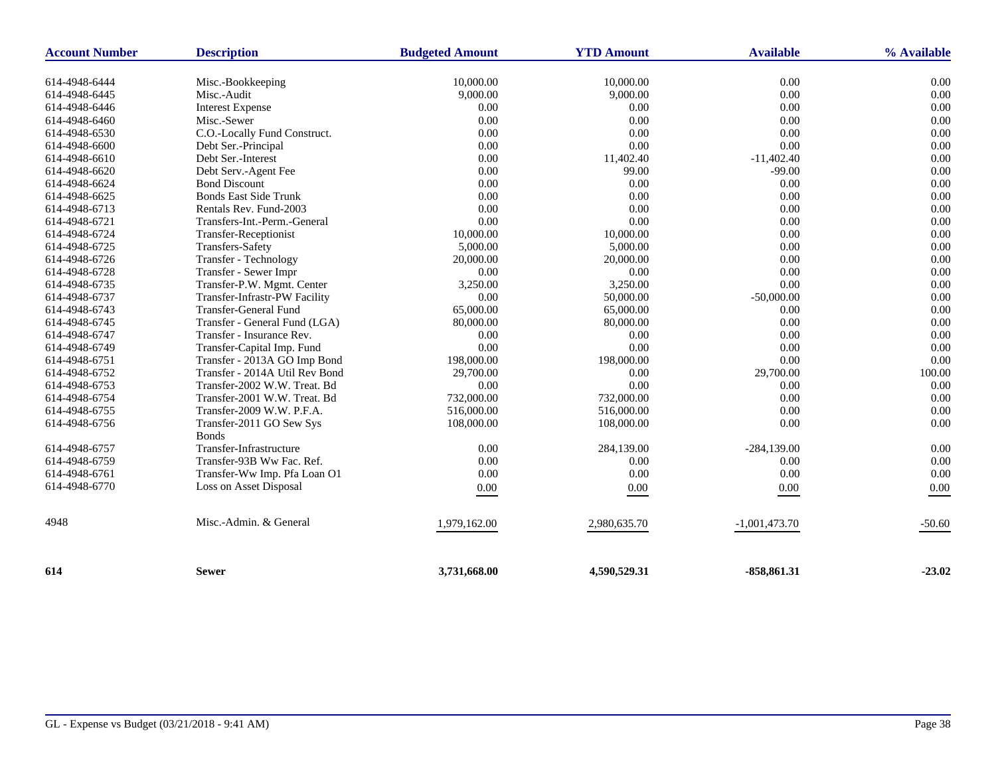| <b>Account Number</b> | <b>Description</b>             | <b>Available</b><br><b>Budgeted Amount</b><br><b>YTD Amount</b> |              | % Available     |          |
|-----------------------|--------------------------------|-----------------------------------------------------------------|--------------|-----------------|----------|
|                       |                                |                                                                 |              |                 |          |
| 614-4948-6444         | Misc.-Bookkeeping              | 10,000.00                                                       | 10,000.00    | 0.00            | 0.00     |
| 614-4948-6445         | Misc.-Audit                    | 9,000.00                                                        | 9,000.00     | 0.00            | 0.00     |
| 614-4948-6446         | <b>Interest Expense</b>        | 0.00                                                            | 0.00         | 0.00            | 0.00     |
| 614-4948-6460         | Misc.-Sewer                    | 0.00                                                            | 0.00         | 0.00            | 0.00     |
| 614-4948-6530         | C.O.-Locally Fund Construct.   | 0.00                                                            | 0.00         | 0.00            | 0.00     |
| 614-4948-6600         | Debt Ser.-Principal            | 0.00                                                            | 0.00         | 0.00            | 0.00     |
| 614-4948-6610         | Debt Ser.-Interest             | 0.00                                                            | 11,402.40    | $-11,402.40$    | 0.00     |
| 614-4948-6620         | Debt Serv.-Agent Fee           | 0.00                                                            | 99.00        | $-99.00$        | 0.00     |
| 614-4948-6624         | <b>Bond Discount</b>           | 0.00                                                            | 0.00         | 0.00            | 0.00     |
| 614-4948-6625         | <b>Bonds East Side Trunk</b>   | 0.00                                                            | 0.00         | 0.00            | 0.00     |
| 614-4948-6713         | Rentals Rev. Fund-2003         | 0.00                                                            | 0.00         | 0.00            | 0.00     |
| 614-4948-6721         | Transfers-Int.-Perm.-General   | 0.00                                                            | 0.00         | 0.00            | 0.00     |
| 614-4948-6724         | Transfer-Receptionist          | 10,000.00                                                       | 10,000.00    | 0.00            | 0.00     |
| 614-4948-6725         | <b>Transfers-Safety</b>        | 5,000.00                                                        | 5,000.00     | 0.00            | 0.00     |
| 614-4948-6726         | Transfer - Technology          | 20,000.00                                                       | 20,000.00    | 0.00            | 0.00     |
| 614-4948-6728         | Transfer - Sewer Impr          | 0.00                                                            | 0.00         | 0.00            | 0.00     |
| 614-4948-6735         | Transfer-P.W. Mgmt. Center     | 3,250.00                                                        | 3,250.00     | 0.00            | 0.00     |
| 614-4948-6737         | Transfer-Infrastr-PW Facility  | 0.00                                                            | 50,000.00    | $-50,000.00$    | 0.00     |
| 614-4948-6743         | <b>Transfer-General Fund</b>   | 65,000.00                                                       | 65,000.00    | 0.00            | 0.00     |
| 614-4948-6745         | Transfer - General Fund (LGA)  | 80,000.00                                                       | 80,000.00    | 0.00            | 0.00     |
| 614-4948-6747         | Transfer - Insurance Rev.      | 0.00                                                            | 0.00         | 0.00            | 0.00     |
| 614-4948-6749         | Transfer-Capital Imp. Fund     | 0.00                                                            | 0.00         | 0.00            | 0.00     |
| 614-4948-6751         | Transfer - 2013A GO Imp Bond   | 198,000.00                                                      | 198,000.00   | 0.00            | 0.00     |
| 614-4948-6752         | Transfer - 2014A Util Rev Bond | 29,700.00                                                       | 0.00         | 29,700.00       | 100.00   |
| 614-4948-6753         | Transfer-2002 W.W. Treat. Bd   | 0.00                                                            | 0.00         | 0.00            | 0.00     |
| 614-4948-6754         | Transfer-2001 W.W. Treat. Bd   | 732,000.00                                                      | 732,000.00   | 0.00            | 0.00     |
| 614-4948-6755         | Transfer-2009 W.W. P.F.A.      | 516,000.00                                                      | 516,000.00   | 0.00            | 0.00     |
| 614-4948-6756         | Transfer-2011 GO Sew Sys       | 108,000.00                                                      | 108,000.00   | 0.00            | 0.00     |
|                       | <b>Bonds</b>                   |                                                                 |              |                 |          |
| 614-4948-6757         | Transfer-Infrastructure        | 0.00                                                            | 284,139.00   | $-284,139.00$   | 0.00     |
| 614-4948-6759         | Transfer-93B Ww Fac. Ref.      | 0.00                                                            | 0.00         | 0.00            | 0.00     |
| 614-4948-6761         | Transfer-Ww Imp. Pfa Loan O1   | 0.00                                                            | 0.00         | 0.00            | 0.00     |
| 614-4948-6770         | Loss on Asset Disposal         | 0.00                                                            | $0.00\,$     | $0.00\,$        | 0.00     |
|                       |                                |                                                                 |              |                 |          |
| 4948                  | Misc.-Admin. & General         | 1,979,162.00                                                    | 2,980,635.70 | $-1,001,473.70$ | $-50.60$ |
| 614                   | <b>Sewer</b>                   | 3,731,668.00                                                    | 4,590,529.31 | $-858,861.31$   | $-23.02$ |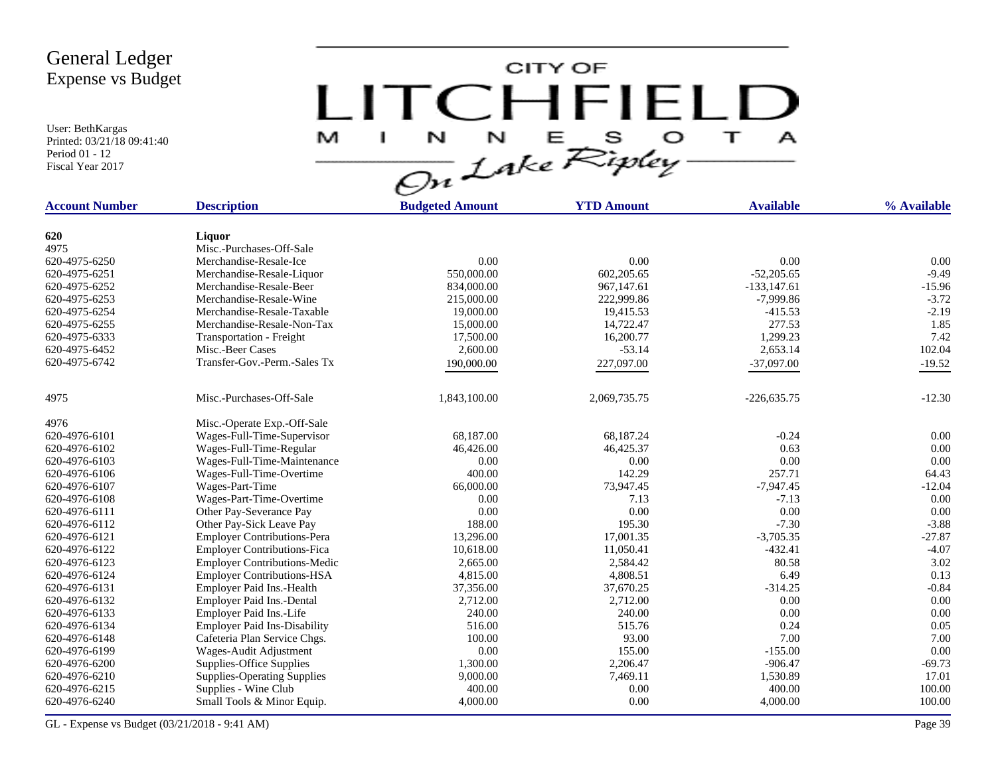User: BethKargas Printed: 03/21/18 09:41:40 Period 01 - 12 Fiscal Year 2017



| 620<br>Liquor<br>4975<br>Misc.-Purchases-Off-Sale<br>0.00<br>0.00<br>0.00<br>0.00<br>620-4975-6250<br>Merchandise-Resale-Ice<br>602,205.65<br>$-52,205.65$<br>$-9.49$<br>620-4975-6251<br>Merchandise-Resale-Liquor<br>550,000.00<br>967,147.61<br>620-4975-6252<br>Merchandise-Resale-Beer<br>834,000.00<br>$-133, 147.61$<br>620-4975-6253<br>Merchandise-Resale-Wine<br>215,000.00<br>222,999.86<br>$-7,999.86$<br>620-4975-6254<br>Merchandise-Resale-Taxable<br>19,415.53<br>$-415.53$<br>19,000.00<br>Merchandise-Resale-Non-Tax<br>14,722.47<br>277.53<br>620-4975-6255<br>15,000.00<br><b>Transportation - Freight</b><br>16,200.77<br>1,299.23<br>620-4975-6333<br>17,500.00<br>$-53.14$<br>2,653.14<br>620-4975-6452<br>Misc.-Beer Cases<br>2,600.00<br>620-4975-6742<br>Transfer-Gov.-Perm.-Sales Tx<br>190,000.00<br>227,097.00<br>$-37,097.00$<br>4975<br>Misc.-Purchases-Off-Sale<br>1,843,100.00<br>$-12.30$<br>2,069,735.75<br>$-226,635.75$<br>4976<br>Misc.-Operate Exp.-Off-Sale<br>620-4976-6101<br>Wages-Full-Time-Supervisor<br>68,187.00<br>68,187.24<br>$-0.24$<br>620-4976-6102<br>Wages-Full-Time-Regular<br>46,426.00<br>46,425.37<br>0.63<br>620-4976-6103<br>Wages-Full-Time-Maintenance<br>0.00<br>0.00<br>0.00<br>257.71<br>Wages-Full-Time-Overtime<br>400.00<br>142.29<br>620-4976-6106<br>73,947.45<br>66,000.00<br>$-7,947.45$<br>620-4976-6107<br>Wages-Part-Time<br>620-4976-6108<br>Wages-Part-Time-Overtime<br>0.00<br>7.13<br>$-7.13$<br>0.00<br>0.00<br>0.00<br>620-4976-6111<br>Other Pay-Severance Pay<br>$-7.30$<br>620-4976-6112<br>Other Pay-Sick Leave Pay<br>188.00<br>195.30<br><b>Employer Contributions-Pera</b><br>13,296.00<br>17,001.35<br>$-3,705.35$<br>620-4976-6121<br>620-4976-6122<br><b>Employer Contributions-Fica</b><br>10,618.00<br>11,050.41<br>$-432.41$<br>Employer Contributions-Medic<br>2,584.42<br>80.58<br>620-4976-6123<br>2,665.00<br><b>Employer Contributions-HSA</b><br>4,815.00<br>4,808.51<br>6.49<br>620-4976-6124<br>$-314.25$<br>37,356.00<br>37,670.25<br>620-4976-6131<br>Employer Paid Ins.-Health | <b>Account Number</b> | <b>Description</b>               | <b>Budgeted Amount</b> | <b>YTD Amount</b> | <b>Available</b> | % Available |
|------------------------------------------------------------------------------------------------------------------------------------------------------------------------------------------------------------------------------------------------------------------------------------------------------------------------------------------------------------------------------------------------------------------------------------------------------------------------------------------------------------------------------------------------------------------------------------------------------------------------------------------------------------------------------------------------------------------------------------------------------------------------------------------------------------------------------------------------------------------------------------------------------------------------------------------------------------------------------------------------------------------------------------------------------------------------------------------------------------------------------------------------------------------------------------------------------------------------------------------------------------------------------------------------------------------------------------------------------------------------------------------------------------------------------------------------------------------------------------------------------------------------------------------------------------------------------------------------------------------------------------------------------------------------------------------------------------------------------------------------------------------------------------------------------------------------------------------------------------------------------------------------------------------------------------------------------------------------------------------------------------------------------------------------------------------------------------------|-----------------------|----------------------------------|------------------------|-------------------|------------------|-------------|
|                                                                                                                                                                                                                                                                                                                                                                                                                                                                                                                                                                                                                                                                                                                                                                                                                                                                                                                                                                                                                                                                                                                                                                                                                                                                                                                                                                                                                                                                                                                                                                                                                                                                                                                                                                                                                                                                                                                                                                                                                                                                                          |                       |                                  |                        |                   |                  |             |
|                                                                                                                                                                                                                                                                                                                                                                                                                                                                                                                                                                                                                                                                                                                                                                                                                                                                                                                                                                                                                                                                                                                                                                                                                                                                                                                                                                                                                                                                                                                                                                                                                                                                                                                                                                                                                                                                                                                                                                                                                                                                                          |                       |                                  |                        |                   |                  |             |
|                                                                                                                                                                                                                                                                                                                                                                                                                                                                                                                                                                                                                                                                                                                                                                                                                                                                                                                                                                                                                                                                                                                                                                                                                                                                                                                                                                                                                                                                                                                                                                                                                                                                                                                                                                                                                                                                                                                                                                                                                                                                                          |                       |                                  |                        |                   |                  |             |
|                                                                                                                                                                                                                                                                                                                                                                                                                                                                                                                                                                                                                                                                                                                                                                                                                                                                                                                                                                                                                                                                                                                                                                                                                                                                                                                                                                                                                                                                                                                                                                                                                                                                                                                                                                                                                                                                                                                                                                                                                                                                                          |                       |                                  |                        |                   |                  |             |
|                                                                                                                                                                                                                                                                                                                                                                                                                                                                                                                                                                                                                                                                                                                                                                                                                                                                                                                                                                                                                                                                                                                                                                                                                                                                                                                                                                                                                                                                                                                                                                                                                                                                                                                                                                                                                                                                                                                                                                                                                                                                                          |                       |                                  |                        |                   |                  |             |
|                                                                                                                                                                                                                                                                                                                                                                                                                                                                                                                                                                                                                                                                                                                                                                                                                                                                                                                                                                                                                                                                                                                                                                                                                                                                                                                                                                                                                                                                                                                                                                                                                                                                                                                                                                                                                                                                                                                                                                                                                                                                                          |                       |                                  |                        |                   |                  | $-15.96$    |
|                                                                                                                                                                                                                                                                                                                                                                                                                                                                                                                                                                                                                                                                                                                                                                                                                                                                                                                                                                                                                                                                                                                                                                                                                                                                                                                                                                                                                                                                                                                                                                                                                                                                                                                                                                                                                                                                                                                                                                                                                                                                                          |                       |                                  |                        |                   |                  | $-3.72$     |
|                                                                                                                                                                                                                                                                                                                                                                                                                                                                                                                                                                                                                                                                                                                                                                                                                                                                                                                                                                                                                                                                                                                                                                                                                                                                                                                                                                                                                                                                                                                                                                                                                                                                                                                                                                                                                                                                                                                                                                                                                                                                                          |                       |                                  |                        |                   |                  | $-2.19$     |
|                                                                                                                                                                                                                                                                                                                                                                                                                                                                                                                                                                                                                                                                                                                                                                                                                                                                                                                                                                                                                                                                                                                                                                                                                                                                                                                                                                                                                                                                                                                                                                                                                                                                                                                                                                                                                                                                                                                                                                                                                                                                                          |                       |                                  |                        |                   |                  | 1.85        |
|                                                                                                                                                                                                                                                                                                                                                                                                                                                                                                                                                                                                                                                                                                                                                                                                                                                                                                                                                                                                                                                                                                                                                                                                                                                                                                                                                                                                                                                                                                                                                                                                                                                                                                                                                                                                                                                                                                                                                                                                                                                                                          |                       |                                  |                        |                   |                  | 7.42        |
|                                                                                                                                                                                                                                                                                                                                                                                                                                                                                                                                                                                                                                                                                                                                                                                                                                                                                                                                                                                                                                                                                                                                                                                                                                                                                                                                                                                                                                                                                                                                                                                                                                                                                                                                                                                                                                                                                                                                                                                                                                                                                          |                       |                                  |                        |                   |                  | 102.04      |
|                                                                                                                                                                                                                                                                                                                                                                                                                                                                                                                                                                                                                                                                                                                                                                                                                                                                                                                                                                                                                                                                                                                                                                                                                                                                                                                                                                                                                                                                                                                                                                                                                                                                                                                                                                                                                                                                                                                                                                                                                                                                                          |                       |                                  |                        |                   |                  | $-19.52$    |
|                                                                                                                                                                                                                                                                                                                                                                                                                                                                                                                                                                                                                                                                                                                                                                                                                                                                                                                                                                                                                                                                                                                                                                                                                                                                                                                                                                                                                                                                                                                                                                                                                                                                                                                                                                                                                                                                                                                                                                                                                                                                                          |                       |                                  |                        |                   |                  |             |
|                                                                                                                                                                                                                                                                                                                                                                                                                                                                                                                                                                                                                                                                                                                                                                                                                                                                                                                                                                                                                                                                                                                                                                                                                                                                                                                                                                                                                                                                                                                                                                                                                                                                                                                                                                                                                                                                                                                                                                                                                                                                                          |                       |                                  |                        |                   |                  |             |
|                                                                                                                                                                                                                                                                                                                                                                                                                                                                                                                                                                                                                                                                                                                                                                                                                                                                                                                                                                                                                                                                                                                                                                                                                                                                                                                                                                                                                                                                                                                                                                                                                                                                                                                                                                                                                                                                                                                                                                                                                                                                                          |                       |                                  |                        |                   |                  |             |
|                                                                                                                                                                                                                                                                                                                                                                                                                                                                                                                                                                                                                                                                                                                                                                                                                                                                                                                                                                                                                                                                                                                                                                                                                                                                                                                                                                                                                                                                                                                                                                                                                                                                                                                                                                                                                                                                                                                                                                                                                                                                                          |                       |                                  |                        |                   |                  | 0.00        |
|                                                                                                                                                                                                                                                                                                                                                                                                                                                                                                                                                                                                                                                                                                                                                                                                                                                                                                                                                                                                                                                                                                                                                                                                                                                                                                                                                                                                                                                                                                                                                                                                                                                                                                                                                                                                                                                                                                                                                                                                                                                                                          |                       |                                  |                        |                   |                  | 0.00        |
|                                                                                                                                                                                                                                                                                                                                                                                                                                                                                                                                                                                                                                                                                                                                                                                                                                                                                                                                                                                                                                                                                                                                                                                                                                                                                                                                                                                                                                                                                                                                                                                                                                                                                                                                                                                                                                                                                                                                                                                                                                                                                          |                       |                                  |                        |                   |                  | 0.00        |
|                                                                                                                                                                                                                                                                                                                                                                                                                                                                                                                                                                                                                                                                                                                                                                                                                                                                                                                                                                                                                                                                                                                                                                                                                                                                                                                                                                                                                                                                                                                                                                                                                                                                                                                                                                                                                                                                                                                                                                                                                                                                                          |                       |                                  |                        |                   |                  | 64.43       |
|                                                                                                                                                                                                                                                                                                                                                                                                                                                                                                                                                                                                                                                                                                                                                                                                                                                                                                                                                                                                                                                                                                                                                                                                                                                                                                                                                                                                                                                                                                                                                                                                                                                                                                                                                                                                                                                                                                                                                                                                                                                                                          |                       |                                  |                        |                   |                  | $-12.04$    |
|                                                                                                                                                                                                                                                                                                                                                                                                                                                                                                                                                                                                                                                                                                                                                                                                                                                                                                                                                                                                                                                                                                                                                                                                                                                                                                                                                                                                                                                                                                                                                                                                                                                                                                                                                                                                                                                                                                                                                                                                                                                                                          |                       |                                  |                        |                   |                  | 0.00        |
|                                                                                                                                                                                                                                                                                                                                                                                                                                                                                                                                                                                                                                                                                                                                                                                                                                                                                                                                                                                                                                                                                                                                                                                                                                                                                                                                                                                                                                                                                                                                                                                                                                                                                                                                                                                                                                                                                                                                                                                                                                                                                          |                       |                                  |                        |                   |                  | 0.00        |
|                                                                                                                                                                                                                                                                                                                                                                                                                                                                                                                                                                                                                                                                                                                                                                                                                                                                                                                                                                                                                                                                                                                                                                                                                                                                                                                                                                                                                                                                                                                                                                                                                                                                                                                                                                                                                                                                                                                                                                                                                                                                                          |                       |                                  |                        |                   |                  | $-3.88$     |
|                                                                                                                                                                                                                                                                                                                                                                                                                                                                                                                                                                                                                                                                                                                                                                                                                                                                                                                                                                                                                                                                                                                                                                                                                                                                                                                                                                                                                                                                                                                                                                                                                                                                                                                                                                                                                                                                                                                                                                                                                                                                                          |                       |                                  |                        |                   |                  | $-27.87$    |
|                                                                                                                                                                                                                                                                                                                                                                                                                                                                                                                                                                                                                                                                                                                                                                                                                                                                                                                                                                                                                                                                                                                                                                                                                                                                                                                                                                                                                                                                                                                                                                                                                                                                                                                                                                                                                                                                                                                                                                                                                                                                                          |                       |                                  |                        |                   |                  | $-4.07$     |
|                                                                                                                                                                                                                                                                                                                                                                                                                                                                                                                                                                                                                                                                                                                                                                                                                                                                                                                                                                                                                                                                                                                                                                                                                                                                                                                                                                                                                                                                                                                                                                                                                                                                                                                                                                                                                                                                                                                                                                                                                                                                                          |                       |                                  |                        |                   |                  | 3.02        |
|                                                                                                                                                                                                                                                                                                                                                                                                                                                                                                                                                                                                                                                                                                                                                                                                                                                                                                                                                                                                                                                                                                                                                                                                                                                                                                                                                                                                                                                                                                                                                                                                                                                                                                                                                                                                                                                                                                                                                                                                                                                                                          |                       |                                  |                        |                   |                  | 0.13        |
|                                                                                                                                                                                                                                                                                                                                                                                                                                                                                                                                                                                                                                                                                                                                                                                                                                                                                                                                                                                                                                                                                                                                                                                                                                                                                                                                                                                                                                                                                                                                                                                                                                                                                                                                                                                                                                                                                                                                                                                                                                                                                          |                       |                                  |                        |                   |                  | $-0.84$     |
|                                                                                                                                                                                                                                                                                                                                                                                                                                                                                                                                                                                                                                                                                                                                                                                                                                                                                                                                                                                                                                                                                                                                                                                                                                                                                                                                                                                                                                                                                                                                                                                                                                                                                                                                                                                                                                                                                                                                                                                                                                                                                          | 620-4976-6132         | <b>Employer Paid Ins.-Dental</b> | 2,712.00               | 2,712.00          | 0.00             | 0.00        |
| 240.00<br>240.00<br>0.00<br>620-4976-6133<br>Employer Paid Ins.-Life                                                                                                                                                                                                                                                                                                                                                                                                                                                                                                                                                                                                                                                                                                                                                                                                                                                                                                                                                                                                                                                                                                                                                                                                                                                                                                                                                                                                                                                                                                                                                                                                                                                                                                                                                                                                                                                                                                                                                                                                                     |                       |                                  |                        |                   |                  | 0.00        |
| <b>Employer Paid Ins-Disability</b><br>516.00<br>515.76<br>0.24<br>620-4976-6134                                                                                                                                                                                                                                                                                                                                                                                                                                                                                                                                                                                                                                                                                                                                                                                                                                                                                                                                                                                                                                                                                                                                                                                                                                                                                                                                                                                                                                                                                                                                                                                                                                                                                                                                                                                                                                                                                                                                                                                                         |                       |                                  |                        |                   |                  | 0.05        |
| 620-4976-6148<br>Cafeteria Plan Service Chgs.<br>100.00<br>93.00<br>7.00                                                                                                                                                                                                                                                                                                                                                                                                                                                                                                                                                                                                                                                                                                                                                                                                                                                                                                                                                                                                                                                                                                                                                                                                                                                                                                                                                                                                                                                                                                                                                                                                                                                                                                                                                                                                                                                                                                                                                                                                                 |                       |                                  |                        |                   |                  | 7.00        |
| 0.00<br>155.00<br>620-4976-6199<br>Wages-Audit Adjustment<br>$-155.00$                                                                                                                                                                                                                                                                                                                                                                                                                                                                                                                                                                                                                                                                                                                                                                                                                                                                                                                                                                                                                                                                                                                                                                                                                                                                                                                                                                                                                                                                                                                                                                                                                                                                                                                                                                                                                                                                                                                                                                                                                   |                       |                                  |                        |                   |                  | 0.00        |
| 2,206.47<br>620-4976-6200<br>Supplies-Office Supplies<br>1,300.00<br>$-906.47$                                                                                                                                                                                                                                                                                                                                                                                                                                                                                                                                                                                                                                                                                                                                                                                                                                                                                                                                                                                                                                                                                                                                                                                                                                                                                                                                                                                                                                                                                                                                                                                                                                                                                                                                                                                                                                                                                                                                                                                                           |                       |                                  |                        |                   |                  | $-69.73$    |
| 7,469.11<br>620-4976-6210<br>9,000.00<br>1,530.89<br><b>Supplies-Operating Supplies</b>                                                                                                                                                                                                                                                                                                                                                                                                                                                                                                                                                                                                                                                                                                                                                                                                                                                                                                                                                                                                                                                                                                                                                                                                                                                                                                                                                                                                                                                                                                                                                                                                                                                                                                                                                                                                                                                                                                                                                                                                  |                       |                                  |                        |                   |                  | 17.01       |
| 400.00<br>0.00<br>400.00<br>620-4976-6215<br>Supplies - Wine Club                                                                                                                                                                                                                                                                                                                                                                                                                                                                                                                                                                                                                                                                                                                                                                                                                                                                                                                                                                                                                                                                                                                                                                                                                                                                                                                                                                                                                                                                                                                                                                                                                                                                                                                                                                                                                                                                                                                                                                                                                        |                       |                                  |                        |                   |                  | 100.00      |
| 0.00<br>620-4976-6240<br>Small Tools & Minor Equip.<br>4,000.00<br>4,000.00                                                                                                                                                                                                                                                                                                                                                                                                                                                                                                                                                                                                                                                                                                                                                                                                                                                                                                                                                                                                                                                                                                                                                                                                                                                                                                                                                                                                                                                                                                                                                                                                                                                                                                                                                                                                                                                                                                                                                                                                              |                       |                                  |                        |                   |                  | 100.00      |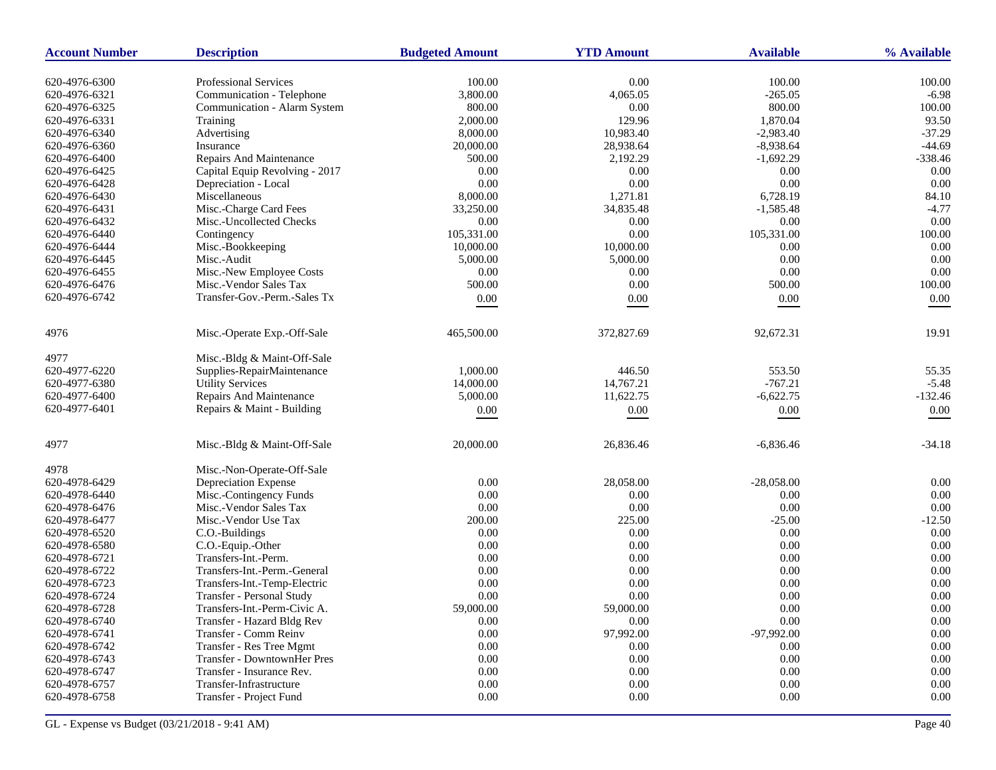| <b>Account Number</b> | <b>Description</b>             | <b>Budgeted Amount</b> | <b>YTD Amount</b> | <b>Available</b> | % Available |
|-----------------------|--------------------------------|------------------------|-------------------|------------------|-------------|
| 620-4976-6300         | <b>Professional Services</b>   | 100.00                 | 0.00              | 100.00           | 100.00      |
| 620-4976-6321         | Communication - Telephone      | 3,800.00               | 4,065.05          | $-265.05$        | $-6.98$     |
| 620-4976-6325         | Communication - Alarm System   | 800.00                 | 0.00              | 800.00           | 100.00      |
| 620-4976-6331         | Training                       | 2,000.00               | 129.96            | 1,870.04         | 93.50       |
| 620-4976-6340         | Advertising                    | 8,000.00               | 10,983.40         | $-2,983.40$      | $-37.29$    |
| 620-4976-6360         | Insurance                      | 20,000.00              | 28,938.64         | $-8,938.64$      | $-44.69$    |
| 620-4976-6400         | Repairs And Maintenance        | 500.00                 | 2,192.29          | $-1,692.29$      | $-338.46$   |
| 620-4976-6425         | Capital Equip Revolving - 2017 | 0.00                   | 0.00              | 0.00             | 0.00        |
| 620-4976-6428         | Depreciation - Local           | 0.00                   | 0.00              | 0.00             | 0.00        |
| 620-4976-6430         | Miscellaneous                  | 8,000.00               | 1,271.81          | 6,728.19         | 84.10       |
| 620-4976-6431         | Misc.-Charge Card Fees         | 33,250.00              | 34,835.48         | $-1,585.48$      | $-4.77$     |
| 620-4976-6432         | Misc.-Uncollected Checks       | 0.00                   | 0.00              | 0.00             | 0.00        |
| 620-4976-6440         | Contingency                    | 105,331.00             | 0.00              | 105,331.00       | 100.00      |
| 620-4976-6444         | Misc.-Bookkeeping              | 10,000.00              | 10,000.00         | 0.00             | 0.00        |
| 620-4976-6445         | Misc.-Audit                    | 5,000.00               | 5,000.00          | 0.00             | 0.00        |
| 620-4976-6455         | Misc.-New Employee Costs       | 0.00                   | 0.00              | 0.00             | 0.00        |
| 620-4976-6476         | Misc.-Vendor Sales Tax         | 500.00                 | 0.00              | 500.00           | 100.00      |
| 620-4976-6742         | Transfer-Gov.-Perm.-Sales Tx   | $0.00\,$               | 0.00              | $0.00\,$         | 0.00        |
| 4976                  | Misc.-Operate Exp.-Off-Sale    | 465,500.00             | 372,827.69        | 92,672.31        | 19.91       |
|                       |                                |                        |                   |                  |             |
| 4977                  | Misc.-Bldg & Maint-Off-Sale    |                        |                   |                  |             |
| 620-4977-6220         | Supplies-RepairMaintenance     | 1,000.00               | 446.50            | 553.50           | 55.35       |
| 620-4977-6380         | <b>Utility Services</b>        | 14,000.00              | 14,767.21         | $-767.21$        | $-5.48$     |
| 620-4977-6400         | Repairs And Maintenance        | 5,000.00               | 11,622.75         | $-6,622.75$      | $-132.46$   |
| 620-4977-6401         | Repairs & Maint - Building     | $0.00\,$               | 0.00              | $0.00\,$         | 0.00        |
| 4977                  | Misc.-Bldg & Maint-Off-Sale    | 20,000.00              | 26,836.46         | $-6,836.46$      | $-34.18$    |
| 4978                  | Misc.-Non-Operate-Off-Sale     |                        |                   |                  |             |
| 620-4978-6429         | Depreciation Expense           | 0.00                   | 28,058.00         | $-28,058.00$     | 0.00        |
| 620-4978-6440         | Misc.-Contingency Funds        | 0.00                   | 0.00              | 0.00             | 0.00        |
| 620-4978-6476         | Misc.-Vendor Sales Tax         | 0.00                   | 0.00              | 0.00             | 0.00        |
| 620-4978-6477         | Misc.-Vendor Use Tax           | 200.00                 | 225.00            | $-25.00$         | $-12.50$    |
| 620-4978-6520         | C.O.-Buildings                 | 0.00                   | 0.00              | $0.00\,$         | 0.00        |
| 620-4978-6580         | C.O.-Equip.-Other              | 0.00                   | 0.00              | 0.00             | 0.00        |
| 620-4978-6721         | Transfers-Int.-Perm.           | 0.00                   | 0.00              | 0.00             | 0.00        |
| 620-4978-6722         | Transfers-Int.-Perm.-General   | 0.00                   | 0.00              | 0.00             | 0.00        |
| 620-4978-6723         | Transfers-Int.-Temp-Electric   | 0.00                   | 0.00              | 0.00             | 0.00        |
| 620-4978-6724         | Transfer - Personal Study      | 0.00                   | 0.00              | 0.00             | 0.00        |
| 620-4978-6728         | Transfers-Int.-Perm-Civic A.   | 59,000.00              | 59,000.00         | 0.00             | 0.00        |
| 620-4978-6740         | Transfer - Hazard Bldg Rev     | 0.00                   | $0.00\,$          | 0.00             | $0.00\,$    |
| 620-4978-6741         | Transfer - Comm Reinv          | 0.00                   | 97,992.00         | $-97,992.00$     | $0.00\,$    |
| 620-4978-6742         | Transfer - Res Tree Mgmt       | 0.00                   | 0.00              | 0.00             | $0.00\,$    |
| 620-4978-6743         | Transfer - DowntownHer Pres    | 0.00                   | 0.00              | 0.00             | $0.00\,$    |
| 620-4978-6747         | Transfer - Insurance Rev.      | 0.00                   | 0.00              | 0.00             | 0.00        |
| 620-4978-6757         | Transfer-Infrastructure        | 0.00                   | 0.00              | 0.00             | $0.00\,$    |
| 620-4978-6758         | Transfer - Project Fund        | 0.00                   | 0.00              | 0.00             | $0.00\,$    |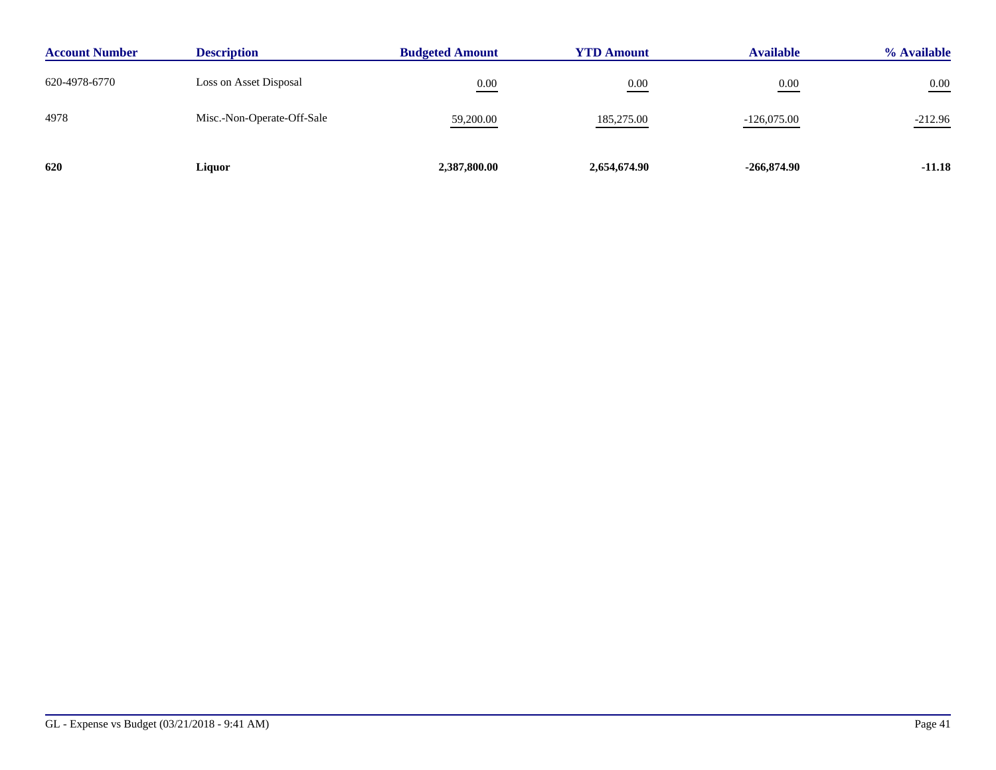| <b>Account Number</b> | <b>Description</b>         | <b>Budgeted Amount</b> | <b>YTD Amount</b> | <b>Available</b> | % Available |
|-----------------------|----------------------------|------------------------|-------------------|------------------|-------------|
| 620-4978-6770         | Loss on Asset Disposal     | 0.00                   | 0.00              | 0.00             | $0.00\,$    |
| 4978                  | Misc.-Non-Operate-Off-Sale | 59,200.00              | 185,275.00        | $-126,075.00$    | $-212.96$   |
| 620                   | Liquor                     | 2,387,800.00           | 2,654,674.90      | $-266,874.90$    | $-11.18$    |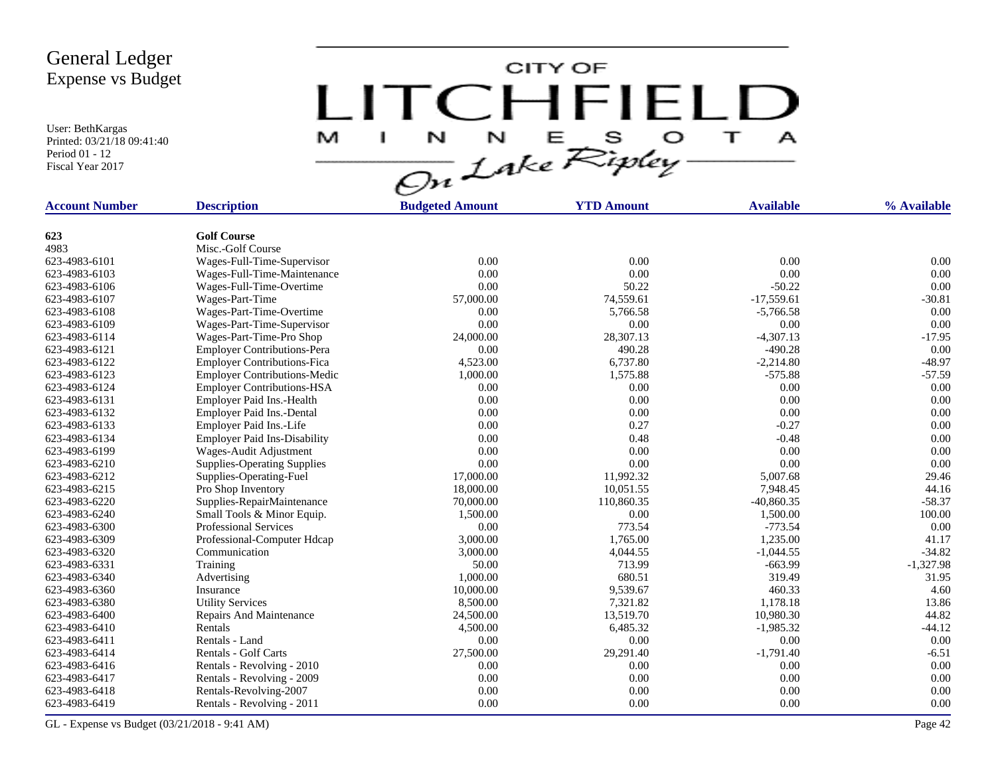User: BethKargas Printed: 03/21/18 09:41:40 Period 01 - 12 Fiscal Year 2017



| <b>Account Number</b> | <b>Description</b>                  | <b>Budgeted Amount</b> | <b>YTD Amount</b> | <b>Available</b> | % Available |
|-----------------------|-------------------------------------|------------------------|-------------------|------------------|-------------|
|                       |                                     |                        |                   |                  |             |
| 623                   | <b>Golf Course</b>                  |                        |                   |                  |             |
| 4983                  | Misc.-Golf Course                   |                        |                   |                  |             |
| 623-4983-6101         | Wages-Full-Time-Supervisor          | 0.00                   | 0.00              | 0.00             | 0.00        |
| 623-4983-6103         | Wages-Full-Time-Maintenance         | 0.00                   | 0.00              | 0.00             | 0.00        |
| 623-4983-6106         | Wages-Full-Time-Overtime            | 0.00                   | 50.22             | $-50.22$         | 0.00        |
| 623-4983-6107         | Wages-Part-Time                     | 57,000.00              | 74,559.61         | $-17,559.61$     | $-30.81$    |
| 623-4983-6108         | Wages-Part-Time-Overtime            | 0.00                   | 5,766.58          | $-5,766.58$      | 0.00        |
| 623-4983-6109         | Wages-Part-Time-Supervisor          | 0.00                   | 0.00              | 0.00             | 0.00        |
| 623-4983-6114         | Wages-Part-Time-Pro Shop            | 24,000.00              | 28,307.13         | $-4,307.13$      | $-17.95$    |
| 623-4983-6121         | <b>Employer Contributions-Pera</b>  | 0.00                   | 490.28            | $-490.28$        | 0.00        |
| 623-4983-6122         | <b>Employer Contributions-Fica</b>  | 4,523.00               | 6,737.80          | $-2,214.80$      | $-48.97$    |
| 623-4983-6123         | <b>Employer Contributions-Medic</b> | 1,000.00               | 1,575.88          | $-575.88$        | $-57.59$    |
| 623-4983-6124         | <b>Employer Contributions-HSA</b>   | 0.00                   | 0.00              | 0.00             | 0.00        |
| 623-4983-6131         | Employer Paid Ins.-Health           | 0.00                   | 0.00              | 0.00             | 0.00        |
| 623-4983-6132         | Employer Paid Ins.-Dental           | 0.00                   | 0.00              | 0.00             | 0.00        |
| 623-4983-6133         | Employer Paid Ins.-Life             | 0.00                   | 0.27              | $-0.27$          | 0.00        |
| 623-4983-6134         | <b>Employer Paid Ins-Disability</b> | 0.00                   | 0.48              | $-0.48$          | 0.00        |
| 623-4983-6199         | Wages-Audit Adjustment              | 0.00                   | 0.00              | 0.00             | 0.00        |
| 623-4983-6210         | <b>Supplies-Operating Supplies</b>  | 0.00                   | 0.00              | 0.00             | 0.00        |
| 623-4983-6212         | Supplies-Operating-Fuel             | 17,000.00              | 11,992.32         | 5,007.68         | 29.46       |
| 623-4983-6215         | Pro Shop Inventory                  | 18,000.00              | 10,051.55         | 7.948.45         | 44.16       |
| 623-4983-6220         | Supplies-RepairMaintenance          | 70,000.00              | 110,860.35        | $-40,860.35$     | $-58.37$    |
| 623-4983-6240         | Small Tools & Minor Equip.          | 1,500.00               | 0.00              | 1,500.00         | 100.00      |
| 623-4983-6300         | <b>Professional Services</b>        | 0.00                   | 773.54            | $-773.54$        | 0.00        |
| 623-4983-6309         | Professional-Computer Hdcap         | 3,000.00               | 1,765.00          | 1,235.00         | 41.17       |
| 623-4983-6320         | Communication                       | 3,000.00               | 4,044.55          | $-1,044.55$      | $-34.82$    |
| 623-4983-6331         | Training                            | 50.00                  | 713.99            | $-663.99$        | $-1,327.98$ |
| 623-4983-6340         | Advertising                         | 1,000.00               | 680.51            | 319.49           | 31.95       |
| 623-4983-6360         | Insurance                           | 10,000.00              | 9,539.67          | 460.33           | 4.60        |
| 623-4983-6380         | <b>Utility Services</b>             | 8,500.00               | 7,321.82          | 1,178.18         | 13.86       |
| 623-4983-6400         | Repairs And Maintenance             | 24,500.00              | 13,519.70         | 10,980.30        | 44.82       |
| 623-4983-6410         | Rentals                             | 4,500.00               | 6,485.32          | $-1,985.32$      | $-44.12$    |
| 623-4983-6411         | Rentals - Land                      | 0.00                   | 0.00              | 0.00             | 0.00        |
| 623-4983-6414         | Rentals - Golf Carts                | 27,500.00              | 29,291.40         | $-1,791.40$      | $-6.51$     |
| 623-4983-6416         | Rentals - Revolving - 2010          | 0.00                   | 0.00              | 0.00             | 0.00        |
| 623-4983-6417         | Rentals - Revolving - 2009          | 0.00                   | 0.00              | 0.00             | 0.00        |
| 623-4983-6418         | Rentals-Revolving-2007              | 0.00                   | 0.00              | 0.00             | 0.00        |
| 623-4983-6419         | Rentals - Revolving - 2011          | 0.00                   | 0.00              | 0.00             | 0.00        |
|                       |                                     |                        |                   |                  |             |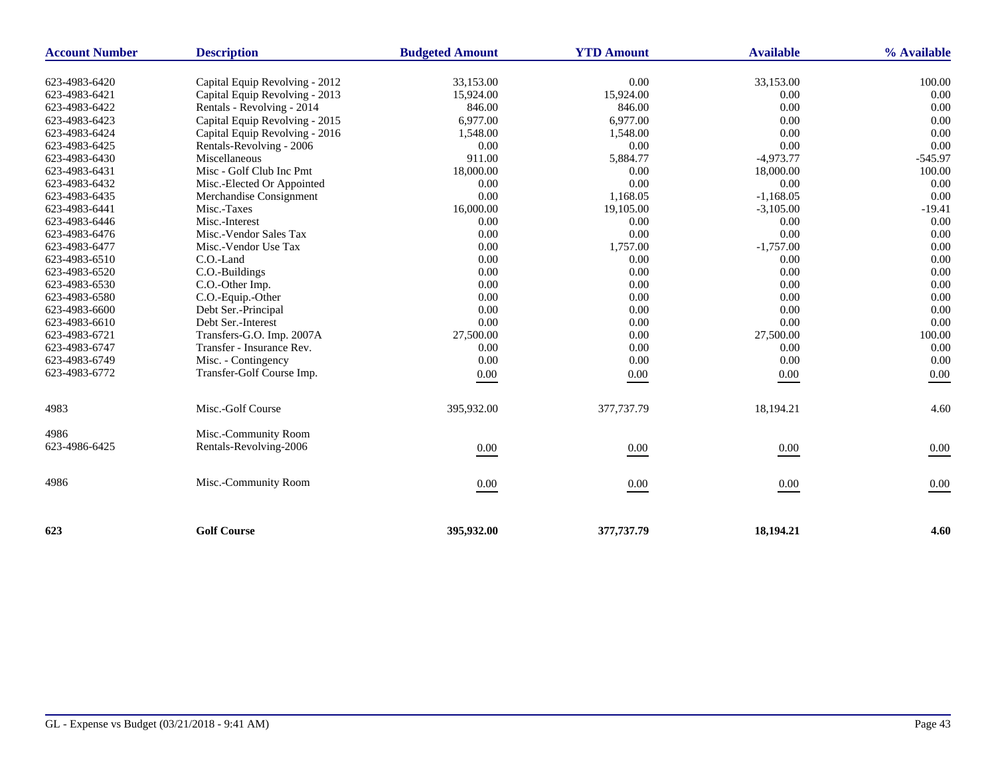| <b>Account Number</b> | <b>Description</b>             | <b>Budgeted Amount</b> | <b>YTD Amount</b> | <b>Available</b> | % Available |
|-----------------------|--------------------------------|------------------------|-------------------|------------------|-------------|
| 623-4983-6420         | Capital Equip Revolving - 2012 | 33,153.00              | 0.00              | 33,153.00        | 100.00      |
| 623-4983-6421         | Capital Equip Revolving - 2013 | 15,924.00              | 15,924.00         | $0.00\,$         | 0.00        |
| 623-4983-6422         | Rentals - Revolving - 2014     | 846.00                 | 846.00            | 0.00             | 0.00        |
| 623-4983-6423         | Capital Equip Revolving - 2015 | 6,977.00<br>6,977.00   |                   | 0.00             | 0.00        |
| 623-4983-6424         | Capital Equip Revolving - 2016 | 1,548.00               | 1,548.00          | 0.00             | 0.00        |
| 623-4983-6425         | Rentals-Revolving - 2006       | 0.00                   | 0.00              | 0.00             | 0.00        |
| 623-4983-6430         | Miscellaneous                  | 911.00                 | 5,884.77          | $-4,973.77$      | $-545.97$   |
| 623-4983-6431         | Misc - Golf Club Inc Pmt       | 18,000.00              | 0.00              | 18,000.00        | 100.00      |
| 623-4983-6432         | Misc.-Elected Or Appointed     | 0.00                   | 0.00              | 0.00             | 0.00        |
| 623-4983-6435         | Merchandise Consignment        | 0.00                   | 1,168.05          | $-1,168.05$      | 0.00        |
| 623-4983-6441         | Misc.-Taxes                    | 16,000.00              | 19,105.00         | $-3,105.00$      | $-19.41$    |
| 623-4983-6446         | Misc.-Interest                 | 0.00                   | 0.00              | 0.00             | 0.00        |
| 623-4983-6476         | Misc.-Vendor Sales Tax         | 0.00                   | 0.00              | 0.00             | 0.00        |
| 623-4983-6477         | Misc.-Vendor Use Tax           | 0.00                   | 1,757.00          | $-1,757.00$      | 0.00        |
| 623-4983-6510         | C.O.-Land                      | 0.00                   | 0.00              | 0.00             | 0.00        |
| 623-4983-6520         | C.O.-Buildings                 | 0.00                   | 0.00              | 0.00             | 0.00        |
| 623-4983-6530         | C.O.-Other Imp.                | 0.00                   | 0.00              | 0.00             | 0.00        |
| 623-4983-6580         | C.O.-Equip.-Other              | 0.00                   | 0.00              | 0.00             | 0.00        |
| 623-4983-6600         | Debt Ser.-Principal            | 0.00                   | 0.00              | 0.00             | 0.00        |
| 623-4983-6610         | Debt Ser.-Interest             | 0.00                   | 0.00              | 0.00             | 0.00        |
| 623-4983-6721         | Transfers-G.O. Imp. 2007A      | 27,500.00              | 0.00              | 27,500.00        | 100.00      |
| 623-4983-6747         | Transfer - Insurance Rev.      | 0.00                   | 0.00              | 0.00             | 0.00        |
| 623-4983-6749         | Misc. - Contingency            | 0.00                   | 0.00              | 0.00             | 0.00        |
| 623-4983-6772         | Transfer-Golf Course Imp.      | 0.00                   | 0.00              | 0.00             | 0.00        |
| 4983                  | Misc.-Golf Course              | 395,932.00             | 377,737.79        | 18,194.21        | 4.60        |
| 4986                  | Misc.-Community Room           |                        |                   |                  |             |
| 623-4986-6425         | Rentals-Revolving-2006         | $0.00\,$               | $0.00\,$          | $0.00\,$         | $0.00\,$    |
| 4986                  | Misc.-Community Room           | 0.00                   | 0.00              | $0.00\,$         | 0.00        |
| 623                   | <b>Golf Course</b>             | 395,932.00             | 377,737.79        | 18,194.21        | 4.60        |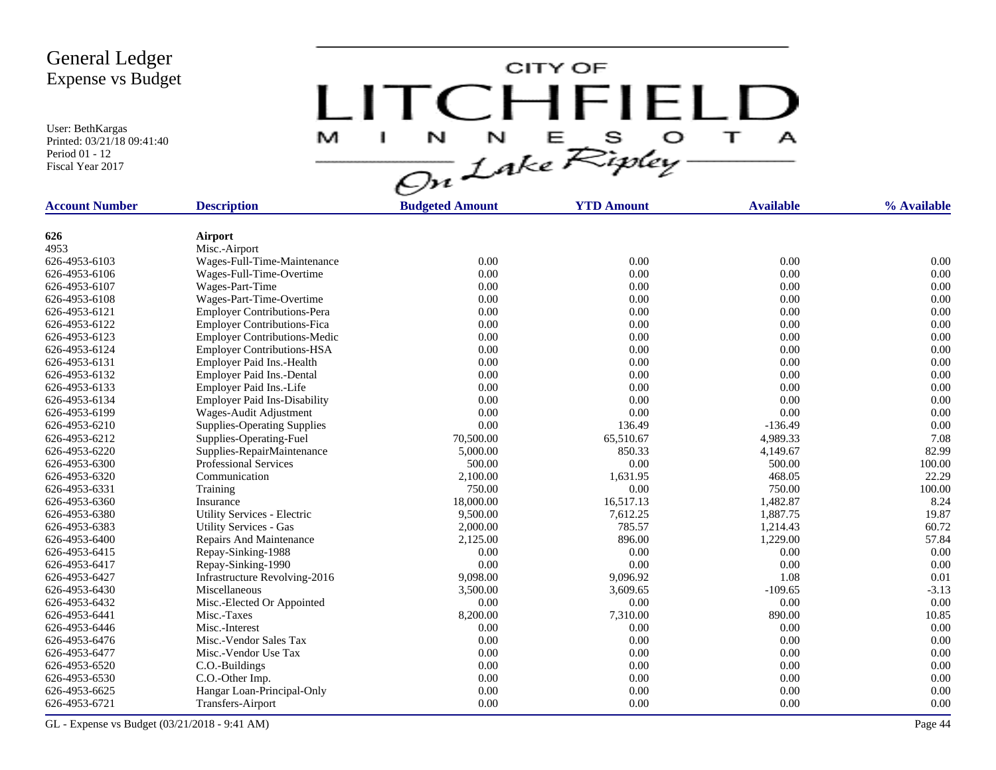User: BethKargas Printed: 03/21/18 09:41:40 Period 01 - 12 Fiscal Year 2017

CITY OF LITCHFIELD  $\mathbf{T}$ M  $\mathbf{A}$ H.

| <b>Account Number</b> | <b>Description</b>                  | <b>Budgeted Amount</b> | <b>YTD Amount</b> | <b>Available</b> | % Available |
|-----------------------|-------------------------------------|------------------------|-------------------|------------------|-------------|
|                       |                                     |                        |                   |                  |             |
| 626                   | Airport                             |                        |                   |                  |             |
| 4953                  | Misc.-Airport                       |                        |                   |                  |             |
| 626-4953-6103         | Wages-Full-Time-Maintenance         | 0.00                   | 0.00              | 0.00             | 0.00        |
| 626-4953-6106         | Wages-Full-Time-Overtime            | 0.00                   | 0.00              | 0.00             | 0.00        |
| 626-4953-6107         | Wages-Part-Time                     | 0.00                   | 0.00              | 0.00             | 0.00        |
| 626-4953-6108         | Wages-Part-Time-Overtime            | 0.00                   | 0.00              | 0.00             | 0.00        |
| 626-4953-6121         | <b>Employer Contributions-Pera</b>  | 0.00                   | 0.00              | 0.00             | 0.00        |
| 626-4953-6122         | <b>Employer Contributions-Fica</b>  | 0.00                   | 0.00              | 0.00             | 0.00        |
| 626-4953-6123         | <b>Employer Contributions-Medic</b> | 0.00                   | 0.00              | 0.00             | 0.00        |
| 626-4953-6124         | <b>Employer Contributions-HSA</b>   | 0.00                   | 0.00              | 0.00             | 0.00        |
| 626-4953-6131         | Employer Paid Ins.-Health           | 0.00                   | 0.00              | 0.00             | 0.00        |
| 626-4953-6132         | Employer Paid Ins.-Dental           | 0.00                   | 0.00              | 0.00             | 0.00        |
| 626-4953-6133         | Employer Paid Ins.-Life             | 0.00                   | 0.00              | 0.00             | 0.00        |
| 626-4953-6134         | <b>Employer Paid Ins-Disability</b> | 0.00                   | 0.00              | 0.00             | 0.00        |
| 626-4953-6199         | Wages-Audit Adjustment              | 0.00                   | 0.00              | 0.00             | 0.00        |
| 626-4953-6210         | <b>Supplies-Operating Supplies</b>  | 0.00                   | 136.49            | $-136.49$        | 0.00        |
| 626-4953-6212         | Supplies-Operating-Fuel             | 70,500.00              | 65,510.67         | 4,989.33         | 7.08        |
| 626-4953-6220         | Supplies-RepairMaintenance          | 5,000.00               | 850.33            | 4,149.67         | 82.99       |
| 626-4953-6300         | <b>Professional Services</b>        | 500.00                 | 0.00              | 500.00           | 100.00      |
| 626-4953-6320         | Communication                       | 2,100.00               | 1,631.95          | 468.05           | 22.29       |
| 626-4953-6331         | Training                            | 750.00                 | 0.00              | 750.00           | 100.00      |
| 626-4953-6360         | Insurance                           | 18,000.00              | 16,517.13         | 1,482.87         | 8.24        |
| 626-4953-6380         | Utility Services - Electric         | 9,500.00               | 7,612.25          | 1,887.75         | 19.87       |
| 626-4953-6383         | <b>Utility Services - Gas</b>       | 2,000.00               | 785.57            | 1,214.43         | 60.72       |
| 626-4953-6400         | Repairs And Maintenance             | 2,125.00               | 896.00            | 1,229.00         | 57.84       |
| 626-4953-6415         | Repay-Sinking-1988                  | 0.00                   | 0.00              | 0.00             | 0.00        |
| 626-4953-6417         | Repay-Sinking-1990                  | 0.00                   | 0.00              | 0.00             | 0.00        |
| 626-4953-6427         | Infrastructure Revolving-2016       | 9,098.00               | 9,096.92          | 1.08             | 0.01        |
| 626-4953-6430         | Miscellaneous                       | 3,500.00               | 3,609.65          | $-109.65$        | $-3.13$     |
| 626-4953-6432         | Misc.-Elected Or Appointed          | 0.00                   | 0.00              | 0.00             | 0.00        |
| 626-4953-6441         | Misc.-Taxes                         | 8,200.00               | 7,310.00          | 890.00           | 10.85       |
| 626-4953-6446         | Misc.-Interest                      | 0.00                   | 0.00              | 0.00             | 0.00        |
| 626-4953-6476         | Misc.-Vendor Sales Tax              | 0.00                   | 0.00              | 0.00             | 0.00        |
| 626-4953-6477         | Misc.-Vendor Use Tax                | 0.00                   | 0.00              | 0.00             | 0.00        |
| 626-4953-6520         | C.O.-Buildings                      | 0.00                   | 0.00              | 0.00             | 0.00        |
| 626-4953-6530         | C.O.-Other Imp.                     | 0.00                   | 0.00              | 0.00             | 0.00        |
| 626-4953-6625         | Hangar Loan-Principal-Only          | 0.00                   | 0.00              | 0.00             | 0.00        |
| 626-4953-6721         | Transfers-Airport                   | 0.00                   | 0.00              | 0.00             | 0.00        |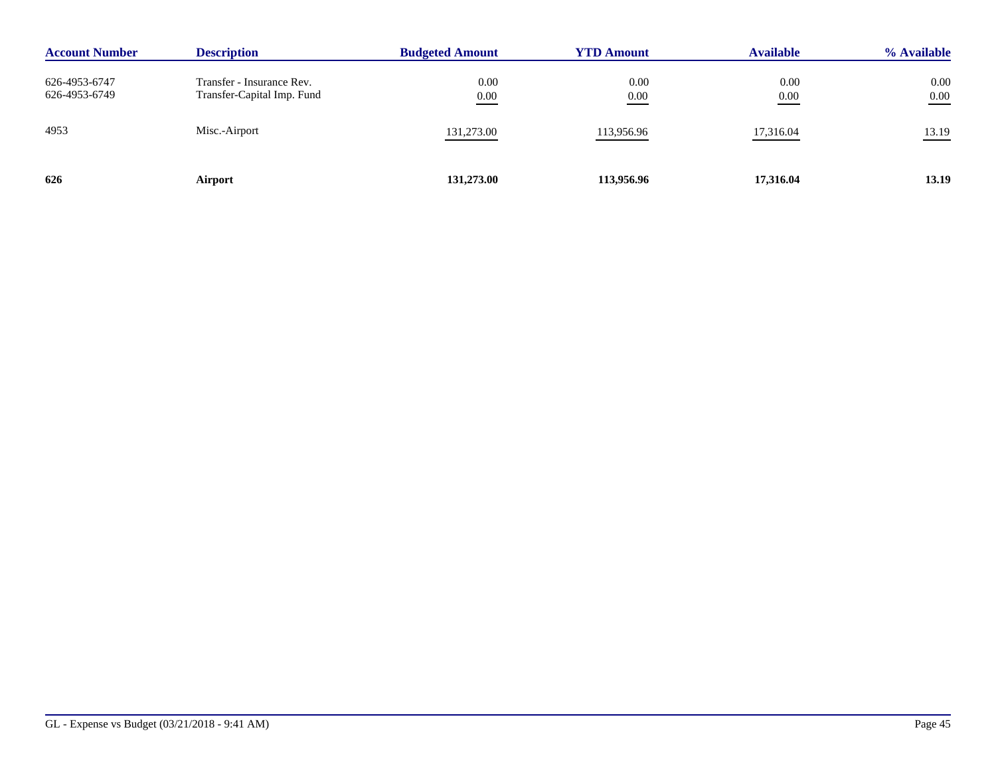| <b>Account Number</b>          | <b>Description</b>                                      | <b>Budgeted Amount</b> | <b>YTD Amount</b> | <b>Available</b> | % Available      |
|--------------------------------|---------------------------------------------------------|------------------------|-------------------|------------------|------------------|
| 626-4953-6747<br>626-4953-6749 | Transfer - Insurance Rev.<br>Transfer-Capital Imp. Fund | 0.00<br>0.00           | 0.00<br>0.00      | 0.00<br>0.00     | 0.00<br>$0.00\,$ |
| 4953                           | Misc.-Airport                                           | 131,273.00             | 113,956.96        | 17,316.04        | 13.19            |
| 626                            | Airport                                                 | 131,273.00             | 113,956.96        | 17,316.04        | 13.19            |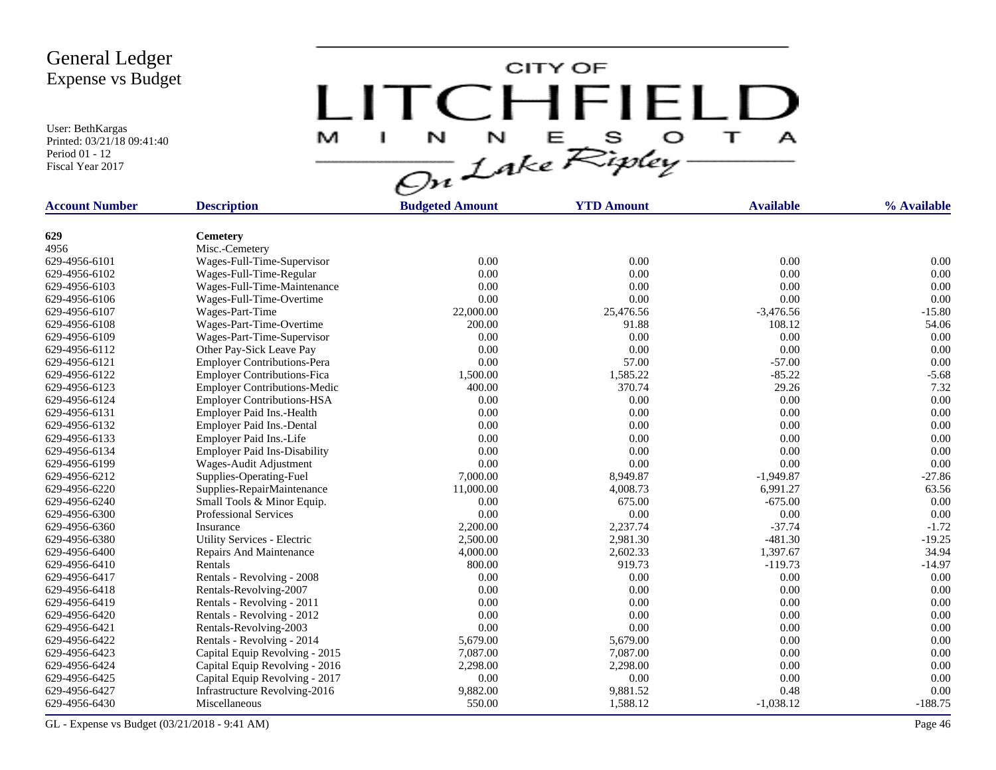User: BethKargas Printed: 03/21/18 09:41:40 Period 01 - 12 Fiscal Year 2017



| <b>Account Number</b> | <b>Description</b>                  | <b>Budgeted Amount</b> | <b>YTD Amount</b> | <b>Available</b> | % Available |
|-----------------------|-------------------------------------|------------------------|-------------------|------------------|-------------|
|                       |                                     |                        |                   |                  |             |
| 629                   | <b>Cemetery</b>                     |                        |                   |                  |             |
| 4956                  | Misc.-Cemetery                      |                        |                   |                  |             |
| 629-4956-6101         | Wages-Full-Time-Supervisor          | 0.00                   | 0.00              | 0.00             | 0.00        |
| 629-4956-6102         | Wages-Full-Time-Regular             | 0.00                   | 0.00              | 0.00             | 0.00        |
| 629-4956-6103         | Wages-Full-Time-Maintenance         | 0.00                   | 0.00              | 0.00             | 0.00        |
| 629-4956-6106         | Wages-Full-Time-Overtime            | 0.00                   | 0.00              | 0.00             | 0.00        |
| 629-4956-6107         | Wages-Part-Time                     | 22,000.00              | 25,476.56         | $-3,476.56$      | $-15.80$    |
| 629-4956-6108         | Wages-Part-Time-Overtime            | 200.00                 | 91.88             | 108.12           | 54.06       |
| 629-4956-6109         | Wages-Part-Time-Supervisor          | 0.00                   | 0.00              | 0.00             | 0.00        |
| 629-4956-6112         | Other Pay-Sick Leave Pay            | 0.00                   | 0.00              | 0.00             | 0.00        |
| 629-4956-6121         | <b>Employer Contributions-Pera</b>  | 0.00                   | 57.00             | $-57.00$         | 0.00        |
| 629-4956-6122         | <b>Employer Contributions-Fica</b>  | 1,500.00               | 1,585.22          | $-85.22$         | $-5.68$     |
| 629-4956-6123         | <b>Employer Contributions-Medic</b> | 400.00                 | 370.74            | 29.26            | 7.32        |
| 629-4956-6124         | <b>Employer Contributions-HSA</b>   | 0.00                   | 0.00              | 0.00             | 0.00        |
| 629-4956-6131         | Employer Paid Ins.-Health           | 0.00                   | 0.00              | 0.00             | 0.00        |
| 629-4956-6132         | Employer Paid Ins.-Dental           | 0.00                   | 0.00              | 0.00             | 0.00        |
| 629-4956-6133         | Employer Paid Ins.-Life             | 0.00                   | 0.00              | 0.00             | 0.00        |
| 629-4956-6134         | <b>Employer Paid Ins-Disability</b> | 0.00                   | 0.00              | 0.00             | 0.00        |
| 629-4956-6199         | Wages-Audit Adjustment              | 0.00                   | 0.00              | 0.00             | 0.00        |
| 629-4956-6212         | Supplies-Operating-Fuel             | 7,000.00               | 8,949.87          | $-1,949.87$      | $-27.86$    |
| 629-4956-6220         | Supplies-RepairMaintenance          | 11,000.00              | 4,008.73          | 6,991.27         | 63.56       |
| 629-4956-6240         | Small Tools & Minor Equip.          | 0.00                   | 675.00            | $-675.00$        | 0.00        |
| 629-4956-6300         | <b>Professional Services</b>        | 0.00                   | 0.00              | 0.00             | 0.00        |
| 629-4956-6360         | Insurance                           | 2,200.00               | 2,237.74          | $-37.74$         | $-1.72$     |
| 629-4956-6380         | Utility Services - Electric         | 2,500.00               | 2,981.30          | $-481.30$        | $-19.25$    |
| 629-4956-6400         | Repairs And Maintenance             | 4,000.00               | 2,602.33          | 1,397.67         | 34.94       |
| 629-4956-6410         | Rentals                             | 800.00                 | 919.73            | $-119.73$        | $-14.97$    |
| 629-4956-6417         | Rentals - Revolving - 2008          | 0.00                   | 0.00              | 0.00             | 0.00        |
| 629-4956-6418         | Rentals-Revolving-2007              | 0.00                   | 0.00              | 0.00             | 0.00        |
| 629-4956-6419         | Rentals - Revolving - 2011          | 0.00                   | 0.00              | 0.00             | 0.00        |
| 629-4956-6420         | Rentals - Revolving - 2012          | 0.00                   | 0.00              | 0.00             | 0.00        |
| 629-4956-6421         | Rentals-Revolving-2003              | 0.00                   | 0.00              | 0.00             | 0.00        |
| 629-4956-6422         | Rentals - Revolving - 2014          | 5,679.00               | 5,679.00          | 0.00             | 0.00        |
| 629-4956-6423         | Capital Equip Revolving - 2015      | 7,087.00               | 7,087.00          | 0.00             | 0.00        |
| 629-4956-6424         | Capital Equip Revolving - 2016      | 2,298.00               | 2,298.00          | 0.00             | 0.00        |
| 629-4956-6425         | Capital Equip Revolving - 2017      | 0.00                   | 0.00              | 0.00             | 0.00        |
| 629-4956-6427         | Infrastructure Revolving-2016       | 9,882.00               | 9,881.52          | 0.48             | 0.00        |
| 629-4956-6430         | Miscellaneous                       | 550.00                 | 1,588.12          | $-1,038.12$      | $-188.75$   |
|                       |                                     |                        |                   |                  |             |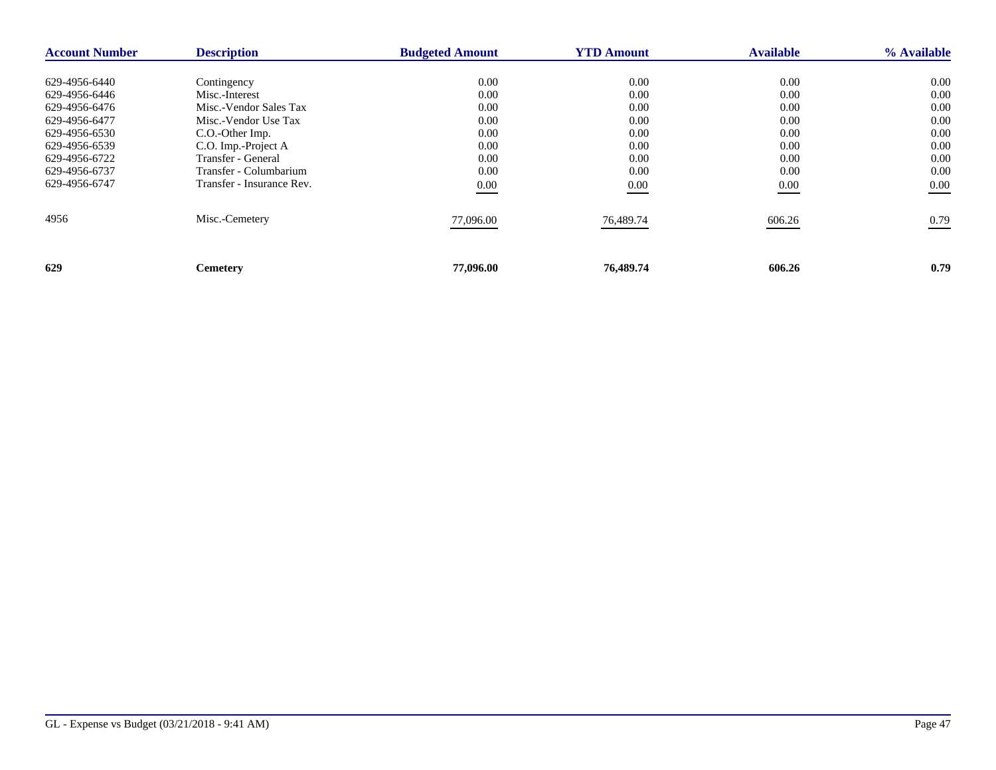| <b>Account Number</b> | <b>Description</b>        | <b>Budgeted Amount</b> | <b>YTD Amount</b> | <b>Available</b> | % Available |
|-----------------------|---------------------------|------------------------|-------------------|------------------|-------------|
|                       |                           |                        |                   |                  |             |
| 629-4956-6440         | Contingency               | 0.00                   | 0.00              | 0.00             | $0.00\,$    |
| 629-4956-6446         | Misc.-Interest            | 0.00                   | 0.00              | 0.00             | 0.00        |
| 629-4956-6476         | Misc.-Vendor Sales Tax    | 0.00                   | 0.00              | 0.00             | 0.00        |
| 629-4956-6477         | Misc.-Vendor Use Tax      | 0.00                   | 0.00              | 0.00             | 0.00        |
| 629-4956-6530         | C.O.-Other Imp.           | 0.00                   | 0.00              | 0.00             | 0.00        |
| 629-4956-6539         | C.O. Imp.-Project A       | 0.00                   | 0.00              | 0.00             | 0.00        |
| 629-4956-6722         | Transfer - General        | 0.00                   | 0.00              | 0.00             | 0.00        |
| 629-4956-6737         | Transfer - Columbarium    | 0.00                   | 0.00              | 0.00             | 0.00        |
| 629-4956-6747         | Transfer - Insurance Rev. | 0.00                   | 0.00              | 0.00             | 0.00        |
| 4956                  | Misc.-Cemetery            | 77,096.00              | 76,489.74         | 606.26           | 0.79        |
| 629                   | <b>Cemetery</b>           | 77,096.00              | 76,489.74         | 606.26           | 0.79        |